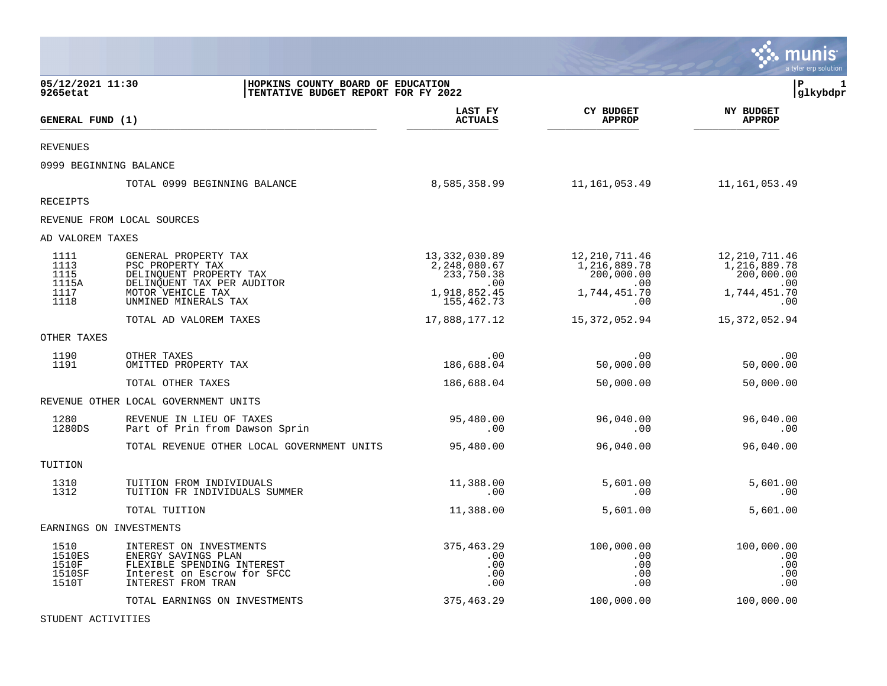|                                            |                                                                                                                                   |                                                           |                                                      | munis<br>a tyler erp solution                        |
|--------------------------------------------|-----------------------------------------------------------------------------------------------------------------------------------|-----------------------------------------------------------|------------------------------------------------------|------------------------------------------------------|
| 05/12/2021 11:30<br>9265etat               | HOPKINS COUNTY BOARD OF EDUCATION<br>TENTATIVE BUDGET REPORT FOR FY 2022                                                          |                                                           |                                                      | l P<br>1<br>glkybdpr                                 |
| GENERAL FUND (1)                           |                                                                                                                                   | LAST FY<br><b>ACTUALS</b>                                 | <b>CY BUDGET</b><br><b>APPROP</b>                    | <b>NY BUDGET</b><br><b>APPROP</b>                    |
| <b>REVENUES</b>                            |                                                                                                                                   |                                                           |                                                      |                                                      |
|                                            | 0999 BEGINNING BALANCE                                                                                                            |                                                           |                                                      |                                                      |
|                                            | TOTAL 0999 BEGINNING BALANCE                                                                                                      | 8,585,358.99                                              | 11,161,053.49                                        | 11,161,053.49                                        |
| <b>RECEIPTS</b>                            |                                                                                                                                   |                                                           |                                                      |                                                      |
|                                            | REVENUE FROM LOCAL SOURCES                                                                                                        |                                                           |                                                      |                                                      |
| AD VALOREM TAXES                           |                                                                                                                                   |                                                           |                                                      |                                                      |
| 1111<br>1113<br>1115<br>1115A              | GENERAL PROPERTY TAX<br>PSC PROPERTY TAX<br>DELINQUENT PROPERTY TAX<br>DELINQUENT TAX PER AUDITOR                                 | 13, 332, 030.89<br>2,248,080.67<br>233,750.38<br>$.00 \,$ | 12, 210, 711.46<br>1,216,889.78<br>200,000.00<br>.00 | 12, 210, 711.46<br>1,216,889.78<br>200,000.00<br>.00 |
| 1117<br>1118                               | MOTOR VEHICLE TAX<br>UNMINED MINERALS TAX                                                                                         | 1,918,852.45<br>155,462.73                                | 1,744,451.70<br>.00                                  | 1,744,451.70<br>.00                                  |
|                                            | TOTAL AD VALOREM TAXES                                                                                                            | 17,888,177.12                                             | 15,372,052.94                                        | 15,372,052.94                                        |
| OTHER TAXES                                |                                                                                                                                   |                                                           |                                                      |                                                      |
| 1190<br>1191                               | OTHER TAXES<br>OMITTED PROPERTY TAX                                                                                               | .00<br>186,688.04                                         | .00<br>50,000.00                                     | .00<br>50,000.00                                     |
|                                            | TOTAL OTHER TAXES                                                                                                                 | 186,688.04                                                | 50,000.00                                            | 50,000.00                                            |
|                                            | REVENUE OTHER LOCAL GOVERNMENT UNITS                                                                                              |                                                           |                                                      |                                                      |
| 1280<br>1280DS                             | REVENUE IN LIEU OF TAXES<br>Part of Prin from Dawson Sprin                                                                        | 95,480.00<br>.00                                          | 96,040.00<br>.00                                     | 96,040.00<br>.00                                     |
|                                            | TOTAL REVENUE OTHER LOCAL GOVERNMENT UNITS                                                                                        | 95,480.00                                                 | 96,040.00                                            | 96,040.00                                            |
| TUITION                                    |                                                                                                                                   |                                                           |                                                      |                                                      |
| 1310<br>1312                               | TUITION FROM INDIVIDUALS<br>TUITION FR INDIVIDUALS SUMMER                                                                         | 11,388.00<br>.00                                          | 5,601.00<br>.00                                      | 5,601.00<br>.00                                      |
|                                            | TOTAL TUITION                                                                                                                     | 11,388.00                                                 | 5,601.00                                             | 5,601.00                                             |
|                                            | EARNINGS ON INVESTMENTS                                                                                                           |                                                           |                                                      |                                                      |
| 1510<br>1510ES<br>1510F<br>1510SF<br>1510T | INTEREST ON INVESTMENTS<br>ENERGY SAVINGS PLAN<br>FLEXIBLE SPENDING INTEREST<br>Interest on Escrow for SFCC<br>INTEREST FROM TRAN | 375,463.29<br>.00<br>.00<br>.00<br>.00                    | 100,000.00<br>.00<br>.00<br>.00<br>.00               | 100,000.00<br>.00<br>.00<br>.00<br>.00               |
|                                            | TOTAL EARNINGS ON INVESTMENTS                                                                                                     | 375,463.29                                                | 100,000.00                                           | 100,000.00                                           |

STUDENT ACTIVITIES

 $\bullet$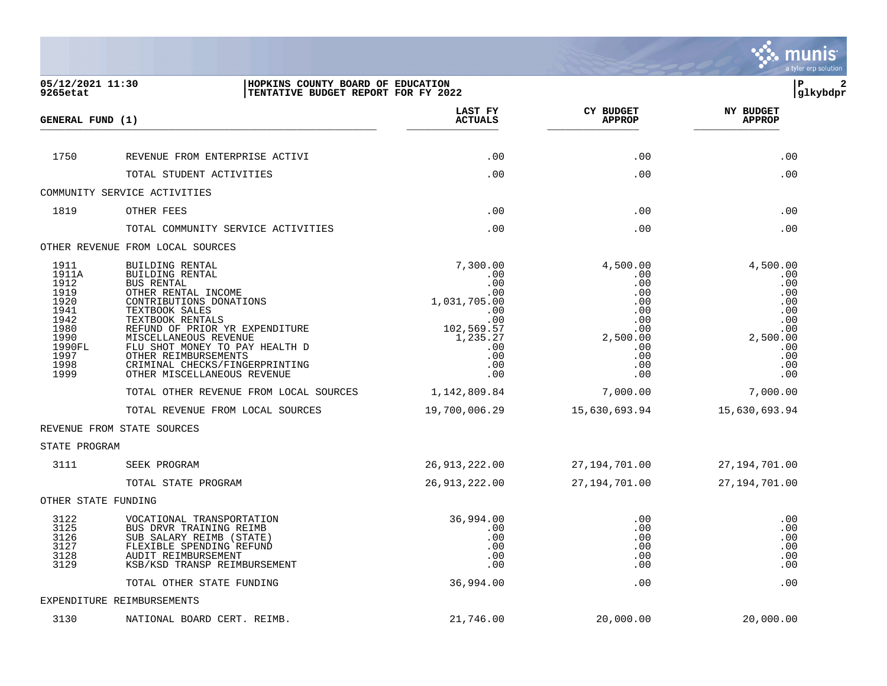

| 05/12/2021 11:30<br>9265etat                                                                            | HOPKINS COUNTY BOARD OF EDUCATION<br>TENTATIVE BUDGET REPORT FOR FY 2022                                                                                                                                                                                                                                                                                                                                            |                                                                                                                                                              |                                                                                                                                | $\mathbf{2}$<br>l P<br> glkybdpr                                                                                               |
|---------------------------------------------------------------------------------------------------------|---------------------------------------------------------------------------------------------------------------------------------------------------------------------------------------------------------------------------------------------------------------------------------------------------------------------------------------------------------------------------------------------------------------------|--------------------------------------------------------------------------------------------------------------------------------------------------------------|--------------------------------------------------------------------------------------------------------------------------------|--------------------------------------------------------------------------------------------------------------------------------|
| GENERAL FUND (1)                                                                                        |                                                                                                                                                                                                                                                                                                                                                                                                                     | LAST FY<br><b>ACTUALS</b>                                                                                                                                    | <b>CY BUDGET</b><br><b>APPROP</b>                                                                                              | <b>NY BUDGET</b><br><b>APPROP</b>                                                                                              |
| 1750                                                                                                    | REVENUE FROM ENTERPRISE ACTIVI                                                                                                                                                                                                                                                                                                                                                                                      | .00                                                                                                                                                          | .00                                                                                                                            | .00                                                                                                                            |
|                                                                                                         | TOTAL STUDENT ACTIVITIES                                                                                                                                                                                                                                                                                                                                                                                            | .00                                                                                                                                                          | .00                                                                                                                            | .00                                                                                                                            |
|                                                                                                         | COMMUNITY SERVICE ACTIVITIES                                                                                                                                                                                                                                                                                                                                                                                        |                                                                                                                                                              |                                                                                                                                |                                                                                                                                |
| 1819                                                                                                    | OTHER FEES                                                                                                                                                                                                                                                                                                                                                                                                          | .00                                                                                                                                                          | .00                                                                                                                            | .00                                                                                                                            |
|                                                                                                         | TOTAL COMMUNITY SERVICE ACTIVITIES                                                                                                                                                                                                                                                                                                                                                                                  | .00                                                                                                                                                          | .00                                                                                                                            | .00                                                                                                                            |
|                                                                                                         | OTHER REVENUE FROM LOCAL SOURCES                                                                                                                                                                                                                                                                                                                                                                                    |                                                                                                                                                              |                                                                                                                                |                                                                                                                                |
| 1911<br>1911A<br>1912<br>1919<br>1920<br>1941<br>1942<br>1980<br>1990<br>1990FL<br>1997<br>1998<br>1999 | BUILDING RENTAL<br>BUILDING RENTAL<br><b>BUS RENTAL</b><br>OTHER RENTAL INCOME<br>CONTRIBUTIONS DONATIONS<br>TEXTBOOK SALES<br>TEXTBOOK RENTALS<br>REFUND OF PRIOR YR EXPENDITURE<br>MISCELLANEOUS REVENUE<br>FLU SHOT MONEY TO PAY HEALTH D<br>OTHER REIMBURSEMENTS<br>CRIMINAL CHECKS/FINGERPRINTING<br>OTHER MISCELLANEOUS REVENUE<br>TOTAL OTHER REVENUE FROM LOCAL SOURCES<br>TOTAL REVENUE FROM LOCAL SOURCES | 7,300.00<br>.00<br>.00<br>.00<br>1,031,705.00<br>.00<br>$.00 \,$<br>102,569.57<br>1,235.27<br>.00<br>$.00 \,$<br>.00<br>.00<br>1,142,809.84<br>19,700,006.29 | 4,500.00<br>.00<br>.00<br>.00<br>.00<br>.00<br>.00<br>.00<br>2,500.00<br>.00<br>.00<br>.00<br>.00<br>7,000.00<br>15,630,693.94 | 4,500.00<br>.00<br>.00<br>.00<br>.00<br>.00<br>.00<br>.00<br>2,500.00<br>.00<br>.00<br>.00<br>.00<br>7,000.00<br>15,630,693.94 |
|                                                                                                         | REVENUE FROM STATE SOURCES                                                                                                                                                                                                                                                                                                                                                                                          |                                                                                                                                                              |                                                                                                                                |                                                                                                                                |
| STATE PROGRAM                                                                                           |                                                                                                                                                                                                                                                                                                                                                                                                                     |                                                                                                                                                              |                                                                                                                                |                                                                                                                                |
| 3111                                                                                                    | SEEK PROGRAM<br>TOTAL STATE PROGRAM                                                                                                                                                                                                                                                                                                                                                                                 | 26, 913, 222.00<br>26, 913, 222.00                                                                                                                           | 27,194,701.00<br>27, 194, 701.00                                                                                               | 27,194,701.00<br>27,194,701.00                                                                                                 |
| OTHER STATE FUNDING                                                                                     |                                                                                                                                                                                                                                                                                                                                                                                                                     |                                                                                                                                                              |                                                                                                                                |                                                                                                                                |
| 3122<br>3125<br>3126<br>3127<br>3128<br>3129                                                            | VOCATIONAL TRANSPORTATION<br>BUS DRVR TRAINING REIMB<br>SUB SALARY REIMB (STATE)<br>FLEXIBLE SPENDING REFUND<br>AUDIT REIMBURSEMENT<br>KSB/KSD TRANSP REIMBURSEMENT                                                                                                                                                                                                                                                 | 36,994.00<br>.00<br>.00<br>$.00 \,$<br>$.00 \,$<br>.00                                                                                                       | .00<br>.00<br>.00<br>.00<br>.00<br>.00                                                                                         | .00<br>.00<br>.00<br>.00<br>.00<br>.00                                                                                         |
|                                                                                                         | TOTAL OTHER STATE FUNDING                                                                                                                                                                                                                                                                                                                                                                                           | 36,994.00                                                                                                                                                    | .00                                                                                                                            | .00                                                                                                                            |
|                                                                                                         | EXPENDITURE REIMBURSEMENTS                                                                                                                                                                                                                                                                                                                                                                                          |                                                                                                                                                              |                                                                                                                                |                                                                                                                                |
| 3130                                                                                                    | NATIONAL BOARD CERT. REIMB.                                                                                                                                                                                                                                                                                                                                                                                         | 21,746.00                                                                                                                                                    | 20,000.00                                                                                                                      | 20,000.00                                                                                                                      |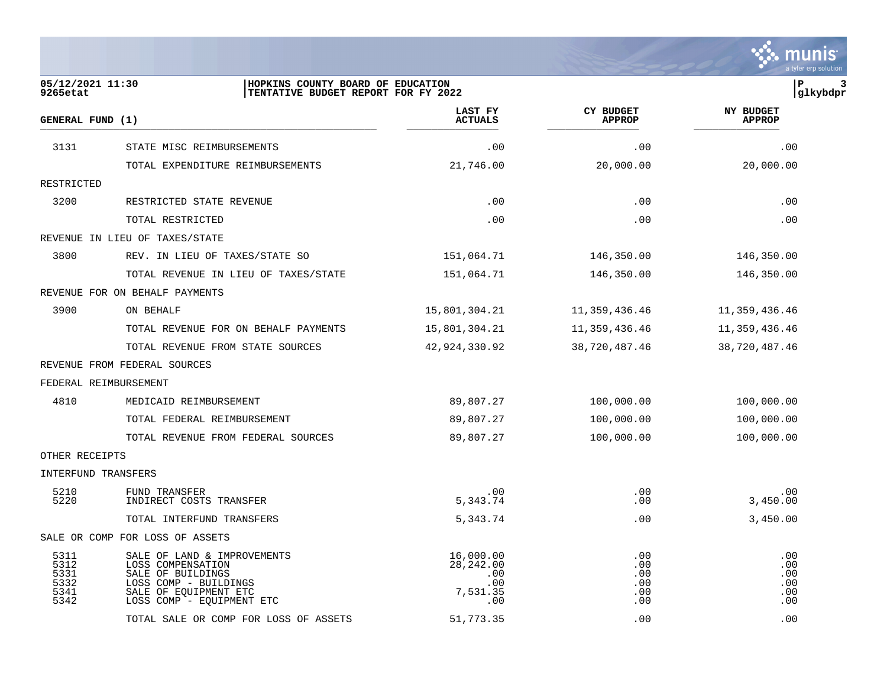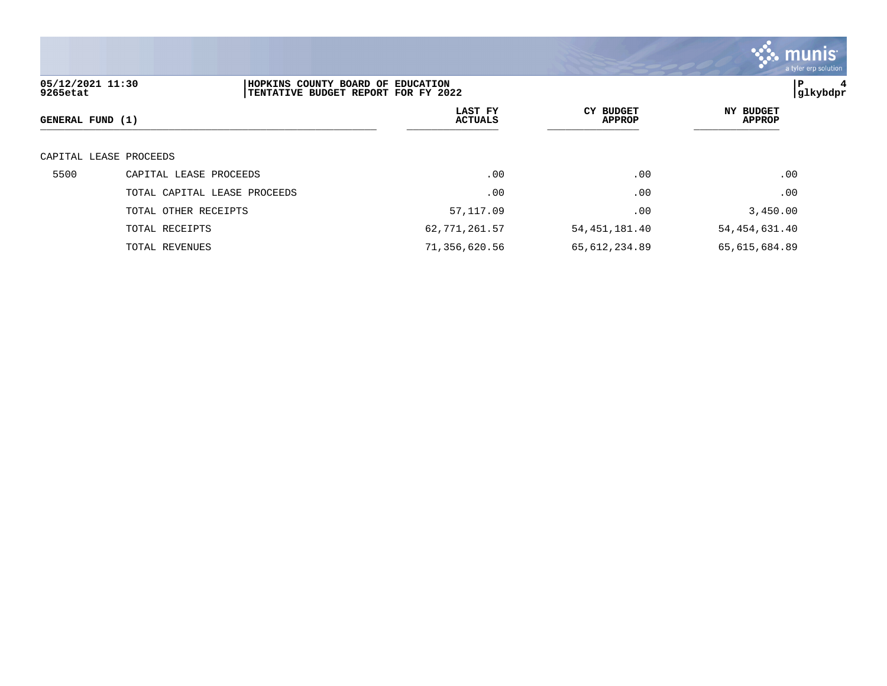

| 05/12/2021 11:30<br>9265etat | HOPKINS COUNTY BOARD OF EDUCATION<br>TENTATIVE BUDGET REPORT FOR FY 2022 |                           |                                   | ∣P<br> glkybdpr                   |
|------------------------------|--------------------------------------------------------------------------|---------------------------|-----------------------------------|-----------------------------------|
| GENERAL FUND (1)             |                                                                          | LAST FY<br><b>ACTUALS</b> | <b>CY BUDGET</b><br><b>APPROP</b> | <b>NY BUDGET</b><br><b>APPROP</b> |
| CAPITAL LEASE PROCEEDS       |                                                                          |                           |                                   |                                   |
| 5500                         | CAPITAL LEASE PROCEEDS                                                   | .00                       | .00                               | .00                               |
|                              | TOTAL CAPITAL LEASE PROCEEDS                                             | .00                       | .00                               | .00                               |
|                              | TOTAL OTHER RECEIPTS                                                     | 57,117.09                 | .00                               | 3,450.00                          |
|                              | TOTAL RECEIPTS                                                           | 62, 771, 261.57           | 54,451,181.40                     | 54,454,631.40                     |
|                              | TOTAL REVENUES                                                           | 71,356,620.56             | 65,612,234.89                     | 65,615,684.89                     |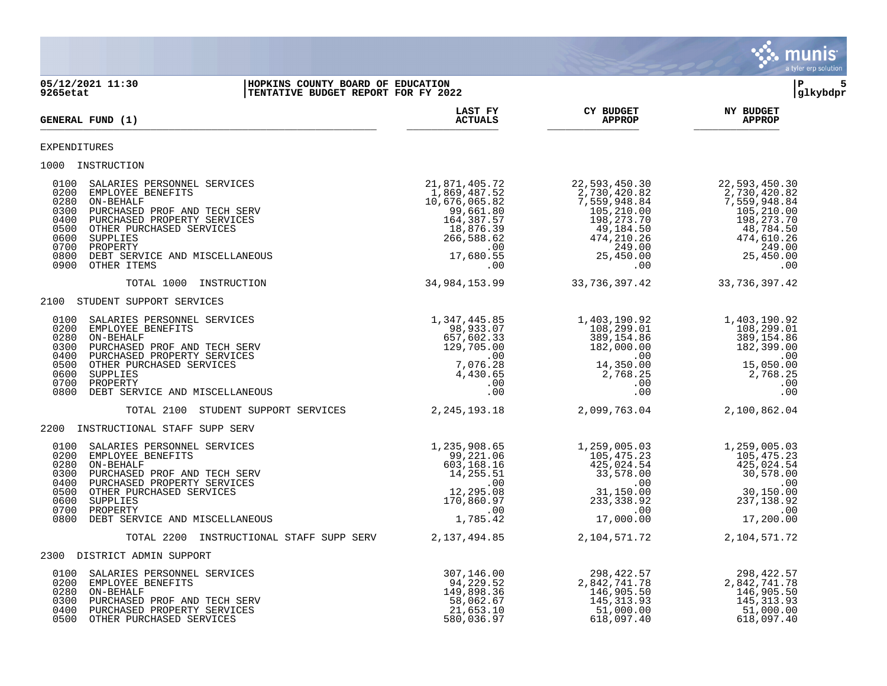

**05/12/2021 11:30 |HOPKINS COUNTY BOARD OF EDUCATION |P 5 9265etat |TENTATIVE BUDGET REPORT FOR FY 2022 |glkybdpr LAST FY CY BUDGET NY BUDGET GENERAL FUND (1) ACTUALS APPROP APPROP** \_\_\_\_\_\_\_\_\_\_\_\_\_\_\_\_\_\_\_\_\_\_\_\_\_\_\_\_\_\_\_\_\_\_\_\_\_\_\_\_\_\_\_\_\_\_\_\_\_\_\_\_\_\_\_ \_\_\_\_\_\_\_\_\_\_\_\_\_\_\_ \_\_\_\_\_\_\_\_\_\_\_\_\_\_\_ \_\_\_\_\_\_\_\_\_\_\_\_\_\_ EXPENDITURES 1000 INSTRUCTION 0100 SALARIES PERSONNEL SERVICES<br>
0200 EMPLOYEE BENEFITS<br>
0280 ON-BEHALF 1,889,487.52 2,730,420.82 2,730,420.82<br>
0280 ON-BEHALF 1,559,948.84 7,559,948.84 0200 EMPLOYEE BENEFITS 1,869,487.52<br>
0280 ON-BEHALF PROF AND TECH SERV 10,676,065.82<br>
0300 PURCHASED PROF AND TECH SERV 10,676,065.82<br>
0400 PURCHASED PROFPTY CERVICES 0280 ON-BEHALF 10,676,065.82 7,559,948.84 7,559,948.84 7,559,948.84 0300 PURCHASED PROF AND TECH SERV 105, 210.00 105, 210.00 105, 210.00 105, 210.00 105, 210.00 105, 210.00 105,<br>0400 PURCHASED PROPERTY SERVICES 15 1000 164, 387.57 198, 273.70 198, 273.70 198, 273.70 198, 273.70 198, 273<br>0 0400 PURCHASED PROPERTY SERVICES 164,387.57<br>18.876.39 18.876.39 18.876.39 0500 OTHER PURCHASED SERVICES 18,876.39 49,184.50 48,784.50<br>0600 SUPPLIES 266,588.62 474,210.26 474,210.26 474,210.26 474,610.26<br>0700 PROPERTY 10.26 474,610.26 474,610.26<br>0800 DEBT SERVICE AND MISCELLANEOUS 17,680.55 38.62 0600 SUPPLIES 266,588.62 474,210.26 474,610.26 0700 PROPERTY .00 249.00 249.00 0700 PROPERTY<br>0800 DEBT SERVICE AND MISCELLANEOUS (17,680.55 25,450.00 25,450.00 25,450.00 25,450.00 25,450.00<br>00. 00. 0900 OTHER ITEMS .00 .00 .00 TOTAL 1000 INSTRUCTION 34,984,153.99 33,736,397.42 33,736,397.42 2100 STUDENT SUPPORT SERVICES 0100 SALARIES PERSONNEL SERVICES 1,347,445.85 1,403,190.92 1,403,190.92 0200 EMPLOYEE BENEFITS 98,933.07 108,299.01 108,299.01 0280 ON-BEHALF 657,602.33 389,154.86 389,154.86 0280 ON-BEHALF (1290 ON-BEHALF )<br>0300 PURCHASED PROF AND TECH SERV<br>0500 OTHER PURCHASED SERVICES 129,705.00 00<br>0500 00 15,050.00 182,399.00 19500 00 1968.00 15,050.00 15,050.00 0400 PURCHASED PROPERTY SERVICES .00 .00 .00 0500 OTHER PURCHASED SERVICES (1999) 15,050.00 15,050.00 15,050.00 15,050.00 15,050.00 15,050.00 15,050.00 15,<br>19,168.25 1,768.25 1,768.25 1,768.25 1,168.25 1,168.25 1,168.25 1,168.25 1,168.25 1,768.25 1,768.25 0600 SUPPLIES 4,430.65 2,768.25 2,768.25 0700 PROPERTY .00 .00 .00 0800 DEBT SERVICE AND MISCELLANEOUS .00 .00 .00 TOTAL 2100 STUDENT SUPPORT SERVICES 2,245,193.18 2,099,763.04 2,100,862.04 2200 INSTRUCTIONAL STAFF SUPP SERV 0100 SALARIES PERSONNEL SERVICES 1,235,908.65 1,259,005.03 1,259,005.03 0200 EMPLOYEE BENEFITS CONSIDERED AND RESERVE TO A SAN FOREST SERVER AND SERVER SERVER TO A SAN FOREST SERVER A<br>0280 ON-BEHALF 425,024.54 425,024.54 425,024.54 0280 ON-BEHALF 603,168.16 425,024.54 425,024.54 0300 PURCHASED PROF AND TECH SERV  $\begin{bmatrix} 14 \\ 255 \\ 51 \end{bmatrix}$   $\begin{bmatrix} 14 \\ 255 \\ 50 \end{bmatrix}$   $\begin{bmatrix} 33 \\ 578 \\ 00 \end{bmatrix}$   $\begin{bmatrix} 0 \\ 0 \\ 0 \end{bmatrix}$   $\begin{bmatrix} 33 \\ 578 \\ 0 \\ 0 \end{bmatrix}$   $\begin{bmatrix} 30 \\ 578 \\ 0 \\ 0 \end{bmatrix}$  0400 PURCHASED PROPERTY SERVICES .00 .00 .00 0500 OTHER PURCHASED SERVICES 12,295.08 31,150.00 30,150.00 0600 SUPPLIES 170,860.97 233,338.92 237,138.92 0700 PROPERTY .00 .00 .00 0700 PROPERTY<br>0800 DEBT SERVICE AND MISCELLANEOUS 1,785.42 17,000.00 17,000.00 17,200.00 TOTAL 2200 INSTRUCTIONAL STAFF SUPP SERV 2,137,494.85 2,104,571.72 2,104,571.72 2300 DISTRICT ADMIN SUPPORT 0100 SALARIES PERSONNEL SERVICES (1999) 307,146.00 298,422.57 298,422.57 298,422.57 298,422.57 2.842,741.78 2.<br>0200 EMPLOYEE BENEFITS (1995.50 2.842,741.78 2.842,741.78 2.842,741.78 2.842,741.78 2.842,741.78 2.842,741.78 0200 EMPLOYEE BENEFITS 320 120 200 200 200 201 229.52<br>149.898.36 2,842,741.78 2,842,741.78 2,842,741.78 2,842,749.898.36 0281,229.52<br>
02842,741.78<br>
02842,741.78<br>
02842,741.78<br>
02842,741.78<br>
02842,741.78<br>
02842,741.78<br>
02842,741.78<br>
02842,741.78<br>
02842,741.78<br>
046,905.50<br>
046,905.50<br>
045,313.93<br>
045,313.93 0300 PURCHASED PROF AND TECH SERV 58,062.67 58,062.67 58,062.67 58,062.67 58,062.67 58,062.67 58,062.67 51,000.00<br>0400 PURCHASED PROPERTY SERVICES 580,036.97 51,000.00 51,000.00 51,000.00 51,000.00 51,000.00 51,000.00 51,0

0400 PURCHASED PROPERTY SERVICES 21,653.10 51,000.00 51,000.00

0500 OTHER PURCHASED SERVICES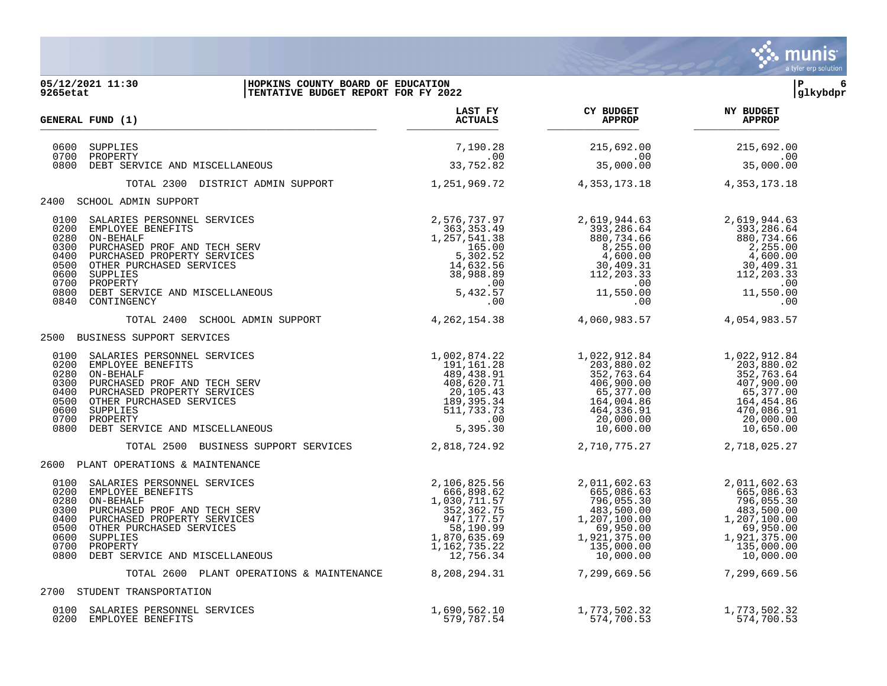

#### **05/12/2021 11:30 |HOPKINS COUNTY BOARD OF EDUCATION |P 6 9265etat |TENTATIVE BUDGET REPORT FOR FY 2022 |glkybdpr**

|                                                                      | <b>GENERAL FUND (1)</b>                                                                                                                                                                                                                | LAST FY<br><b>ACTUALS</b>                                                                                                        | CY BUDGET<br><b>APPROP</b>                                                                                                                                  | <b>NY BUDGET</b><br><b>APPROP</b>                                                                                              |
|----------------------------------------------------------------------|----------------------------------------------------------------------------------------------------------------------------------------------------------------------------------------------------------------------------------------|----------------------------------------------------------------------------------------------------------------------------------|-------------------------------------------------------------------------------------------------------------------------------------------------------------|--------------------------------------------------------------------------------------------------------------------------------|
| 0600<br>0700<br>0800                                                 | SUPPLIES<br>PROPERTY<br>DEBT SERVICE AND MISCELLANEOUS                                                                                                                                                                                 | 7,190.28<br>.00<br>33,752.82                                                                                                     | 215,692.00<br>.00<br>35,000.00                                                                                                                              | 215,692.00<br>.00<br>35,000.00                                                                                                 |
|                                                                      | TOTAL 2300 DISTRICT ADMIN SUPPORT                                                                                                                                                                                                      | 1,251,969.72                                                                                                                     | 4,353,173.18                                                                                                                                                | 4, 353, 173. 18                                                                                                                |
| 2400                                                                 | SCHOOL ADMIN SUPPORT                                                                                                                                                                                                                   |                                                                                                                                  |                                                                                                                                                             |                                                                                                                                |
| 0100<br>0200<br>0280<br>0300<br>0400<br>0500<br>0600<br>0800<br>0840 | SALARIES PERSONNEL SERVICES<br>EMPLOYEE BENEFITS<br>ON-BEHALF<br>PURCHASED PROF AND TECH SERV<br>PURCHASED PROPERTY SERVICES<br>OTHER PURCHASED SERVICES<br>SUPPLIES<br>0700 PROPERTY<br>DEBT SERVICE AND MISCELLANEOUS<br>CONTINGENCY | 2,576,737.97<br>363,353.49<br>1,257,541.38<br>$165.00$<br>5,302.52<br>14,632.56<br>- 088.89<br>$5,432.57$<br>$00$<br>$00$<br>.00 | 2,619,944.63<br>$7.393, 286.64$<br>$880, 734.66$<br>$8, 255.00$<br>$4, 600.00$<br>$30, 409.31$<br>$112, 203.33$<br>$00$<br>$11, 550.00$<br>$00$<br>8,255.00 | 2,619,944.63<br>393,286.64<br>880,734.66<br>2,255.00<br>4,600.00<br>30,409.31<br>112,203.33<br>.00<br>11,550.00<br>.00         |
|                                                                      | TOTAL 2400<br>SCHOOL ADMIN SUPPORT                                                                                                                                                                                                     | 4,262,154.38                                                                                                                     | 4,060,983.57                                                                                                                                                | 4,054,983.57                                                                                                                   |
| 2500                                                                 | BUSINESS SUPPORT SERVICES                                                                                                                                                                                                              |                                                                                                                                  |                                                                                                                                                             |                                                                                                                                |
| 0100<br>0200<br>0280<br>0300<br>0400<br>0500<br>0600<br>0700<br>0800 | SALARIES PERSONNEL SERVICES<br>EMPLOYEE BENEFITS<br>ON-BEHALF<br>PURCHASED PROF AND TECH SERV<br>PURCHASED PROPERTY SERVICES<br>OTHER PURCHASED SERVICES<br>SUPPLIES<br>PROPERTY<br>DEBT SERVICE AND MISCELLANEOUS                     | 1,002,874.22<br>191,161.28<br>489,438.91<br>408,620.71<br>20,105.43<br>189,395.34<br>511,733.73<br>.00<br>5,395.30               | 1,022,912.84<br>203,880.02<br>352,763.64<br>406,900.00<br>65,377.00<br>164,004.86<br>464,336.91<br>20,000.00<br>10,600.00                                   | 1,022,912.84<br>203,880.02<br>352,763.64<br>407,900.00<br>65,377.00<br>164,454.86<br>470,086.91<br>20,000.00<br>10,650.00      |
|                                                                      | TOTAL 2500 BUSINESS SUPPORT SERVICES                                                                                                                                                                                                   | 2,818,724.92                                                                                                                     | 2,710,775.27                                                                                                                                                | 2,718,025.27                                                                                                                   |
| 2600                                                                 | PLANT OPERATIONS & MAINTENANCE                                                                                                                                                                                                         |                                                                                                                                  |                                                                                                                                                             |                                                                                                                                |
| 0100<br>0200<br>0280<br>0300<br>0400<br>0500<br>0600<br>0700<br>0800 | SALARIES PERSONNEL SERVICES<br>EMPLOYEE BENEFITS<br>ON-BEHALF<br>PURCHASED PROF AND TECH SERV<br>PURCHASED PROPERTY SERVICES<br>OTHER PURCHASED SERVICES<br>SUPPLIES<br>PROPERTY<br>DEBT SERVICE AND MISCELLANEOUS                     | 2,106,825.56<br>666,898.62<br>1,030,711.57<br>352,362.75<br>947,177.57<br>58,190.99<br>1,870,635.69<br>1,162,735.22<br>12,756.34 | 2,011,602.63<br>665,086.63<br>796,055.30<br>483,500.00<br>1,207,100.00<br>69,950.00<br>1,921,375.00<br>135,000.00<br>10,000.00                              | 2,011,602.63<br>665,086.63<br>796,055.30<br>483,500.00<br>1,207,100.00<br>69,950.00<br>1,921,375.00<br>135,000.00<br>10,000.00 |
|                                                                      | TOTAL 2600 PLANT OPERATIONS & MAINTENANCE                                                                                                                                                                                              | 8, 208, 294. 31                                                                                                                  | 7,299,669.56                                                                                                                                                | 7,299,669.56                                                                                                                   |
| 2700                                                                 | STUDENT TRANSPORTATION                                                                                                                                                                                                                 |                                                                                                                                  |                                                                                                                                                             |                                                                                                                                |
| 0100                                                                 | SALARIES PERSONNEL SERVICES<br>0200 EMPLOYEE BENEFITS                                                                                                                                                                                  | 1,690,562.10<br>579,787.54                                                                                                       | 1,773,502.32<br>574,700.53                                                                                                                                  | 1,773,502.32<br>574,700.53                                                                                                     |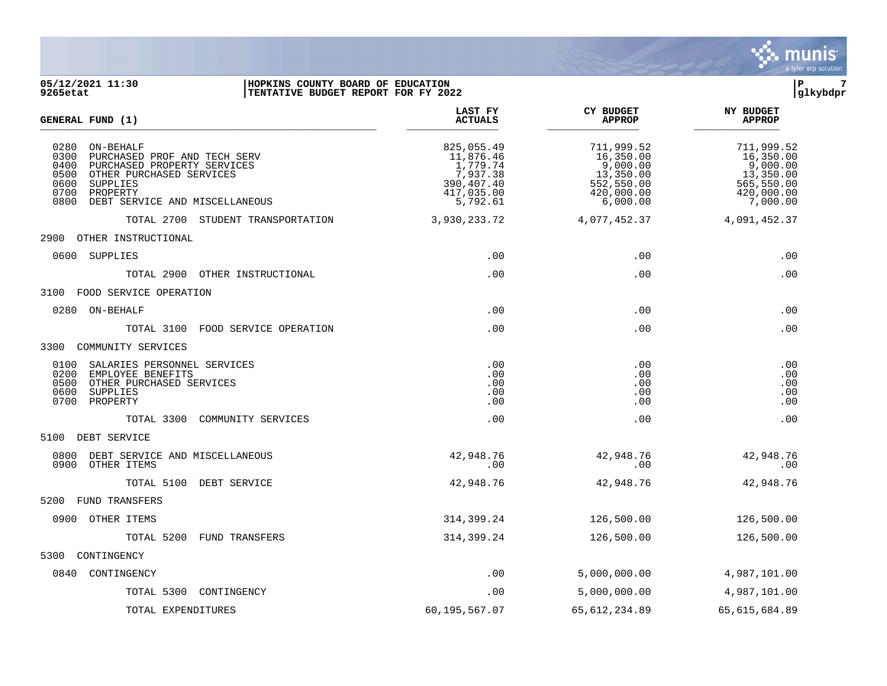

#### **05/12/2021 11:30 |HOPKINS COUNTY BOARD OF EDUCATION |P 7 9265etat |TENTATIVE BUDGET REPORT FOR FY 2022 |glkybdpr**

| <b>GENERAL FUND (1)</b>                                                                                                                                                                                                | LAST FY<br><b>ACTUALS</b>                                                               | <b>CY BUDGET</b><br><b>APPROP</b>                                                        | <b>NY BUDGET</b><br><b>APPROP</b>                                                        |
|------------------------------------------------------------------------------------------------------------------------------------------------------------------------------------------------------------------------|-----------------------------------------------------------------------------------------|------------------------------------------------------------------------------------------|------------------------------------------------------------------------------------------|
| 0280<br>ON-BEHALF<br>0300<br>PURCHASED PROF AND TECH SERV<br>0400<br>PURCHASED PROPERTY SERVICES<br>0500<br>OTHER PURCHASED SERVICES<br>0600<br>SUPPLIES<br>0700<br>PROPERTY<br>0800<br>DEBT SERVICE AND MISCELLANEOUS | 825,055.49<br>11,876.46<br>1,779.74<br>7,937.38<br>390,407.40<br>417,035.00<br>5,792.61 | 711,999.52<br>16,350.00<br>9,000.00<br>13,350.00<br>552,550.00<br>420,000.00<br>6,000.00 | 711,999.52<br>16,350.00<br>9,000.00<br>13,350.00<br>565,550.00<br>420,000.00<br>7,000.00 |
| TOTAL 2700 STUDENT TRANSPORTATION                                                                                                                                                                                      | 3,930,233.72                                                                            | 4,077,452.37                                                                             | 4,091,452.37                                                                             |
| 2900<br>OTHER INSTRUCTIONAL                                                                                                                                                                                            |                                                                                         |                                                                                          |                                                                                          |
| 0600<br>SUPPLIES                                                                                                                                                                                                       | .00                                                                                     | .00                                                                                      | .00                                                                                      |
| TOTAL 2900 OTHER INSTRUCTIONAL                                                                                                                                                                                         | .00                                                                                     | .00                                                                                      | .00                                                                                      |
| 3100 FOOD SERVICE OPERATION                                                                                                                                                                                            |                                                                                         |                                                                                          |                                                                                          |
| 0280<br>ON-BEHALF                                                                                                                                                                                                      | .00                                                                                     | .00                                                                                      | .00                                                                                      |
| FOOD SERVICE OPERATION<br>TOTAL 3100                                                                                                                                                                                   | .00                                                                                     | .00                                                                                      | .00                                                                                      |
| 3300<br>COMMUNITY SERVICES                                                                                                                                                                                             |                                                                                         |                                                                                          |                                                                                          |
| 0100<br>SALARIES PERSONNEL SERVICES<br>0200<br>EMPLOYEE BENEFITS<br>0500<br>OTHER PURCHASED SERVICES<br>0600<br>SUPPLIES<br>0700<br>PROPERTY                                                                           | .00<br>.00<br>.00<br>.00<br>.00                                                         | .00<br>.00<br>.00<br>.00<br>.00                                                          | .00<br>.00<br>.00<br>.00<br>.00                                                          |
| TOTAL 3300<br>COMMUNITY SERVICES                                                                                                                                                                                       | .00                                                                                     | .00                                                                                      | .00                                                                                      |
| 5100 DEBT SERVICE                                                                                                                                                                                                      |                                                                                         |                                                                                          |                                                                                          |
| 0800<br>DEBT SERVICE AND MISCELLANEOUS<br>0900<br>OTHER ITEMS                                                                                                                                                          | 42,948.76<br>.00                                                                        | 42,948.76<br>.00                                                                         | 42,948.76<br>.00                                                                         |
| TOTAL 5100<br>DEBT SERVICE                                                                                                                                                                                             | 42,948.76                                                                               | 42,948.76                                                                                | 42,948.76                                                                                |
| 5200<br>FUND TRANSFERS                                                                                                                                                                                                 |                                                                                         |                                                                                          |                                                                                          |
| 0900<br>OTHER ITEMS                                                                                                                                                                                                    | 314,399.24                                                                              | 126,500.00                                                                               | 126,500.00                                                                               |
| TOTAL 5200<br>FUND TRANSFERS                                                                                                                                                                                           | 314,399.24                                                                              | 126,500.00                                                                               | 126,500.00                                                                               |
| 5300<br>CONTINGENCY                                                                                                                                                                                                    |                                                                                         |                                                                                          |                                                                                          |
| 0840 CONTINGENCY                                                                                                                                                                                                       | .00                                                                                     | 5,000,000.00                                                                             | 4,987,101.00                                                                             |
| TOTAL 5300<br>CONTINGENCY                                                                                                                                                                                              | .00                                                                                     | 5,000,000.00                                                                             | 4,987,101.00                                                                             |
| TOTAL EXPENDITURES                                                                                                                                                                                                     | 60,195,567.07                                                                           | 65, 612, 234.89                                                                          | 65,615,684.89                                                                            |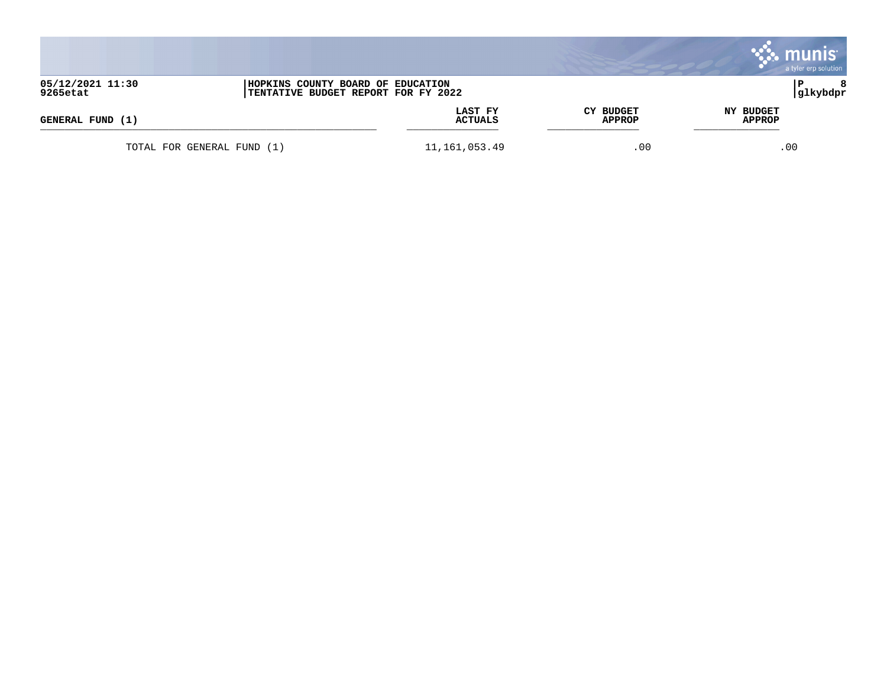|                              |                                                                          |                    |                                   | a tyler erp solution |
|------------------------------|--------------------------------------------------------------------------|--------------------|-----------------------------------|----------------------|
| 05/12/2021 11:30<br>9265etat | HOPKINS COUNTY BOARD OF EDUCATION<br>TENTATIVE BUDGET REPORT FOR FY 2022 |                    |                                   | 8<br>Р<br> glkybdpr  |
| GENERAL FUND (1)             |                                                                          | LAST FY<br>ACTUALS | <b>CY BUDGET</b><br><b>APPROP</b> | NY BUDGET<br>APPROP  |
|                              | TOTAL FOR GENERAL FUND (1)                                               | 11, 161, 053.49    | .00                               | $.00 \,$             |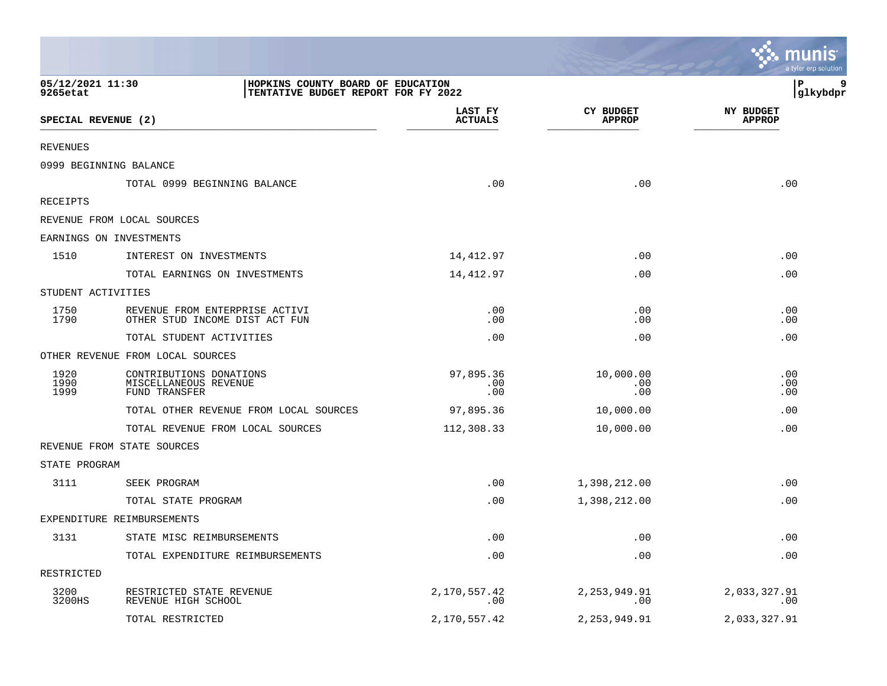|                              |                                                                          |                           |                                   | <b>POLITICITIES</b><br>a tyler erp solution |
|------------------------------|--------------------------------------------------------------------------|---------------------------|-----------------------------------|---------------------------------------------|
| 05/12/2021 11:30<br>9265etat | HOPKINS COUNTY BOARD OF EDUCATION<br>TENTATIVE BUDGET REPORT FOR FY 2022 |                           |                                   | lР<br>9<br> glkybdpr                        |
| SPECIAL REVENUE (2)          |                                                                          | LAST FY<br><b>ACTUALS</b> | <b>CY BUDGET</b><br><b>APPROP</b> | <b>NY BUDGET</b><br><b>APPROP</b>           |
| <b>REVENUES</b>              |                                                                          |                           |                                   |                                             |
|                              | 0999 BEGINNING BALANCE                                                   |                           |                                   |                                             |
|                              | TOTAL 0999 BEGINNING BALANCE                                             | .00                       | .00                               | .00                                         |
| RECEIPTS                     |                                                                          |                           |                                   |                                             |
|                              | REVENUE FROM LOCAL SOURCES                                               |                           |                                   |                                             |
|                              | EARNINGS ON INVESTMENTS                                                  |                           |                                   |                                             |
| 1510                         | INTEREST ON INVESTMENTS                                                  | 14,412.97                 | .00                               | .00                                         |
|                              | TOTAL EARNINGS ON INVESTMENTS                                            | 14,412.97                 | .00                               | .00                                         |
| STUDENT ACTIVITIES           |                                                                          |                           |                                   |                                             |
| 1750<br>1790                 | REVENUE FROM ENTERPRISE ACTIVI<br>OTHER STUD INCOME DIST ACT FUN         | .00<br>.00                | .00<br>.00                        | .00<br>.00                                  |
|                              | TOTAL STUDENT ACTIVITIES                                                 | .00                       | .00                               | .00                                         |
|                              | OTHER REVENUE FROM LOCAL SOURCES                                         |                           |                                   |                                             |
| 1920<br>1990<br>1999         | CONTRIBUTIONS DONATIONS<br>MISCELLANEOUS REVENUE<br>FUND TRANSFER        | 97,895.36<br>.00<br>.00   | 10,000.00<br>.00<br>.00           | .00<br>.00<br>.00                           |
|                              | TOTAL OTHER REVENUE FROM LOCAL SOURCES                                   | 97,895.36                 | 10,000.00                         | .00                                         |
|                              | TOTAL REVENUE FROM LOCAL SOURCES                                         | 112,308.33                | 10,000.00                         | .00                                         |
|                              | REVENUE FROM STATE SOURCES                                               |                           |                                   |                                             |
| STATE PROGRAM                |                                                                          |                           |                                   |                                             |
| 3111                         | SEEK PROGRAM                                                             | .00                       | 1,398,212.00                      | .00                                         |
|                              | TOTAL STATE PROGRAM                                                      | .00                       | 1,398,212.00                      | .00                                         |
|                              | EXPENDITURE REIMBURSEMENTS                                               |                           |                                   |                                             |
| 3131                         | STATE MISC REIMBURSEMENTS                                                | .00                       | .00                               | .00                                         |
|                              | TOTAL EXPENDITURE REIMBURSEMENTS                                         | .00                       | .00                               | .00                                         |
| RESTRICTED                   |                                                                          |                           |                                   |                                             |
| 3200<br>3200HS               | RESTRICTED STATE REVENUE<br>REVENUE HIGH SCHOOL                          | 2,170,557.42<br>.00       | 2, 253, 949.91<br>.00             | 2,033,327.91<br>.00                         |
|                              | TOTAL RESTRICTED                                                         | 2,170,557.42              | 2, 253, 949.91                    | 2,033,327.91                                |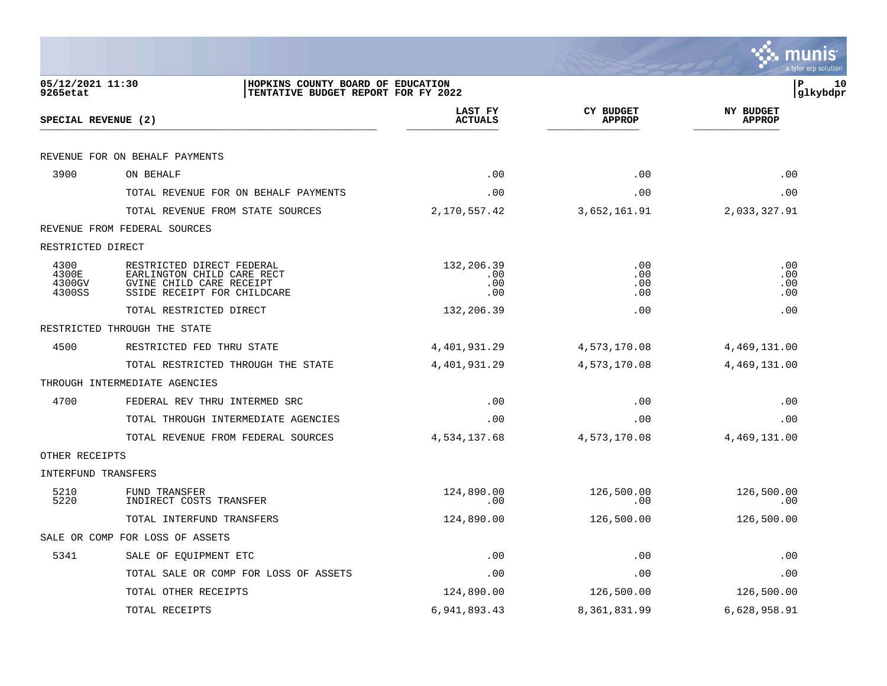|                                   |                                                                                                                    |                                 |                                   | a tyler erp solutior              |
|-----------------------------------|--------------------------------------------------------------------------------------------------------------------|---------------------------------|-----------------------------------|-----------------------------------|
| 05/12/2021 11:30<br>9265etat      | HOPKINS COUNTY BOARD OF EDUCATION<br>TENTATIVE BUDGET REPORT FOR FY 2022                                           |                                 |                                   | 10<br>ΙP<br>glkybdpr              |
| SPECIAL REVENUE (2)               |                                                                                                                    | LAST FY<br><b>ACTUALS</b>       | <b>CY BUDGET</b><br><b>APPROP</b> | <b>NY BUDGET</b><br><b>APPROP</b> |
|                                   | REVENUE FOR ON BEHALF PAYMENTS                                                                                     |                                 |                                   |                                   |
| 3900                              | ON BEHALF                                                                                                          | .00                             | .00                               | .00                               |
|                                   | TOTAL REVENUE FOR ON BEHALF PAYMENTS                                                                               | .00                             | .00                               | .00                               |
|                                   | TOTAL REVENUE FROM STATE SOURCES                                                                                   | 2,170,557.42                    | 3,652,161.91                      | 2,033,327.91                      |
|                                   | REVENUE FROM FEDERAL SOURCES                                                                                       |                                 |                                   |                                   |
| RESTRICTED DIRECT                 |                                                                                                                    |                                 |                                   |                                   |
| 4300<br>4300E<br>4300GV<br>4300SS | RESTRICTED DIRECT FEDERAL<br>EARLINGTON CHILD CARE RECT<br>GVINE CHILD CARE RECEIPT<br>SSIDE RECEIPT FOR CHILDCARE | 132,206.39<br>.00<br>.00<br>.00 | .00<br>.00<br>.00<br>.00          | .00<br>.00<br>.00<br>.00          |
|                                   | TOTAL RESTRICTED DIRECT                                                                                            | 132,206.39                      | .00                               | .00                               |
|                                   | RESTRICTED THROUGH THE STATE                                                                                       |                                 |                                   |                                   |
| 4500                              | RESTRICTED FED THRU STATE                                                                                          | 4,401,931.29                    | 4,573,170.08                      | 4,469,131.00                      |
|                                   | TOTAL RESTRICTED THROUGH THE STATE                                                                                 | 4,401,931.29                    | 4,573,170.08                      | 4,469,131.00                      |
|                                   | THROUGH INTERMEDIATE AGENCIES                                                                                      |                                 |                                   |                                   |
| 4700                              | FEDERAL REV THRU INTERMED SRC                                                                                      | .00                             | .00                               | .00                               |
|                                   | TOTAL THROUGH INTERMEDIATE AGENCIES                                                                                | .00                             | .00                               | .00                               |
|                                   | TOTAL REVENUE FROM FEDERAL SOURCES                                                                                 | 4,534,137.68                    | 4,573,170.08                      | 4,469,131.00                      |
| OTHER RECEIPTS                    |                                                                                                                    |                                 |                                   |                                   |
| INTERFUND TRANSFERS               |                                                                                                                    |                                 |                                   |                                   |
| 5210<br>5220                      | FUND TRANSFER<br>INDIRECT COSTS TRANSFER                                                                           | 124,890.00<br>.00               | 126,500.00<br>.00                 | 126,500.00<br>.00                 |
|                                   | TOTAL INTERFUND TRANSFERS                                                                                          | 124,890.00                      | 126,500.00                        | 126,500.00                        |
|                                   | SALE OR COMP FOR LOSS OF ASSETS                                                                                    |                                 |                                   |                                   |
| 5341                              | SALE OF EQUIPMENT ETC                                                                                              | .00                             | .00                               | .00                               |
|                                   | TOTAL SALE OR COMP FOR LOSS OF ASSETS                                                                              | .00                             | .00                               | .00                               |
|                                   | TOTAL OTHER RECEIPTS                                                                                               | 124,890.00                      | 126,500.00                        | 126,500.00                        |
|                                   | TOTAL RECEIPTS                                                                                                     | 6,941,893.43                    | 8,361,831.99                      | 6,628,958.91                      |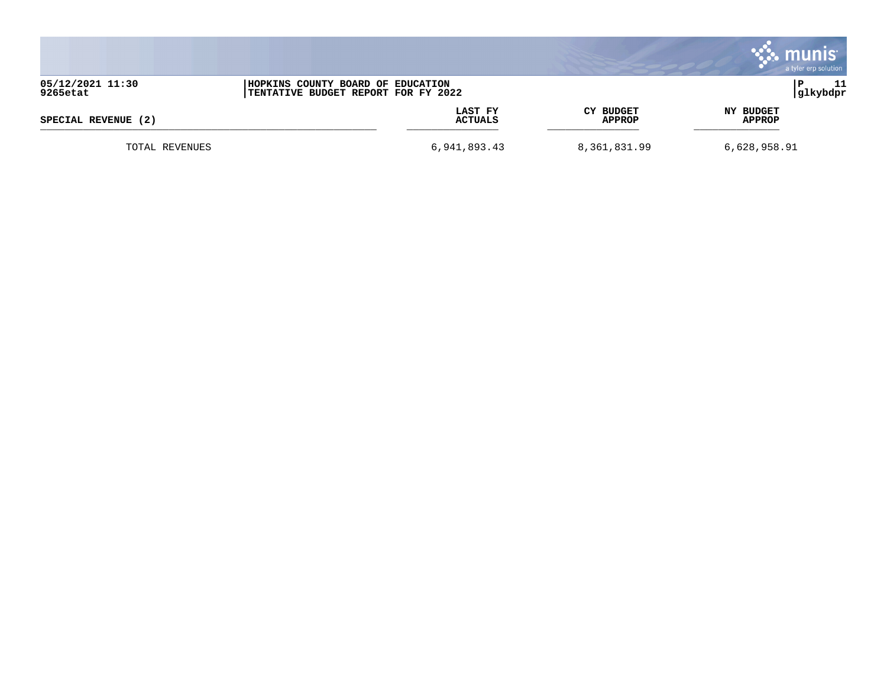|                              |                                                                          |                           |                                   |                            | munis <sup>®</sup><br>a tyler erp solution |
|------------------------------|--------------------------------------------------------------------------|---------------------------|-----------------------------------|----------------------------|--------------------------------------------|
| 05/12/2021 11:30<br>9265etat | HOPKINS COUNTY BOARD OF EDUCATION<br>TENTATIVE BUDGET REPORT FOR FY 2022 |                           |                                   |                            | 11<br>P<br> glkybdpr                       |
| SPECIAL REVENUE (2)          |                                                                          | LAST FY<br><b>ACTUALS</b> | <b>CY BUDGET</b><br><b>APPROP</b> | NY BUDGET<br><b>APPROP</b> |                                            |
| TOTAL REVENUES               |                                                                          | 6,941,893.43              | 8,361,831.99                      | 6,628,958.91               |                                            |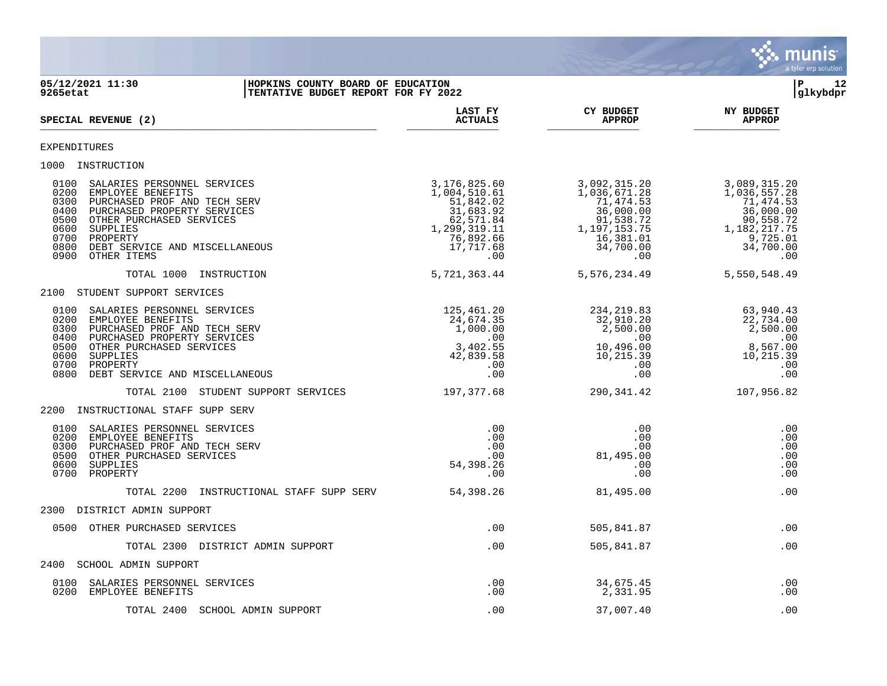

# **05/12/2021 11:30 |HOPKINS COUNTY BOARD OF EDUCATION |P 12 9265etat |TENTATIVE BUDGET REPORT FOR FY 2022 |glkybdpr**

| SPECIAL REVENUE (2)                                                                                                                                                                                                                                                                                 | LAST FY<br><b>ACTUALS</b>                                                                                            | <b>CY BUDGET</b><br><b>APPROP</b>                                                                                    | <b>NY BUDGET</b><br><b>APPROP</b>                                                                                      |
|-----------------------------------------------------------------------------------------------------------------------------------------------------------------------------------------------------------------------------------------------------------------------------------------------------|----------------------------------------------------------------------------------------------------------------------|----------------------------------------------------------------------------------------------------------------------|------------------------------------------------------------------------------------------------------------------------|
| <b>EXPENDITURES</b>                                                                                                                                                                                                                                                                                 |                                                                                                                      |                                                                                                                      |                                                                                                                        |
| 1000 INSTRUCTION                                                                                                                                                                                                                                                                                    |                                                                                                                      |                                                                                                                      |                                                                                                                        |
| 0100<br>SALARIES PERSONNEL SERVICES<br>0200<br>EMPLOYEE BENEFITS<br>0300<br>PURCHASED PROF AND TECH SERV<br>0400<br>PURCHASED PROPERTY SERVICES<br>0500<br>OTHER PURCHASED SERVICES<br>0600<br><b>SUPPLIES</b><br>0700<br>PROPERTY<br>0800<br>DEBT SERVICE AND MISCELLANEOUS<br>0900<br>OTHER ITEMS | 3,176,825.60<br>1,004,510.61<br>51,842.02<br>31,683.92<br>62,571.84<br>1,299,319.11<br>76,892.66<br>17,717.68<br>.00 | 3,092,315.20<br>1,036,671.28<br>71,474.53<br>36,000.00<br>91,538.72<br>1,197,153.75<br>16,381.01<br>34,700.00<br>.00 | 3,089,315.20<br>1,036,557.28<br>71,474.53<br>36,000.00<br>90,558.72<br>1, 182, 217. 75<br>9,725.01<br>34,700.00<br>.00 |
| TOTAL 1000<br>INSTRUCTION                                                                                                                                                                                                                                                                           | 5,721,363.44                                                                                                         | 5,576,234.49                                                                                                         | 5,550,548.49                                                                                                           |
| STUDENT SUPPORT SERVICES<br>2100                                                                                                                                                                                                                                                                    |                                                                                                                      |                                                                                                                      |                                                                                                                        |
| 0100<br>SALARIES PERSONNEL SERVICES<br>0200<br>EMPLOYEE BENEFITS<br>0300<br>PURCHASED PROF AND TECH SERV<br>0400<br>PURCHASED PROPERTY SERVICES<br>0500<br>OTHER PURCHASED SERVICES<br>0600<br>SUPPLIES<br>0700<br>PROPERTY<br>0800<br>DEBT SERVICE AND MISCELLANEOUS                               | 125,461.20<br>24,674.35<br>1,000.00<br>.00<br>3,402.55<br>42,839.58<br>.00<br>.00                                    | 234, 219.83<br>32,910.20<br>2,500.00<br>.00<br>10,496.00<br>10,215.39<br>.00<br>.00                                  | 63,940.43<br>22,734.00<br>2,500.00<br>.00<br>8,567.00<br>10,215.39<br>.00<br>.00                                       |
| TOTAL 2100<br>STUDENT SUPPORT SERVICES                                                                                                                                                                                                                                                              | 197,377.68                                                                                                           | 290, 341.42                                                                                                          | 107,956.82                                                                                                             |
| 2200<br>INSTRUCTIONAL STAFF SUPP SERV                                                                                                                                                                                                                                                               |                                                                                                                      |                                                                                                                      |                                                                                                                        |
| 0100<br>SALARIES PERSONNEL SERVICES<br>0200<br>EMPLOYEE BENEFITS<br>0300<br>PURCHASED PROF AND TECH SERV<br>OTHER PURCHASED SERVICES<br>0500<br>0600<br><b>SUPPLIES</b><br>0700<br>PROPERTY                                                                                                         | .00<br>.00<br>.00<br>.00<br>54,398.26<br>.00                                                                         | .00<br>.00<br>.00<br>81,495.00<br>.00<br>.00                                                                         | .00<br>.00<br>.00<br>.00<br>.00<br>.00                                                                                 |
| TOTAL 2200<br>INSTRUCTIONAL STAFF SUPP SERV                                                                                                                                                                                                                                                         | 54,398.26                                                                                                            | 81,495.00                                                                                                            | .00                                                                                                                    |
| 2300<br>DISTRICT ADMIN SUPPORT                                                                                                                                                                                                                                                                      |                                                                                                                      |                                                                                                                      |                                                                                                                        |
| OTHER PURCHASED SERVICES<br>0500                                                                                                                                                                                                                                                                    | .00                                                                                                                  | 505,841.87                                                                                                           | .00                                                                                                                    |
| TOTAL 2300 DISTRICT ADMIN SUPPORT                                                                                                                                                                                                                                                                   | .00                                                                                                                  | 505,841.87                                                                                                           | .00                                                                                                                    |
| <b>SCHOOL ADMIN SUPPORT</b><br>2400                                                                                                                                                                                                                                                                 |                                                                                                                      |                                                                                                                      |                                                                                                                        |
| 0100<br>SALARIES PERSONNEL SERVICES<br>0200<br>EMPLOYEE BENEFITS                                                                                                                                                                                                                                    | .00<br>.00                                                                                                           | 34,675.45<br>2,331.95                                                                                                | .00<br>.00                                                                                                             |
| TOTAL 2400<br>SCHOOL ADMIN SUPPORT                                                                                                                                                                                                                                                                  | .00                                                                                                                  | 37,007.40                                                                                                            | .00                                                                                                                    |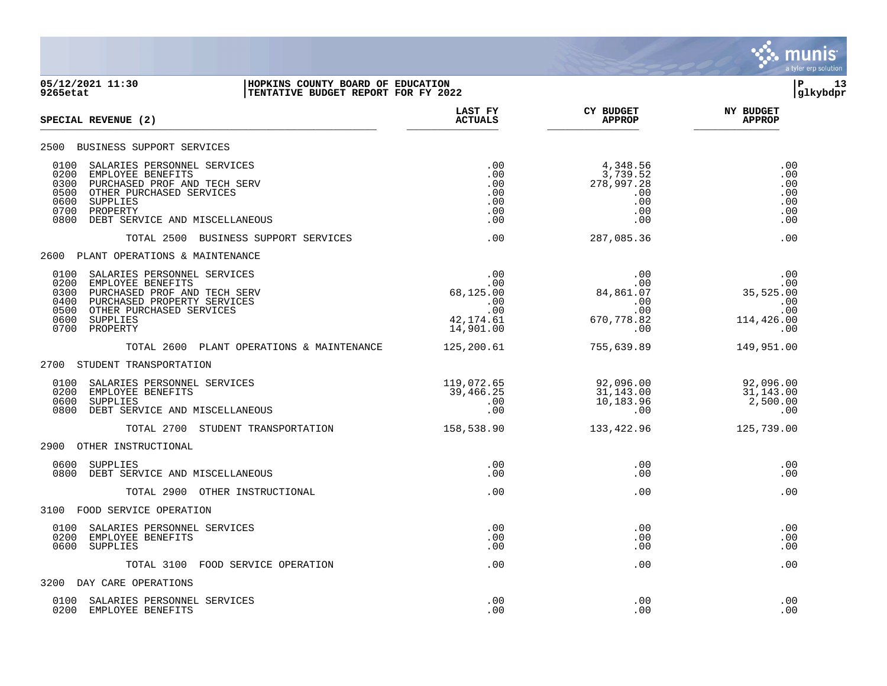

### **05/12/2021 11:30 |HOPKINS COUNTY BOARD OF EDUCATION |P 13 9265etat |TENTATIVE BUDGET REPORT FOR FY 2022 |glkybdpr**

| SPECIAL REVENUE (2)                                                                                                                                                                                                            | LAST FY<br><b>ACTUALS</b>                                                  | <b>CY BUDGET</b><br><b>APPROP</b>                                      | <b>NY BUDGET</b><br><b>APPROP</b>                          |
|--------------------------------------------------------------------------------------------------------------------------------------------------------------------------------------------------------------------------------|----------------------------------------------------------------------------|------------------------------------------------------------------------|------------------------------------------------------------|
| 2500<br>BUSINESS SUPPORT SERVICES                                                                                                                                                                                              |                                                                            |                                                                        |                                                            |
| 0100<br>SALARIES PERSONNEL SERVICES<br>0200<br>EMPLOYEE BENEFITS<br>0300<br>PURCHASED PROF AND TECH SERV<br>OTHER PURCHASED SERVICES<br>0500<br>0600<br>SUPPLIES<br>0700<br>PROPERTY<br>DEBT SERVICE AND MISCELLANEOUS<br>0800 | .00<br>.00<br>.00<br>.00<br>.00<br>.00<br>.00                              | 4,348.56<br>3,739.52<br>278,997.28<br>.00<br>.00<br>.00<br>.00         | .00<br>.00<br>.00<br>.00<br>.00<br>.00<br>.00              |
| TOTAL 2500<br>BUSINESS SUPPORT SERVICES                                                                                                                                                                                        | .00                                                                        | 287,085.36                                                             | .00                                                        |
| 2600<br>PLANT OPERATIONS & MAINTENANCE                                                                                                                                                                                         |                                                                            |                                                                        |                                                            |
| 0100<br>SALARIES PERSONNEL SERVICES<br>0200<br>EMPLOYEE BENEFITS<br>0300<br>PURCHASED PROF AND TECH SERV<br>0400<br>PURCHASED PROPERTY SERVICES<br>0500<br>OTHER PURCHASED SERVICES<br>0600<br>SUPPLIES<br>0700<br>PROPERTY    | .00<br>$.00 \,$<br>68,125.00<br>.00<br>$.00 \,$<br>42, 174.61<br>14,901.00 | .00<br>$.00 \,$<br>84,861.07<br>.00<br>$.00 \ \,$<br>670,778.82<br>.00 | .00<br>.00<br>35,525.00<br>.00<br>.00<br>114,426.00<br>.00 |
| TOTAL 2600 PLANT OPERATIONS & MAINTENANCE                                                                                                                                                                                      | 125,200.61                                                                 | 755,639.89                                                             | 149,951.00                                                 |
| 2700<br>STUDENT TRANSPORTATION                                                                                                                                                                                                 |                                                                            |                                                                        |                                                            |
| 0100<br>SALARIES PERSONNEL SERVICES<br>0200<br>EMPLOYEE BENEFITS<br>0600<br>SUPPLIES<br>0800<br>DEBT SERVICE AND MISCELLANEOUS                                                                                                 | 119,072.65<br>39,466.25<br>.00<br>.00                                      | 92,096.00<br>31,143.00<br>10,183.96<br>.00                             | 92,096.00<br>31,143.00<br>2,500.00<br>.00                  |
| TOTAL 2700 STUDENT TRANSPORTATION                                                                                                                                                                                              | 158,538.90                                                                 | 133,422.96                                                             | 125,739.00                                                 |
| 2900<br>OTHER INSTRUCTIONAL                                                                                                                                                                                                    |                                                                            |                                                                        |                                                            |
| 0600<br>SUPPLIES<br>0800<br>DEBT SERVICE AND MISCELLANEOUS                                                                                                                                                                     | .00<br>.00                                                                 | .00<br>.00                                                             | .00<br>.00                                                 |
| TOTAL 2900 OTHER INSTRUCTIONAL                                                                                                                                                                                                 | .00                                                                        | .00                                                                    | .00                                                        |
| 3100<br>FOOD SERVICE OPERATION                                                                                                                                                                                                 |                                                                            |                                                                        |                                                            |
| 0100<br>SALARIES PERSONNEL SERVICES<br>0200<br>EMPLOYEE BENEFITS<br>0600<br>SUPPLIES                                                                                                                                           | .00<br>.00<br>.00                                                          | .00<br>.00<br>.00                                                      | .00<br>.00<br>.00                                          |
| TOTAL 3100<br>FOOD SERVICE OPERATION                                                                                                                                                                                           | .00                                                                        | .00                                                                    | .00                                                        |
| 3200<br>DAY CARE OPERATIONS                                                                                                                                                                                                    |                                                                            |                                                                        |                                                            |
| 0100<br>SALARIES PERSONNEL SERVICES<br>0200<br>EMPLOYEE BENEFITS                                                                                                                                                               | .00<br>.00                                                                 | .00<br>.00                                                             | .00<br>.00                                                 |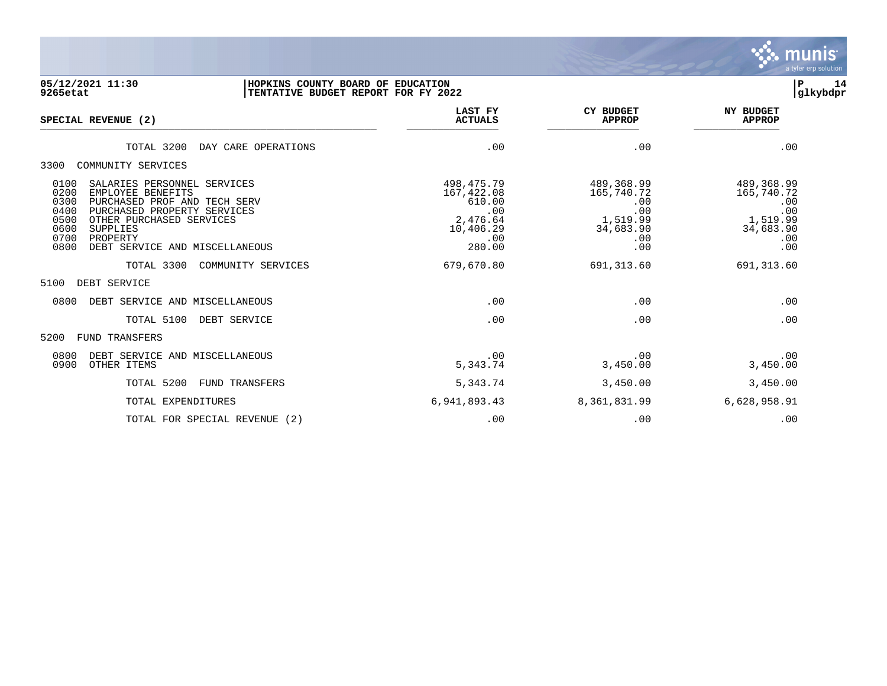

## **05/12/2021 11:30 |HOPKINS COUNTY BOARD OF EDUCATION |P 14 9265etat |TENTATIVE BUDGET REPORT FOR FY 2022 |glkybdpr**

| SPECIAL REVENUE (2)                                                                                                                                                                                                                                                          | LAST FY<br><b>ACTUALS</b>                                                             | <b>CY BUDGET</b><br><b>APPROP</b>                                             | <b>NY BUDGET</b><br><b>APPROP</b>                                             |
|------------------------------------------------------------------------------------------------------------------------------------------------------------------------------------------------------------------------------------------------------------------------------|---------------------------------------------------------------------------------------|-------------------------------------------------------------------------------|-------------------------------------------------------------------------------|
| TOTAL 3200<br>DAY CARE OPERATIONS                                                                                                                                                                                                                                            | .00                                                                                   | .00                                                                           | .00                                                                           |
| 3300<br>COMMUNITY SERVICES                                                                                                                                                                                                                                                   |                                                                                       |                                                                               |                                                                               |
| 0100<br>SALARIES PERSONNEL SERVICES<br>0200<br>EMPLOYEE BENEFITS<br>0300<br>PURCHASED PROF AND TECH SERV<br>0400<br>PURCHASED PROPERTY SERVICES<br>0500<br>OTHER PURCHASED SERVICES<br>0600<br><b>SUPPLIES</b><br>0700<br>PROPERTY<br>0800<br>DEBT SERVICE AND MISCELLANEOUS | 498, 475. 79<br>167,422.08<br>610.00<br>.00<br>2,476.64<br>10,406.29<br>.00<br>280.00 | 489,368.99<br>165,740.72<br>.00<br>.00<br>1,519.99<br>34,683.90<br>.00<br>.00 | 489,368.99<br>165,740.72<br>.00<br>$00 \ 1,519.99$<br>34,683.90<br>.00<br>.00 |
| TOTAL 3300<br>COMMUNITY SERVICES                                                                                                                                                                                                                                             | 679,670.80                                                                            | 691, 313.60                                                                   | 691, 313.60                                                                   |
| 5100<br>DEBT SERVICE                                                                                                                                                                                                                                                         |                                                                                       |                                                                               |                                                                               |
| 0800<br>DEBT SERVICE AND MISCELLANEOUS                                                                                                                                                                                                                                       | .00                                                                                   | .00                                                                           | .00                                                                           |
| TOTAL 5100<br>DEBT SERVICE                                                                                                                                                                                                                                                   | .00                                                                                   | .00                                                                           | .00                                                                           |
| 5200<br><b>FUND TRANSFERS</b>                                                                                                                                                                                                                                                |                                                                                       |                                                                               |                                                                               |
| 0800<br>DEBT SERVICE AND MISCELLANEOUS<br>0900<br>OTHER ITEMS                                                                                                                                                                                                                | .00<br>5,343.74                                                                       | .00<br>3,450.00                                                               | .00<br>3,450.00                                                               |
| TOTAL 5200<br>FUND TRANSFERS                                                                                                                                                                                                                                                 | 5,343.74                                                                              | 3,450.00                                                                      | 3,450.00                                                                      |
| TOTAL EXPENDITURES                                                                                                                                                                                                                                                           | 6,941,893.43                                                                          | 8,361,831.99                                                                  | 6,628,958.91                                                                  |
| TOTAL FOR SPECIAL REVENUE<br>(2)                                                                                                                                                                                                                                             | .00                                                                                   | .00                                                                           | .00                                                                           |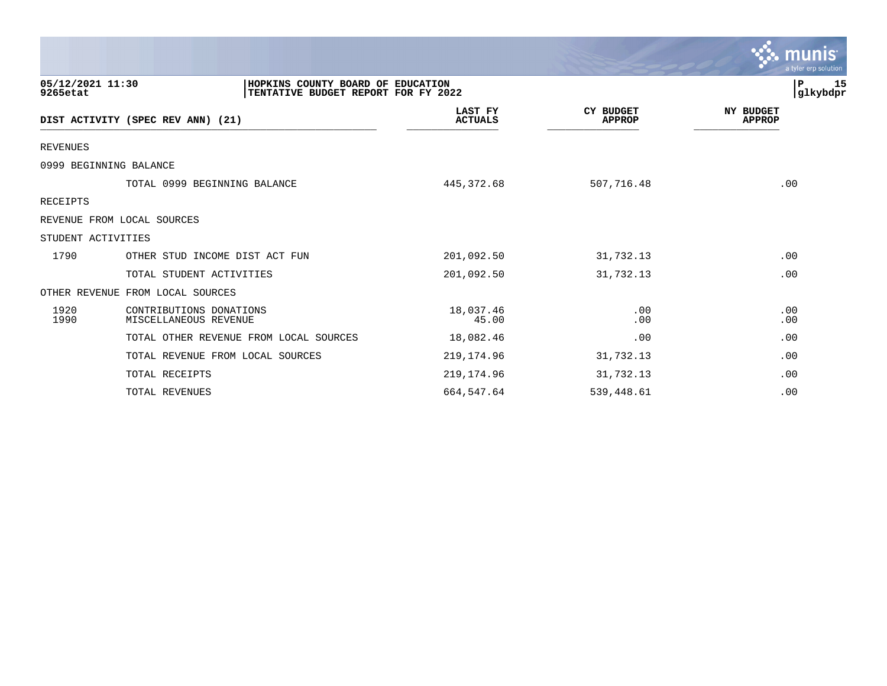|                              |                                                                          |                           |                                   | munıs<br>a tyler erp solution     |
|------------------------------|--------------------------------------------------------------------------|---------------------------|-----------------------------------|-----------------------------------|
| 05/12/2021 11:30<br>9265etat | HOPKINS COUNTY BOARD OF EDUCATION<br>TENTATIVE BUDGET REPORT FOR FY 2022 |                           |                                   | ${\bf P}$<br>15<br>glkybdpr       |
|                              | DIST ACTIVITY (SPEC REV ANN) (21)                                        | LAST FY<br><b>ACTUALS</b> | <b>CY BUDGET</b><br><b>APPROP</b> | <b>NY BUDGET</b><br><b>APPROP</b> |
| <b>REVENUES</b>              |                                                                          |                           |                                   |                                   |
|                              | 0999 BEGINNING BALANCE                                                   |                           |                                   |                                   |
|                              | TOTAL 0999 BEGINNING BALANCE                                             | 445, 372.68               | 507,716.48                        | .00                               |
| <b>RECEIPTS</b>              |                                                                          |                           |                                   |                                   |
|                              | REVENUE FROM LOCAL SOURCES                                               |                           |                                   |                                   |
| STUDENT ACTIVITIES           |                                                                          |                           |                                   |                                   |
| 1790                         | OTHER STUD INCOME DIST ACT FUN                                           | 201,092.50                | 31,732.13                         | .00                               |
|                              | TOTAL STUDENT ACTIVITIES                                                 | 201,092.50                | 31,732.13                         | .00                               |
|                              | OTHER REVENUE FROM LOCAL SOURCES                                         |                           |                                   |                                   |
| 1920<br>1990                 | CONTRIBUTIONS DONATIONS<br>MISCELLANEOUS REVENUE                         | 18,037.46<br>45.00        | .00<br>.00                        | .00<br>.00                        |
|                              | TOTAL OTHER REVENUE FROM LOCAL SOURCES                                   | 18,082.46                 | .00                               | .00                               |
|                              | TOTAL REVENUE FROM LOCAL SOURCES                                         | 219, 174.96               | 31,732.13                         | .00                               |
|                              | TOTAL RECEIPTS                                                           | 219, 174.96               | 31,732.13                         | .00                               |
|                              | TOTAL REVENUES                                                           | 664,547.64                | 539,448.61                        | .00                               |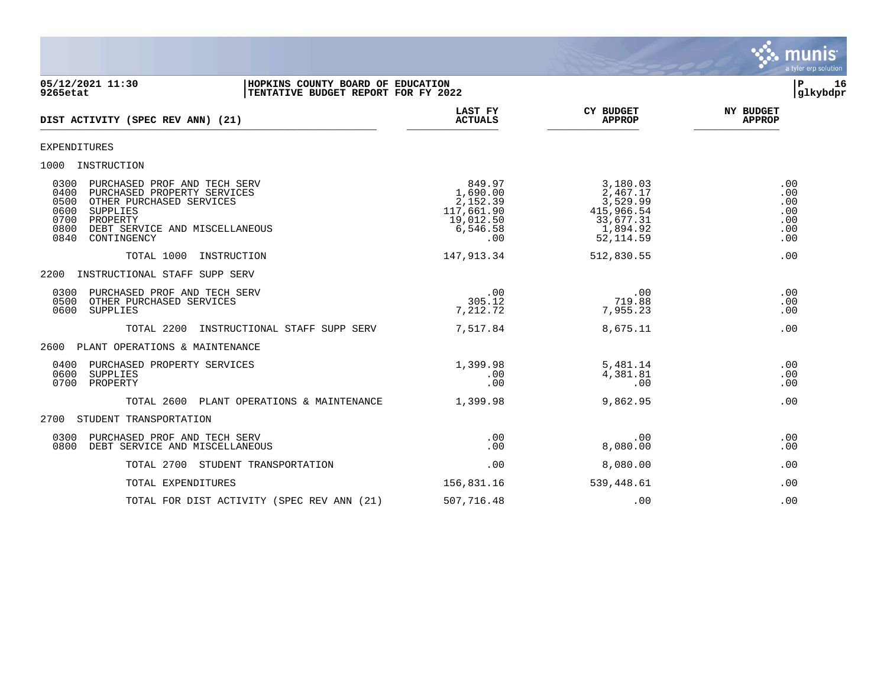

## **05/12/2021 11:30 |HOPKINS COUNTY BOARD OF EDUCATION |P 16 9265etat |TENTATIVE BUDGET REPORT FOR FY 2022 |glkybdpr**

| DIST ACTIVITY (SPEC REV ANN) (21)                                                                                                                                                                                        | LAST FY<br><b>ACTUALS</b>                                                    | <b>CY BUDGET</b><br><b>APPROP</b>                                                     | <b>NY BUDGET</b><br><b>APPROP</b>             |
|--------------------------------------------------------------------------------------------------------------------------------------------------------------------------------------------------------------------------|------------------------------------------------------------------------------|---------------------------------------------------------------------------------------|-----------------------------------------------|
| <b>EXPENDITURES</b>                                                                                                                                                                                                      |                                                                              |                                                                                       |                                               |
| 1000<br>INSTRUCTION                                                                                                                                                                                                      |                                                                              |                                                                                       |                                               |
| 0300<br>PURCHASED PROF AND TECH SERV<br>0400<br>PURCHASED PROPERTY SERVICES<br>0500<br>OTHER PURCHASED SERVICES<br>0600<br>SUPPLIES<br>0700<br>PROPERTY<br>0800<br>DEBT SERVICE AND MISCELLANEOUS<br>0840<br>CONTINGENCY | 849.97<br>1,690.00<br>2,152.39<br>117,661.90<br>19,012.50<br>6,546.58<br>.00 | 3,180.03<br>2,467.17<br>3,529.99<br>415,966.54<br>33,677.31<br>1,894.92<br>52, 114.59 | .00<br>.00<br>.00<br>.00<br>.00<br>.00<br>.00 |
| TOTAL 1000<br>INSTRUCTION                                                                                                                                                                                                | 147,913.34                                                                   | 512,830.55                                                                            | .00                                           |
| 2200<br>INSTRUCTIONAL STAFF SUPP SERV                                                                                                                                                                                    |                                                                              |                                                                                       |                                               |
| 0300<br>PURCHASED PROF AND TECH SERV<br>0500<br>OTHER PURCHASED SERVICES<br>0600<br><b>SUPPLIES</b>                                                                                                                      | .00<br>305.12<br>7,212.72                                                    | .00<br>719.88<br>7,955.23                                                             | .00<br>.00<br>.00                             |
| TOTAL 2200<br>INSTRUCTIONAL STAFF SUPP SERV                                                                                                                                                                              | 7,517.84                                                                     | 8,675.11                                                                              | .00                                           |
| PLANT OPERATIONS & MAINTENANCE<br>2600                                                                                                                                                                                   |                                                                              |                                                                                       |                                               |
| PURCHASED PROPERTY SERVICES<br>0400<br>0600<br>SUPPLIES<br>0700<br>PROPERTY                                                                                                                                              | 1,399.98<br>.00<br>.00                                                       | 5,481.14<br>4,381.81<br>.00                                                           | .00<br>.00<br>.00                             |
| TOTAL 2600<br>PLANT OPERATIONS & MAINTENANCE                                                                                                                                                                             | 1,399.98                                                                     | 9,862.95                                                                              | .00                                           |
| 2700<br>STUDENT TRANSPORTATION                                                                                                                                                                                           |                                                                              |                                                                                       |                                               |
| 0300<br>PURCHASED PROF AND TECH SERV<br>0800<br>DEBT SERVICE AND MISCELLANEOUS                                                                                                                                           | .00<br>.00                                                                   | .00<br>8,080.00                                                                       | .00<br>.00                                    |
| TOTAL 2700<br>STUDENT TRANSPORTATION                                                                                                                                                                                     | .00                                                                          | 8,080.00                                                                              | .00                                           |
| TOTAL EXPENDITURES                                                                                                                                                                                                       | 156,831.16                                                                   | 539,448.61                                                                            | .00                                           |
| TOTAL FOR DIST ACTIVITY (SPEC REV ANN (21)                                                                                                                                                                               | 507,716.48                                                                   | .00                                                                                   | .00                                           |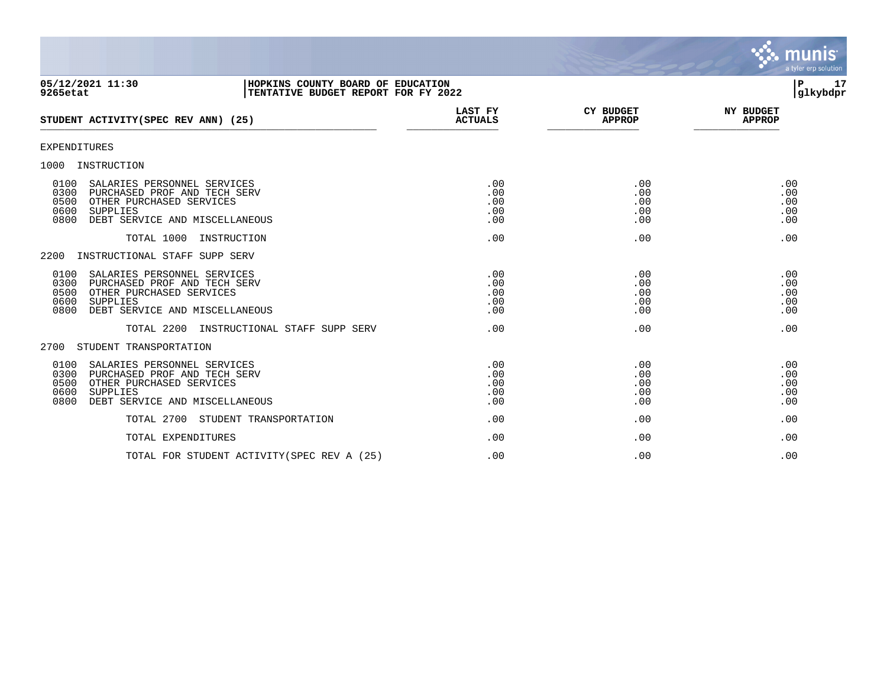

#### **05/12/2021 11:30 |HOPKINS COUNTY BOARD OF EDUCATION |P 17 9265etat |TENTATIVE BUDGET REPORT FOR FY 2022 |glkybdpr**

| STUDENT ACTIVITY (SPEC REV ANN) (25)                                                                                                                                          | LAST FY<br><b>ACTUALS</b>       | CY BUDGET<br><b>APPROP</b>      | <b>NY BUDGET</b><br><b>APPROP</b> |
|-------------------------------------------------------------------------------------------------------------------------------------------------------------------------------|---------------------------------|---------------------------------|-----------------------------------|
| <b>EXPENDITURES</b>                                                                                                                                                           |                                 |                                 |                                   |
| 1000<br>INSTRUCTION                                                                                                                                                           |                                 |                                 |                                   |
| 0100<br>SALARIES PERSONNEL SERVICES<br>0300<br>PURCHASED PROF AND TECH SERV<br>0500<br>OTHER PURCHASED SERVICES<br>0600<br>SUPPLIES<br>DEBT SERVICE AND MISCELLANEOUS<br>0800 | .00<br>.00<br>.00<br>.00<br>.00 | .00<br>.00<br>.00<br>.00<br>.00 | .00<br>.00<br>.00<br>.00<br>.00   |
| TOTAL 1000<br>INSTRUCTION                                                                                                                                                     | .00                             | .00                             | .00                               |
| INSTRUCTIONAL STAFF SUPP SERV<br>2200                                                                                                                                         |                                 |                                 |                                   |
| 0100<br>SALARIES PERSONNEL SERVICES<br>0300<br>PURCHASED PROF AND TECH SERV<br>0500<br>OTHER PURCHASED SERVICES<br>0600<br>SUPPLIES<br>0800<br>DEBT SERVICE AND MISCELLANEOUS | .00<br>.00<br>.00<br>.00<br>.00 | .00<br>.00<br>.00<br>.00<br>.00 | .00<br>.00<br>.00<br>.00<br>.00   |
| TOTAL 2200<br>INSTRUCTIONAL STAFF SUPP SERV                                                                                                                                   | .00                             | .00                             | .00                               |
| STUDENT TRANSPORTATION<br>2700                                                                                                                                                |                                 |                                 |                                   |
| 0100<br>SALARIES PERSONNEL SERVICES<br>0300<br>PURCHASED PROF AND TECH SERV<br>0500<br>OTHER PURCHASED SERVICES<br>0600<br>SUPPLIES<br>0800<br>DEBT SERVICE AND MISCELLANEOUS | .00<br>.00<br>.00<br>.00<br>.00 | .00<br>.00<br>.00<br>.00<br>.00 | .00<br>.00<br>.00<br>.00<br>.00   |
| TOTAL 2700<br>STUDENT TRANSPORTATION                                                                                                                                          | .00                             | .00                             | .00                               |
| TOTAL EXPENDITURES                                                                                                                                                            | .00                             | .00                             | .00                               |
| TOTAL FOR STUDENT ACTIVITY (SPEC REV A (25)                                                                                                                                   | .00                             | .00                             | .00                               |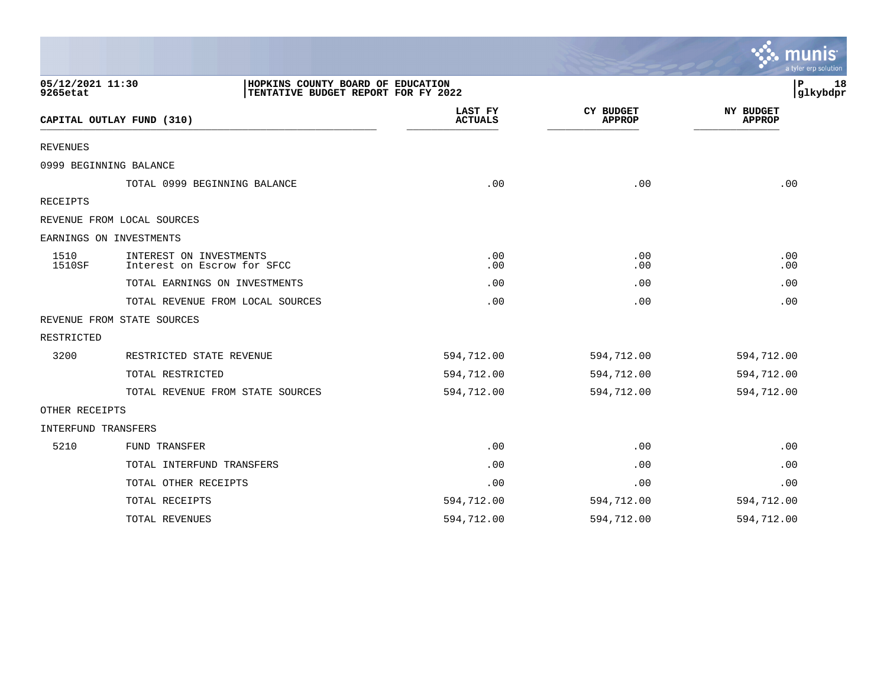|                              |                                                                          |                           |                                   | a tyler erp solution              |
|------------------------------|--------------------------------------------------------------------------|---------------------------|-----------------------------------|-----------------------------------|
| 05/12/2021 11:30<br>9265etat | HOPKINS COUNTY BOARD OF EDUCATION<br>TENTATIVE BUDGET REPORT FOR FY 2022 |                           |                                   | 18<br>P<br>glkybdpr               |
|                              | CAPITAL OUTLAY FUND (310)                                                | LAST FY<br><b>ACTUALS</b> | <b>CY BUDGET</b><br><b>APPROP</b> | <b>NY BUDGET</b><br><b>APPROP</b> |
| REVENUES                     |                                                                          |                           |                                   |                                   |
|                              | 0999 BEGINNING BALANCE                                                   |                           |                                   |                                   |
|                              | TOTAL 0999 BEGINNING BALANCE                                             | .00                       | .00                               | .00                               |
| <b>RECEIPTS</b>              |                                                                          |                           |                                   |                                   |
|                              | REVENUE FROM LOCAL SOURCES                                               |                           |                                   |                                   |
|                              | EARNINGS ON INVESTMENTS                                                  |                           |                                   |                                   |
| 1510<br><b>1510SF</b>        | INTEREST ON INVESTMENTS<br>Interest on Escrow for SFCC                   | .00.<br>.00               | .00<br>.00                        | .00<br>.00                        |
|                              | TOTAL EARNINGS ON INVESTMENTS                                            | .00                       | .00                               | .00                               |
|                              | TOTAL REVENUE FROM LOCAL SOURCES                                         | .00                       | .00                               | .00                               |
|                              | REVENUE FROM STATE SOURCES                                               |                           |                                   |                                   |
| RESTRICTED                   |                                                                          |                           |                                   |                                   |
| 3200                         | RESTRICTED STATE REVENUE                                                 | 594,712.00                | 594,712.00                        | 594,712.00                        |
|                              | TOTAL RESTRICTED                                                         | 594,712.00                | 594,712.00                        | 594,712.00                        |
|                              | TOTAL REVENUE FROM STATE SOURCES                                         | 594,712.00                | 594,712.00                        | 594,712.00                        |
| OTHER RECEIPTS               |                                                                          |                           |                                   |                                   |
| INTERFUND TRANSFERS          |                                                                          |                           |                                   |                                   |
| 5210                         | <b>FUND TRANSFER</b>                                                     | .00                       | .00                               | .00                               |
|                              | TOTAL INTERFUND TRANSFERS                                                | .00                       | .00                               | .00                               |
|                              | TOTAL OTHER RECEIPTS                                                     | .00                       | .00                               | .00                               |
|                              | TOTAL RECEIPTS                                                           | 594,712.00                | 594,712.00                        | 594,712.00                        |
|                              | TOTAL REVENUES                                                           | 594,712.00                | 594,712.00                        | 594,712.00                        |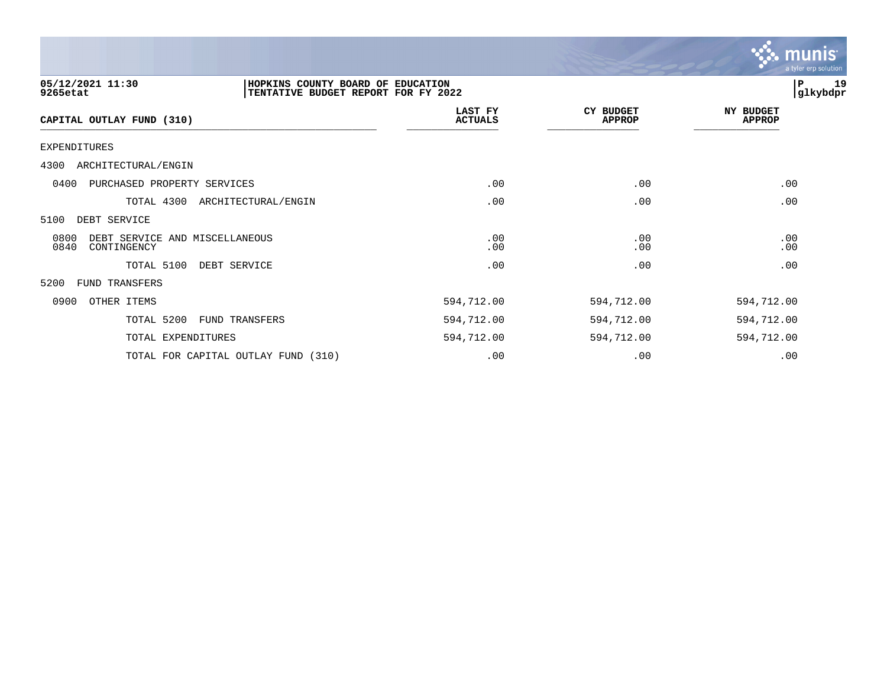

| 05/12/2021 11:30<br>HOPKINS COUNTY BOARD OF EDUCATION<br>9265etat<br>TENTATIVE BUDGET REPORT FOR FY 2022 |                                     |                           | 19<br>P<br>glkybdpr               |                                   |
|----------------------------------------------------------------------------------------------------------|-------------------------------------|---------------------------|-----------------------------------|-----------------------------------|
| CAPITAL OUTLAY FUND (310)                                                                                |                                     | LAST FY<br><b>ACTUALS</b> | <b>CY BUDGET</b><br><b>APPROP</b> | <b>NY BUDGET</b><br><b>APPROP</b> |
| <b>EXPENDITURES</b>                                                                                      |                                     |                           |                                   |                                   |
| 4300<br>ARCHITECTURAL/ENGIN                                                                              |                                     |                           |                                   |                                   |
| 0400<br>PURCHASED PROPERTY SERVICES                                                                      |                                     | .00                       | .00                               | .00                               |
| TOTAL 4300                                                                                               | ARCHITECTURAL/ENGIN                 | .00                       | .00                               | .00                               |
| 5100<br>DEBT SERVICE                                                                                     |                                     |                           |                                   |                                   |
| 0800<br>DEBT SERVICE AND MISCELLANEOUS<br>0840<br>CONTINGENCY                                            |                                     | .00<br>.00                | .00<br>.00                        | .00<br>.00                        |
| TOTAL 5100                                                                                               | DEBT SERVICE                        | .00                       | .00                               | .00                               |
| 5200<br>FUND TRANSFERS                                                                                   |                                     |                           |                                   |                                   |
| 0900<br>OTHER ITEMS                                                                                      |                                     | 594,712.00                | 594,712.00                        | 594,712.00                        |
| TOTAL 5200                                                                                               | FUND TRANSFERS                      | 594,712.00                | 594,712.00                        | 594,712.00                        |
| TOTAL EXPENDITURES                                                                                       |                                     | 594,712.00                | 594,712.00                        | 594,712.00                        |
|                                                                                                          | TOTAL FOR CAPITAL OUTLAY FUND (310) | .00                       | .00                               | .00                               |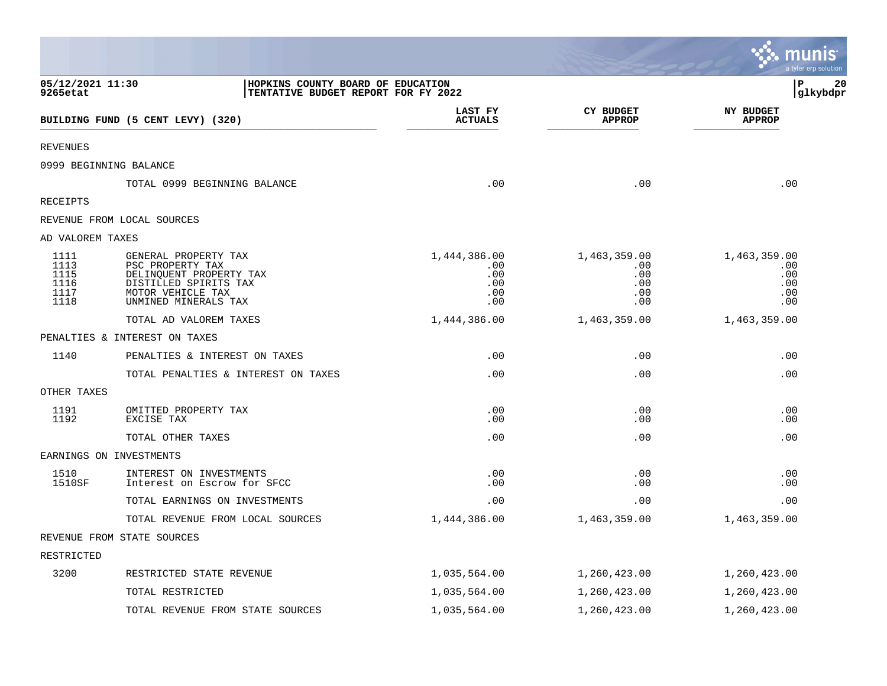|                                              |                                                                                                                                           |                                                 |                                                 | munis<br>a tyler erp solution                   |
|----------------------------------------------|-------------------------------------------------------------------------------------------------------------------------------------------|-------------------------------------------------|-------------------------------------------------|-------------------------------------------------|
| 05/12/2021 11:30<br>9265etat                 | HOPKINS COUNTY BOARD OF EDUCATION<br>TENTATIVE BUDGET REPORT FOR FY 2022                                                                  |                                                 |                                                 | 20<br>ΙP<br>glkybdpr                            |
|                                              | BUILDING FUND (5 CENT LEVY) (320)                                                                                                         | LAST FY<br><b>ACTUALS</b>                       | <b>CY BUDGET</b><br><b>APPROP</b>               | <b>NY BUDGET</b><br><b>APPROP</b>               |
| <b>REVENUES</b>                              |                                                                                                                                           |                                                 |                                                 |                                                 |
|                                              | 0999 BEGINNING BALANCE                                                                                                                    |                                                 |                                                 |                                                 |
|                                              | TOTAL 0999 BEGINNING BALANCE                                                                                                              | .00                                             | .00                                             | .00                                             |
| <b>RECEIPTS</b>                              |                                                                                                                                           |                                                 |                                                 |                                                 |
|                                              | REVENUE FROM LOCAL SOURCES                                                                                                                |                                                 |                                                 |                                                 |
| AD VALOREM TAXES                             |                                                                                                                                           |                                                 |                                                 |                                                 |
| 1111<br>1113<br>1115<br>1116<br>1117<br>1118 | GENERAL PROPERTY TAX<br>PSC PROPERTY TAX<br>DELINQUENT PROPERTY TAX<br>DISTILLED SPIRITS TAX<br>MOTOR VEHICLE TAX<br>UNMINED MINERALS TAX | 1,444,386.00<br>.00<br>.00<br>.00<br>.00<br>.00 | 1,463,359.00<br>.00<br>.00<br>.00<br>.00<br>.00 | 1,463,359.00<br>.00<br>.00<br>.00<br>.00<br>.00 |
|                                              | TOTAL AD VALOREM TAXES                                                                                                                    | 1,444,386.00                                    | 1,463,359.00                                    | 1,463,359.00                                    |
|                                              | PENALTIES & INTEREST ON TAXES                                                                                                             |                                                 |                                                 |                                                 |
| 1140                                         | PENALTIES & INTEREST ON TAXES                                                                                                             | .00                                             | .00                                             | .00                                             |
|                                              | TOTAL PENALTIES & INTEREST ON TAXES                                                                                                       | .00                                             | .00                                             | .00                                             |
| OTHER TAXES                                  |                                                                                                                                           |                                                 |                                                 |                                                 |
| 1191<br>1192                                 | OMITTED PROPERTY TAX<br>EXCISE TAX                                                                                                        | .00<br>.00                                      | .00<br>.00                                      | .00<br>.00                                      |
|                                              | TOTAL OTHER TAXES                                                                                                                         | .00                                             | .00                                             | .00                                             |
|                                              | EARNINGS ON INVESTMENTS                                                                                                                   |                                                 |                                                 |                                                 |
| 1510<br>1510SF                               | INTEREST ON INVESTMENTS<br>Interest on Escrow for SFCC                                                                                    | .00<br>.00                                      | .00<br>.00                                      | .00<br>.00                                      |
|                                              | TOTAL EARNINGS ON INVESTMENTS                                                                                                             | .00                                             | .00                                             | .00                                             |
|                                              | TOTAL REVENUE FROM LOCAL SOURCES                                                                                                          | 1,444,386.00                                    | 1,463,359.00                                    | 1,463,359.00                                    |
|                                              | REVENUE FROM STATE SOURCES                                                                                                                |                                                 |                                                 |                                                 |
| RESTRICTED                                   |                                                                                                                                           |                                                 |                                                 |                                                 |
| 3200                                         | RESTRICTED STATE REVENUE                                                                                                                  | 1,035,564.00                                    | 1,260,423.00                                    | 1,260,423.00                                    |
|                                              | TOTAL RESTRICTED                                                                                                                          | 1,035,564.00                                    | 1,260,423.00                                    | 1,260,423.00                                    |
|                                              | TOTAL REVENUE FROM STATE SOURCES                                                                                                          | 1,035,564.00                                    | 1,260,423.00                                    | 1,260,423.00                                    |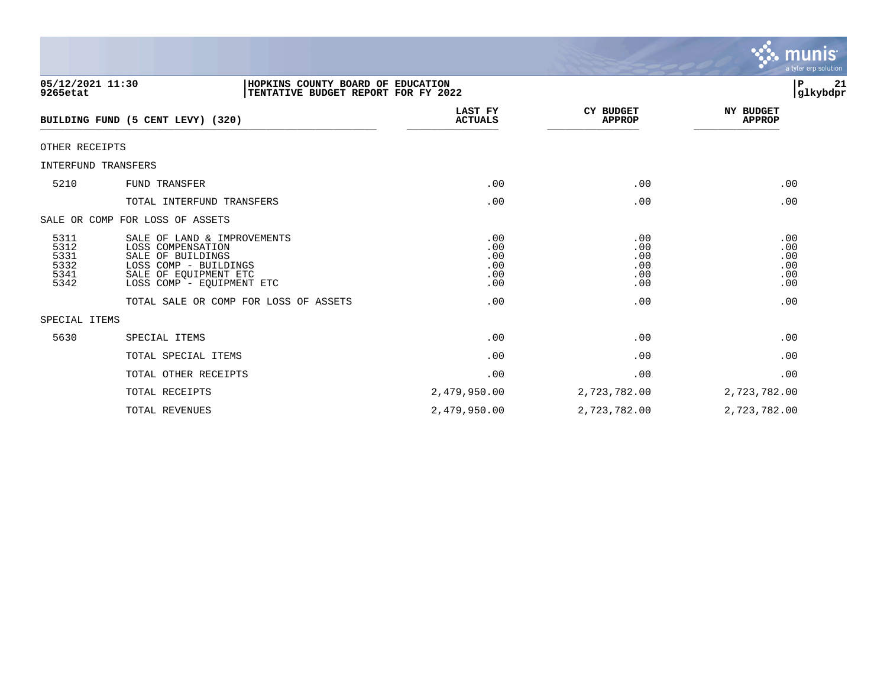

**05/12/2021 11:30 |HOPKINS COUNTY BOARD OF EDUCATION |P 21 9265etat |TENTATIVE BUDGET REPORT FOR FY 2022 |glkybdpr LAST FY CY BUDGET NY BUDGET** BUILDING FUND (5 CENT LEVY) (320) \_\_\_\_\_\_\_\_\_\_\_\_\_\_\_\_\_\_\_\_\_\_\_\_\_\_\_\_\_\_\_\_\_\_\_\_\_\_\_\_\_\_\_\_\_\_\_\_\_\_\_\_\_\_\_ \_\_\_\_\_\_\_\_\_\_\_\_\_\_\_ \_\_\_\_\_\_\_\_\_\_\_\_\_\_\_ \_\_\_\_\_\_\_\_\_\_\_\_\_\_ OTHER RECEIPTS INTERFUND TRANSFERS 5210 FUND TRANSFER .00 .00 .00 TOTAL INTERFUND TRANSFERS .00 .00 .00 SALE OR COMP FOR LOSS OF ASSETS 5311 SALE OF LAND & IMPROVEMENTS .00 .00 .00 5312 LOSS COMPENSATION .00 .00 .00 5331 SALE OF BUILDINGS .00 .00 .00 5332 LOSS COMP - BUILDINGS .00 .00 .00 5341 SALE OF EQUIPMENT ETC .00 .00 .00 LOSS COMP - EQUIPMENT ETC TOTAL SALE OR COMP FOR LOSS OF ASSETS .00 .00 .00 SPECIAL ITEMS 5630 SPECIAL ITEMS .00 .00 .00 TOTAL SPECIAL ITEMS .00 .00 .00 TOTAL OTHER RECEIPTS  $\qquad \qquad .00$ 

> TOTAL RECEIPTS 2,479,950.00 2,723,782.00 2,723,782.00 TOTAL REVENUES 2,479,950.00 2,723,782.00 2,723,782.00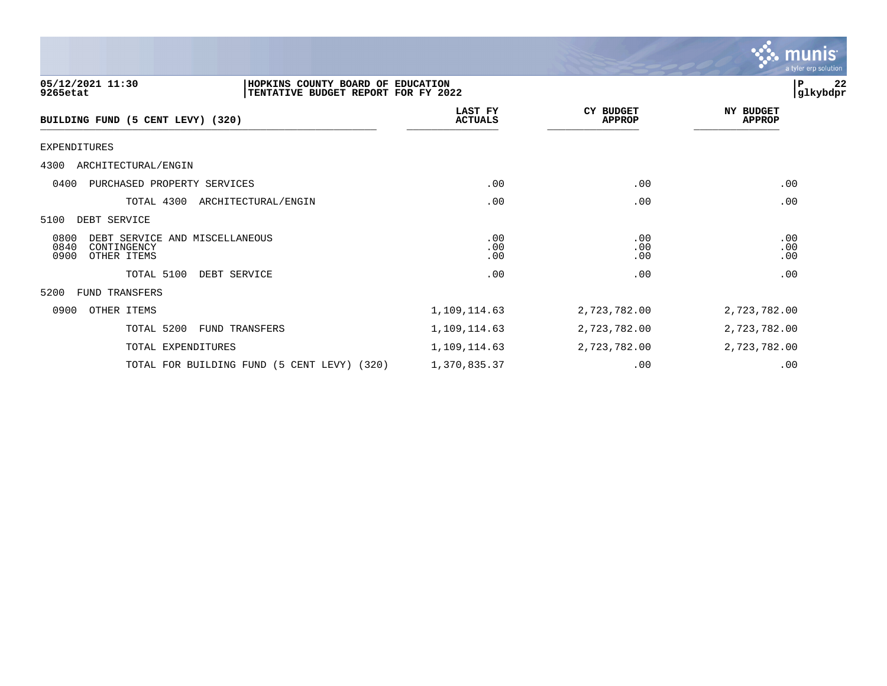

| 05/12/2021 11:30<br>HOPKINS COUNTY BOARD OF EDUCATION<br>9265etat<br>TENTATIVE BUDGET REPORT FOR FY 2022 |                           |                                   | 22<br>P<br> glkybdpr              |
|----------------------------------------------------------------------------------------------------------|---------------------------|-----------------------------------|-----------------------------------|
| BUILDING FUND (5 CENT LEVY) (320)                                                                        | LAST FY<br><b>ACTUALS</b> | <b>CY BUDGET</b><br><b>APPROP</b> | <b>NY BUDGET</b><br><b>APPROP</b> |
| EXPENDITURES                                                                                             |                           |                                   |                                   |
| 4300<br>ARCHITECTURAL/ENGIN                                                                              |                           |                                   |                                   |
| 0400<br>PURCHASED PROPERTY SERVICES                                                                      | .00                       | .00                               | .00                               |
| TOTAL 4300<br>ARCHITECTURAL/ENGIN                                                                        | .00                       | .00                               | .00                               |
| 5100<br>DEBT SERVICE                                                                                     |                           |                                   |                                   |
| 0800<br>DEBT SERVICE AND MISCELLANEOUS<br>0840<br>CONTINGENCY<br>0900<br>OTHER ITEMS                     | .00<br>.00<br>.00         | .00<br>.00<br>.00                 | .00<br>.00<br>.00                 |
| TOTAL 5100<br>DEBT SERVICE                                                                               | .00                       | .00                               | .00                               |
| 5200<br><b>FUND TRANSFERS</b>                                                                            |                           |                                   |                                   |
| 0900<br>OTHER ITEMS                                                                                      | 1,109,114.63              | 2,723,782.00                      | 2,723,782.00                      |
| TOTAL 5200<br>FUND TRANSFERS                                                                             | 1,109,114.63              | 2,723,782.00                      | 2,723,782.00                      |
| TOTAL EXPENDITURES                                                                                       | 1,109,114.63              | 2,723,782.00                      | 2,723,782.00                      |

TOTAL FOR BUILDING FUND (5 CENT LEVY) (320) 1,370,835.37 .00 .00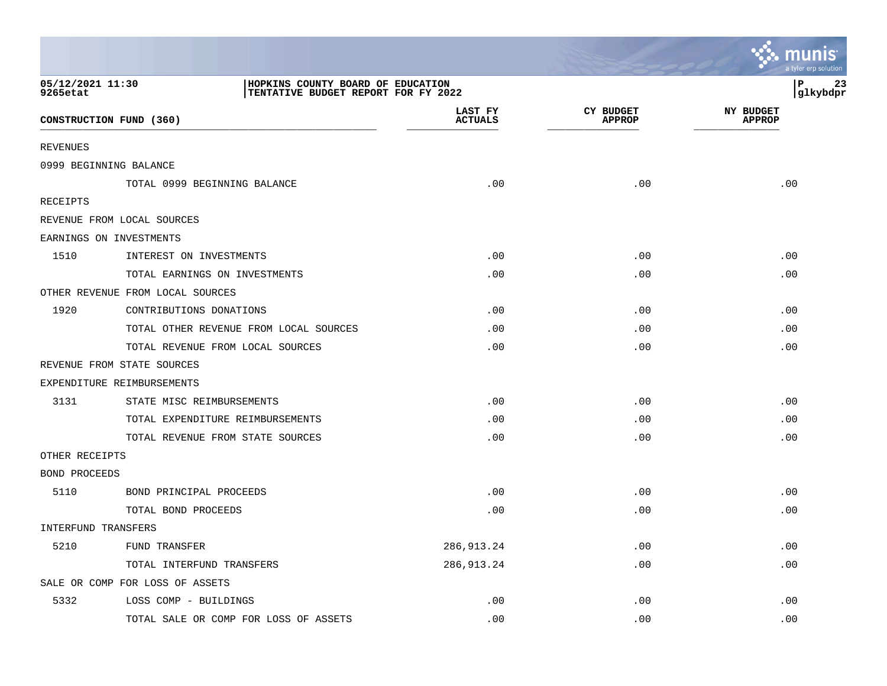|                              |                                                                          |                           |                                   | a tyler erp solution              |
|------------------------------|--------------------------------------------------------------------------|---------------------------|-----------------------------------|-----------------------------------|
| 05/12/2021 11:30<br>9265etat | HOPKINS COUNTY BOARD OF EDUCATION<br>TENTATIVE BUDGET REPORT FOR FY 2022 |                           |                                   | P<br>23<br>glkybdpr               |
|                              | CONSTRUCTION FUND (360)                                                  | LAST FY<br><b>ACTUALS</b> | <b>CY BUDGET</b><br><b>APPROP</b> | <b>NY BUDGET</b><br><b>APPROP</b> |
| <b>REVENUES</b>              |                                                                          |                           |                                   |                                   |
|                              | 0999 BEGINNING BALANCE                                                   |                           |                                   |                                   |
|                              | TOTAL 0999 BEGINNING BALANCE                                             | .00                       | .00                               | .00                               |
| RECEIPTS                     |                                                                          |                           |                                   |                                   |
|                              | REVENUE FROM LOCAL SOURCES                                               |                           |                                   |                                   |
|                              | EARNINGS ON INVESTMENTS                                                  |                           |                                   |                                   |
| 1510                         | INTEREST ON INVESTMENTS                                                  | .00                       | .00                               | .00                               |
|                              | TOTAL EARNINGS ON INVESTMENTS                                            | .00                       | .00                               | .00                               |
|                              | OTHER REVENUE FROM LOCAL SOURCES                                         |                           |                                   |                                   |
| 1920                         | CONTRIBUTIONS DONATIONS                                                  | .00                       | .00                               | .00                               |
|                              | TOTAL OTHER REVENUE FROM LOCAL SOURCES                                   | .00                       | .00                               | .00                               |
|                              | TOTAL REVENUE FROM LOCAL SOURCES                                         | .00                       | .00                               | .00                               |
|                              | REVENUE FROM STATE SOURCES                                               |                           |                                   |                                   |
|                              | EXPENDITURE REIMBURSEMENTS                                               |                           |                                   |                                   |
| 3131                         | STATE MISC REIMBURSEMENTS                                                | .00                       | .00                               | .00                               |
|                              | TOTAL EXPENDITURE REIMBURSEMENTS                                         | .00                       | .00                               | .00                               |
|                              | TOTAL REVENUE FROM STATE SOURCES                                         | .00                       | .00                               | .00                               |
| OTHER RECEIPTS               |                                                                          |                           |                                   |                                   |
| <b>BOND PROCEEDS</b>         |                                                                          |                           |                                   |                                   |
| 5110                         | BOND PRINCIPAL PROCEEDS                                                  | .00                       | .00                               | .00                               |
|                              | TOTAL BOND PROCEEDS                                                      | .00                       | .00                               | .00                               |
| INTERFUND TRANSFERS          |                                                                          |                           |                                   |                                   |
| 5210                         | FUND TRANSFER                                                            | 286, 913. 24              | .00                               | .00                               |
|                              | TOTAL INTERFUND TRANSFERS                                                | 286, 913. 24              | .00                               | .00                               |
|                              | SALE OR COMP FOR LOSS OF ASSETS                                          |                           |                                   |                                   |
| 5332                         | LOSS COMP - BUILDINGS                                                    | .00                       | .00                               | .00                               |
|                              | TOTAL SALE OR COMP FOR LOSS OF ASSETS                                    | .00                       | .00                               | .00                               |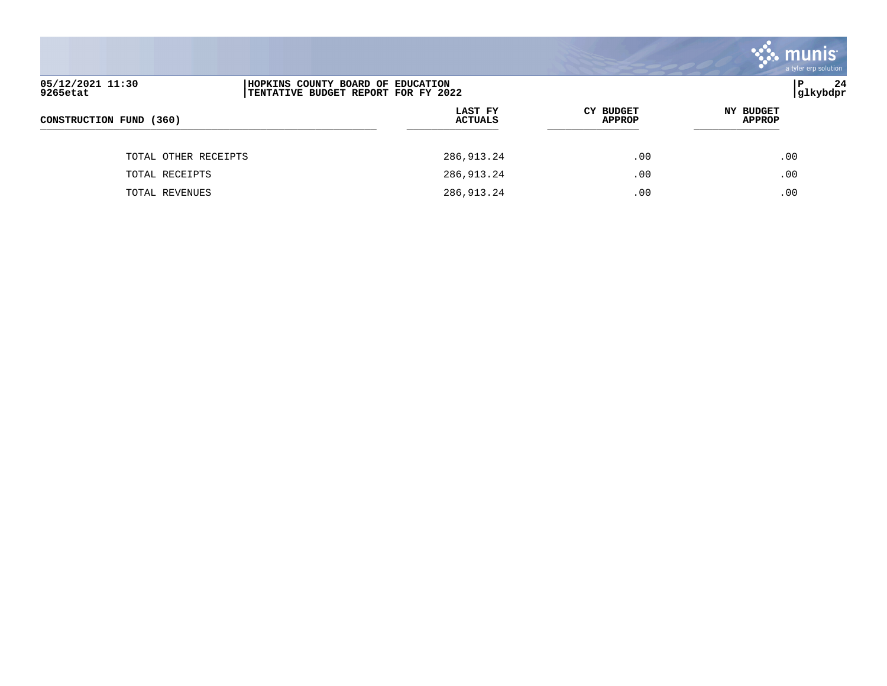|                              |                                                                          |                           |                                   | <u>se munis </u><br>a tyler erp solution |
|------------------------------|--------------------------------------------------------------------------|---------------------------|-----------------------------------|------------------------------------------|
| 05/12/2021 11:30<br>9265etat | HOPKINS COUNTY BOARD OF EDUCATION<br>TENTATIVE BUDGET REPORT FOR FY 2022 |                           |                                   | 24<br>∣P<br> glkybdpr                    |
| CONSTRUCTION FUND (360)      |                                                                          | LAST FY<br><b>ACTUALS</b> | <b>CY BUDGET</b><br><b>APPROP</b> | NY BUDGET<br><b>APPROP</b>               |
| TOTAL OTHER RECEIPTS         |                                                                          | 286,913.24                | .00                               | .00                                      |
| TOTAL RECEIPTS               |                                                                          | 286,913.24                | .00                               | .00                                      |
| TOTAL REVENUES               |                                                                          | 286,913.24                | .00                               | .00                                      |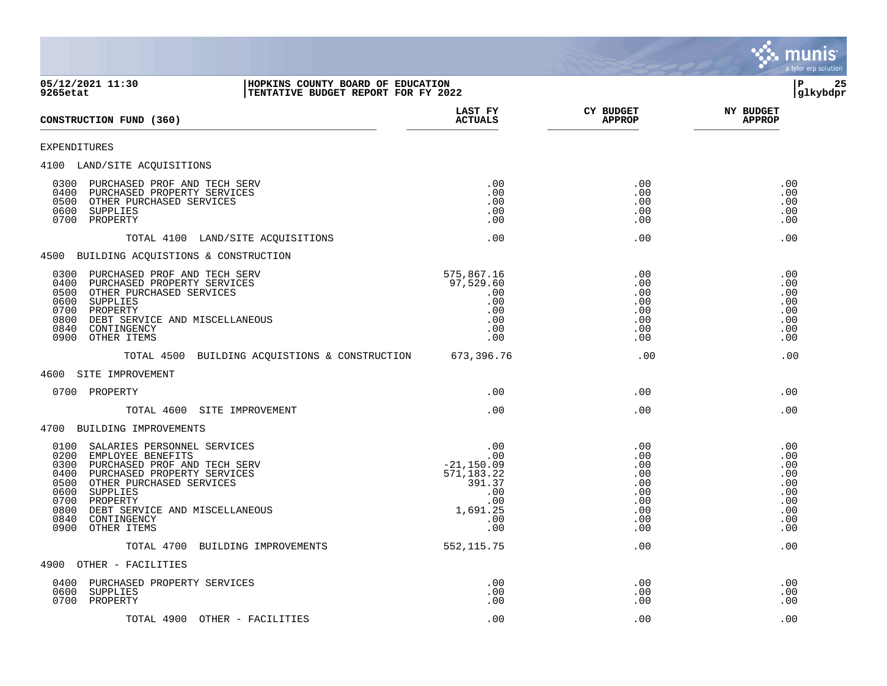

**05/12/2021 11:30 |HOPKINS COUNTY BOARD OF EDUCATION |P 25 TENTATIVE BUDGET REPORT FOR FY 2022 LAST FY CY BUDGET NY BUDGET CONSTRUCTION FUND (360)**  $\overline{r}$ EXPENDITURES 4100 LAND/SITE ACQUISITIONS 0300 PURCHASED PROF AND TECH SERV .00 .00 .00 0400 PURCHASED PROPERTY SERVICES .00 .00 .00 0500 OTHER PURCHASED SERVICES .00 .00 .00 0600 SUPPLIES .00 .00 .00 0700 PROPERTY TOTAL 4100 LAND/SITE ACQUISITIONS .00 .00 .00 4500 BUILDING ACQUISTIONS & CONSTRUCTION 0300 PURCHASED PROF AND TECH SERV 575,867.16 .00 .00 0400 PURCHASED PROPERTY SERVICES 97,529.60 .00 .00 0500 OTHER PURCHASED SERVICES .00 .00 .00  $\,$  0600  $\,$  SUPPLIES . 00  $\,$  . 00  $\,$  . 00  $\,$  . 00  $\,$  . 00  $\,$  . 00  $\,$  . 00  $\,$  . 00  $\,$  . 00  $\,$  . 00  $\,$  . 00  $\,$  . 00  $\,$  . 00  $\,$  . 00  $\,$  . 00  $\,$  . 00  $\,$  . 00  $\,$  . 00  $\,$  . 00  $\,$  . 00  $\$  0700 PROPERTY .00 .00 .00 0800 DEBT SERVICE AND MISCELLANEOUS .00 .00 .00 0840 CONTINGENCY .00 .00 .00 0900 OTHER ITEMS TOTAL 4500 BUILDING ACQUISTIONS & CONSTRUCTION 673,396.76 .00 .00 .00 .00 4600 SITE IMPROVEMENT 0700 PROPERTY .00 .00 .00 TOTAL 4600 SITE IMPROVEMENT .00 .00 .00 4700 BUILDING IMPROVEMENTS 0100 SALARIES PERSONNEL SERVICES .00 .00 .00 0200 EMPLOYEE BENEFITS .00 .00 .00 0300 PURCHASED PROF AND TECH SERV -21,150.09 .00 .00 0400 PURCHASED PROPERTY SERVICES 571,183.22 .00 .00 0500 OTHER PURCHASED SERVICES 391.37 .00 .00  $\,$  0600  $\,$  SUPPLIES . 00  $\,$  . 00  $\,$  . 00  $\,$  . 00  $\,$  . 00  $\,$  . 00  $\,$  . 00  $\,$  . 00  $\,$  . 00  $\,$  . 00  $\,$  . 00  $\,$  . 00  $\,$  . 00  $\,$  . 00  $\,$  . 00  $\,$  . 00  $\,$  . 00  $\,$  . 00  $\,$  . 00  $\,$  . 00  $\$  0700 PROPERTY .00 .00 .00 0800 DEBT SERVICE AND MISCELLANEOUS 1,691.25 .00 .00 0840 CONTINGENCY .00 .00 .00 0900 OTHER ITEMS TOTAL 4700 BUILDING IMPROVEMENTS 552,115.75 .00 .00 .00 4900 OTHER - FACILITIES 0400 PURCHASED PROPERTY SERVICES .00 .00 .00  $\,$  0600  $\,$  SUPPLIES . 00  $\,$  . 00  $\,$  . 00  $\,$  . 00  $\,$  . 00  $\,$  . 00  $\,$  . 00  $\,$  . 00  $\,$  . 00  $\,$  . 00  $\,$  . 00  $\,$  . 00  $\,$  . 00  $\,$  . 00  $\,$  . 00  $\,$  . 00  $\,$  . 00  $\,$  . 00  $\,$  . 00  $\,$  . 00  $\$ 0700 PROPERTY .00 .00 .00

TOTAL 4900 OTHER - FACILITIES .00 .00 .00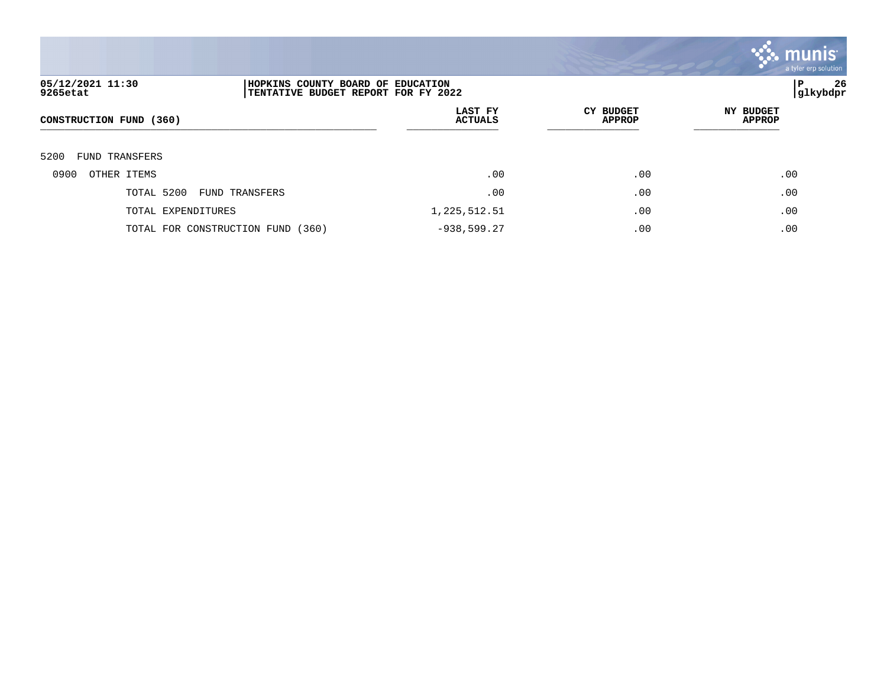

| 05/12/2021 11:30<br>9265etat | HOPKINS COUNTY BOARD OF EDUCATION<br>TENTATIVE BUDGET REPORT FOR FY 2022 |                           |                            | 26<br>P<br> glkybdpr              |
|------------------------------|--------------------------------------------------------------------------|---------------------------|----------------------------|-----------------------------------|
| CONSTRUCTION FUND (360)      |                                                                          | LAST FY<br><b>ACTUALS</b> | CY BUDGET<br><b>APPROP</b> | <b>NY BUDGET</b><br><b>APPROP</b> |
| 5200<br>FUND TRANSFERS       |                                                                          |                           |                            |                                   |
| 0900<br>OTHER ITEMS          |                                                                          | .00                       | .00                        | .00                               |
| TOTAL 5200                   | FUND TRANSFERS                                                           | .00                       | .00                        | .00                               |
| TOTAL EXPENDITURES           |                                                                          | 1,225,512.51              | .00                        | .00                               |
|                              | TOTAL FOR CONSTRUCTION FUND (360)                                        | $-938,599.27$             | .00                        | .00                               |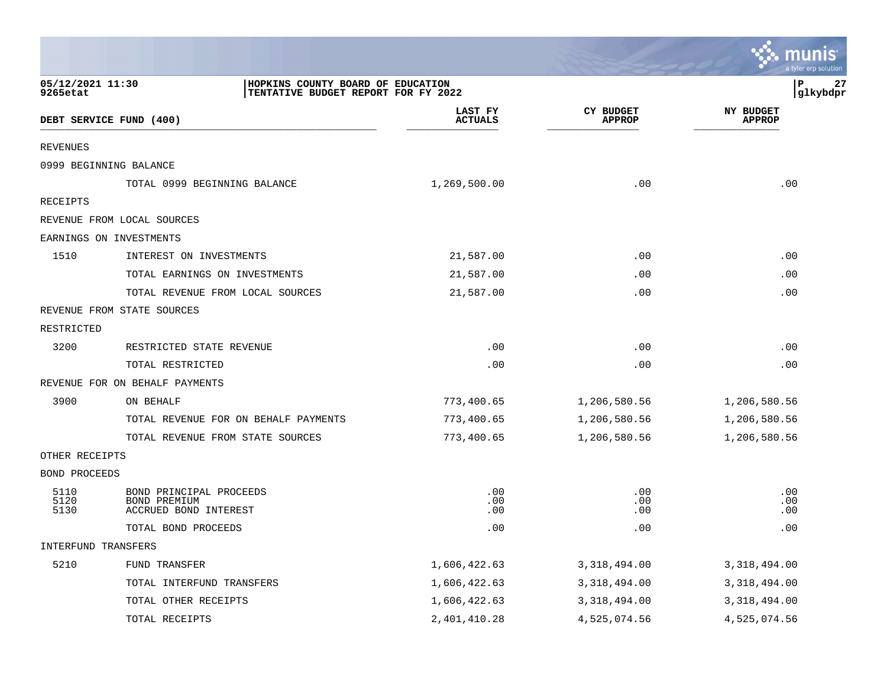|                              |                                                                          |                           |                                   | a tyler erp solution              |
|------------------------------|--------------------------------------------------------------------------|---------------------------|-----------------------------------|-----------------------------------|
| 05/12/2021 11:30<br>9265etat | HOPKINS COUNTY BOARD OF EDUCATION<br>TENTATIVE BUDGET REPORT FOR FY 2022 |                           |                                   | P<br>27<br>glkybdpr               |
|                              | DEBT SERVICE FUND (400)                                                  | LAST FY<br><b>ACTUALS</b> | <b>CY BUDGET</b><br><b>APPROP</b> | <b>NY BUDGET</b><br><b>APPROP</b> |
| <b>REVENUES</b>              |                                                                          |                           |                                   |                                   |
|                              | 0999 BEGINNING BALANCE                                                   |                           |                                   |                                   |
|                              | TOTAL 0999 BEGINNING BALANCE                                             | 1,269,500.00              | .00                               | .00                               |
| RECEIPTS                     |                                                                          |                           |                                   |                                   |
|                              | REVENUE FROM LOCAL SOURCES                                               |                           |                                   |                                   |
|                              | EARNINGS ON INVESTMENTS                                                  |                           |                                   |                                   |
| 1510                         | INTEREST ON INVESTMENTS                                                  | 21,587.00                 | .00                               | .00                               |
|                              | TOTAL EARNINGS ON INVESTMENTS                                            | 21,587.00                 | .00                               | .00                               |
|                              | TOTAL REVENUE FROM LOCAL SOURCES                                         | 21,587.00                 | .00                               | .00                               |
|                              | REVENUE FROM STATE SOURCES                                               |                           |                                   |                                   |
| RESTRICTED                   |                                                                          |                           |                                   |                                   |
| 3200                         | RESTRICTED STATE REVENUE                                                 | .00                       | .00                               | .00                               |
|                              | TOTAL RESTRICTED                                                         | .00                       | .00                               | .00                               |
|                              | REVENUE FOR ON BEHALF PAYMENTS                                           |                           |                                   |                                   |
| 3900                         | ON BEHALF                                                                | 773,400.65                | 1,206,580.56                      | 1,206,580.56                      |
|                              | TOTAL REVENUE FOR ON BEHALF PAYMENTS                                     | 773,400.65                | 1,206,580.56                      | 1,206,580.56                      |
|                              | TOTAL REVENUE FROM STATE SOURCES                                         | 773,400.65                | 1,206,580.56                      | 1,206,580.56                      |
| OTHER RECEIPTS               |                                                                          |                           |                                   |                                   |
| BOND PROCEEDS                |                                                                          |                           |                                   |                                   |
| 5110<br>5120<br>5130         | BOND PRINCIPAL PROCEEDS<br>BOND PREMIUM<br>ACCRUED BOND INTEREST         | .00<br>.00<br>.00         | .00<br>.00<br>.00                 | .00<br>.00<br>.00                 |
|                              | TOTAL BOND PROCEEDS                                                      | .00                       | .00                               | .00                               |
| INTERFUND TRANSFERS          |                                                                          |                           |                                   |                                   |
| 5210                         | FUND TRANSFER                                                            | 1,606,422.63              | 3, 318, 494.00                    | 3, 318, 494.00                    |
|                              | TOTAL INTERFUND TRANSFERS                                                | 1,606,422.63              | 3, 318, 494.00                    | 3, 318, 494.00                    |
|                              | TOTAL OTHER RECEIPTS                                                     | 1,606,422.63              | 3, 318, 494.00                    | 3, 318, 494.00                    |
|                              | TOTAL RECEIPTS                                                           | 2, 401, 410.28            | 4,525,074.56                      | 4,525,074.56                      |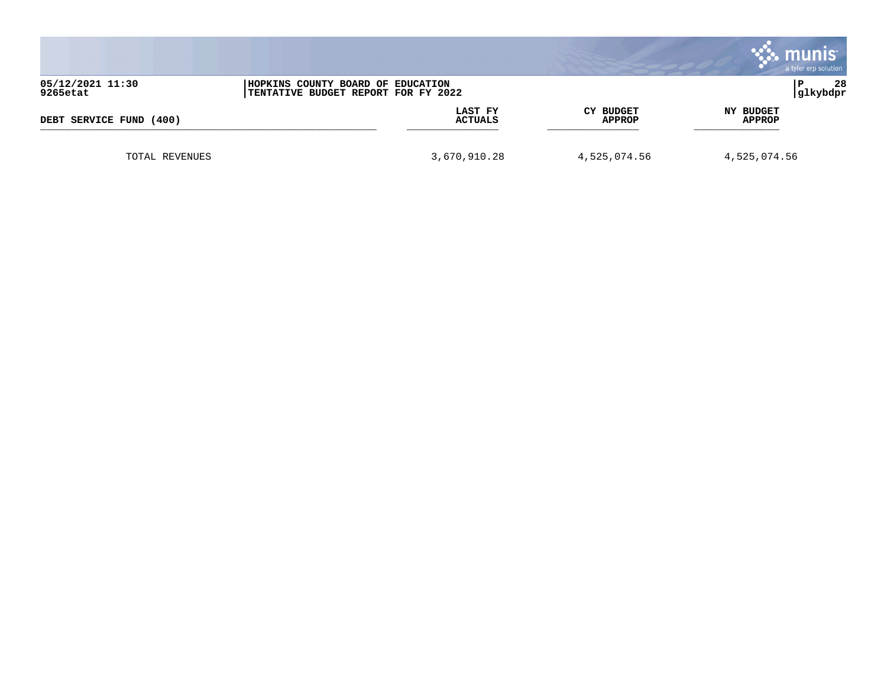|                              |                                                                          |                            | <b>munis</b><br>a tyler erp solution |
|------------------------------|--------------------------------------------------------------------------|----------------------------|--------------------------------------|
| 05/12/2021 11:30<br>9265etat | HOPKINS COUNTY BOARD OF EDUCATION<br>TENTATIVE BUDGET REPORT FOR FY 2022 |                            | 28<br>P<br> glkybdpr                 |
| DEBT SERVICE FUND<br>(400)   | LAST FY<br><b>ACTUALS</b>                                                | CY BUDGET<br><b>APPROP</b> | NY BUDGET<br><b>APPROP</b>           |
| TOTAL REVENUES               | 3,670,910.28                                                             | 4,525,074.56               | 4,525,074.56                         |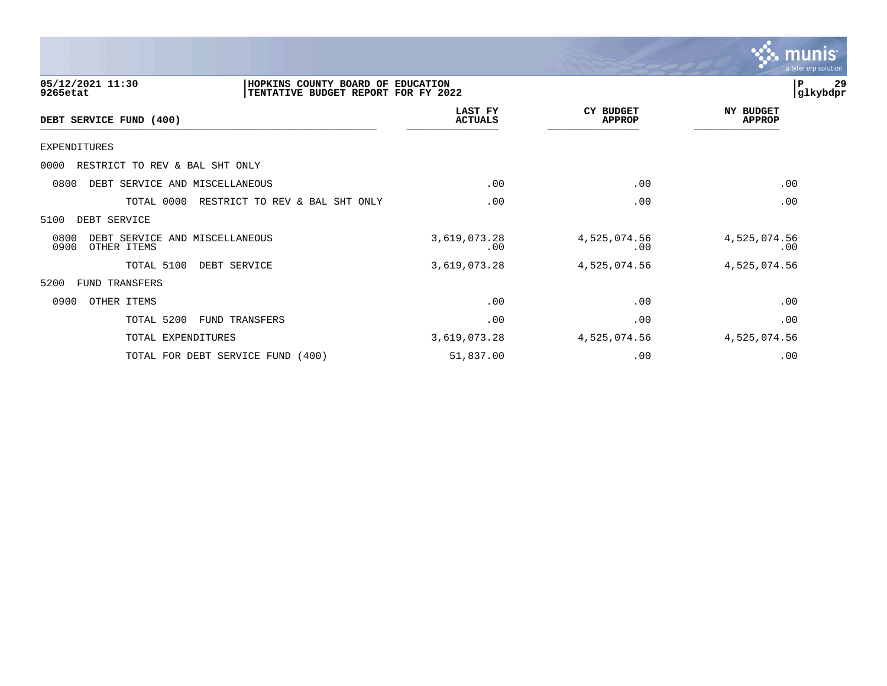

| 05/12/2021 11:30<br>9265etat                                  | HOPKINS COUNTY BOARD OF EDUCATION<br>TENTATIVE BUDGET REPORT FOR FY 2022 |                                  |                                   | 29<br>P<br>glkybdpr               |
|---------------------------------------------------------------|--------------------------------------------------------------------------|----------------------------------|-----------------------------------|-----------------------------------|
| DEBT SERVICE FUND (400)                                       |                                                                          | <b>LAST FY</b><br><b>ACTUALS</b> | <b>CY BUDGET</b><br><b>APPROP</b> | <b>NY BUDGET</b><br><b>APPROP</b> |
| <b>EXPENDITURES</b>                                           |                                                                          |                                  |                                   |                                   |
| 0000<br>RESTRICT TO REV & BAL SHT ONLY                        |                                                                          |                                  |                                   |                                   |
| 0800<br>DEBT SERVICE AND MISCELLANEOUS                        |                                                                          | .00                              | .00                               | .00                               |
| TOTAL 0000                                                    | RESTRICT TO REV & BAL SHT ONLY                                           | .00                              | .00                               | .00                               |
| 5100<br>DEBT SERVICE                                          |                                                                          |                                  |                                   |                                   |
| 0800<br>DEBT SERVICE AND MISCELLANEOUS<br>0900<br>OTHER ITEMS |                                                                          | 3,619,073.28<br>.00              | 4,525,074.56<br>.00               | 4,525,074.56<br>.00               |
| TOTAL 5100                                                    | DEBT SERVICE                                                             | 3,619,073.28                     | 4,525,074.56                      | 4,525,074.56                      |
| 5200<br>FUND TRANSFERS                                        |                                                                          |                                  |                                   |                                   |
| 0900<br>OTHER ITEMS                                           |                                                                          | .00                              | .00                               | .00                               |
| TOTAL 5200                                                    | FUND TRANSFERS                                                           | .00                              | .00                               | .00                               |
| TOTAL EXPENDITURES                                            |                                                                          | 3,619,073.28                     | 4,525,074.56                      | 4,525,074.56                      |
|                                                               | TOTAL FOR DEBT SERVICE FUND (400)                                        | 51,837.00                        | .00                               | .00                               |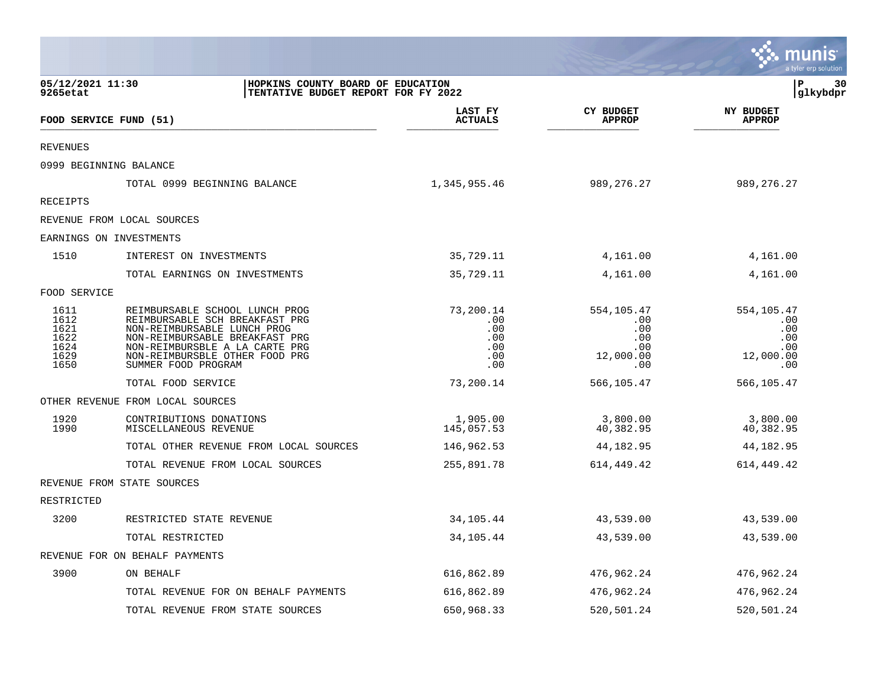|                                                                                                          |                                                                                                                                                                                                                              |                                                     |                                                             | munis<br>a tyler erp solution                              |
|----------------------------------------------------------------------------------------------------------|------------------------------------------------------------------------------------------------------------------------------------------------------------------------------------------------------------------------------|-----------------------------------------------------|-------------------------------------------------------------|------------------------------------------------------------|
| 05/12/2021 11:30<br>HOPKINS COUNTY BOARD OF EDUCATION<br>9265etat<br>TENTATIVE BUDGET REPORT FOR FY 2022 |                                                                                                                                                                                                                              |                                                     |                                                             | l P<br>30<br> glkybdpr                                     |
|                                                                                                          | FOOD SERVICE FUND (51)                                                                                                                                                                                                       | LAST FY<br><b>ACTUALS</b>                           | <b>CY BUDGET</b><br><b>APPROP</b>                           | <b>NY BUDGET</b><br><b>APPROP</b>                          |
| <b>REVENUES</b>                                                                                          |                                                                                                                                                                                                                              |                                                     |                                                             |                                                            |
|                                                                                                          | 0999 BEGINNING BALANCE                                                                                                                                                                                                       |                                                     |                                                             |                                                            |
|                                                                                                          | TOTAL 0999 BEGINNING BALANCE                                                                                                                                                                                                 | 1,345,955.46                                        | 989, 276. 27                                                | 989, 276. 27                                               |
| <b>RECEIPTS</b>                                                                                          |                                                                                                                                                                                                                              |                                                     |                                                             |                                                            |
|                                                                                                          | REVENUE FROM LOCAL SOURCES                                                                                                                                                                                                   |                                                     |                                                             |                                                            |
|                                                                                                          | EARNINGS ON INVESTMENTS                                                                                                                                                                                                      |                                                     |                                                             |                                                            |
| 1510                                                                                                     | INTEREST ON INVESTMENTS                                                                                                                                                                                                      | 35,729.11                                           | 4,161.00                                                    | 4,161.00                                                   |
|                                                                                                          | TOTAL EARNINGS ON INVESTMENTS                                                                                                                                                                                                | 35,729.11                                           | 4,161.00                                                    | 4,161.00                                                   |
| FOOD SERVICE                                                                                             |                                                                                                                                                                                                                              |                                                     |                                                             |                                                            |
| 1611<br>1612<br>1621<br>1622<br>1624<br>1629<br>1650                                                     | REIMBURSABLE SCHOOL LUNCH PROG<br>REIMBURSABLE SCH BREAKFAST PRG<br>NON-REIMBURSABLE LUNCH PROG<br>NON-REIMBURSABLE BREAKFAST PRG<br>NON-REIMBURSBLE A LA CARTE PRG<br>NON-REIMBURSBLE OTHER FOOD PRG<br>SUMMER FOOD PROGRAM | 73,200.14<br>.00<br>.00<br>.00<br>.00<br>.00<br>.00 | 554,105.47<br>.00.<br>.00<br>.00<br>.00<br>12,000.00<br>.00 | 554,105.47<br>.00<br>.00<br>.00<br>.00<br>12,000.00<br>.00 |
|                                                                                                          | TOTAL FOOD SERVICE                                                                                                                                                                                                           | 73,200.14                                           | 566,105.47                                                  | 566,105.47                                                 |
|                                                                                                          | OTHER REVENUE FROM LOCAL SOURCES                                                                                                                                                                                             |                                                     |                                                             |                                                            |
| 1920<br>1990                                                                                             | CONTRIBUTIONS DONATIONS<br>MISCELLANEOUS REVENUE                                                                                                                                                                             | 1,905.00<br>145,057.53                              | 3,800.00<br>40,382.95                                       | 3,800.00<br>40,382.95                                      |
|                                                                                                          | TOTAL OTHER REVENUE FROM LOCAL SOURCES                                                                                                                                                                                       | 146,962.53                                          | 44,182.95                                                   | 44,182.95                                                  |
|                                                                                                          | TOTAL REVENUE FROM LOCAL SOURCES                                                                                                                                                                                             | 255,891.78                                          | 614,449.42                                                  | 614,449.42                                                 |
|                                                                                                          | REVENUE FROM STATE SOURCES                                                                                                                                                                                                   |                                                     |                                                             |                                                            |
| RESTRICTED                                                                                               |                                                                                                                                                                                                                              |                                                     |                                                             |                                                            |
| 3200                                                                                                     | RESTRICTED STATE REVENUE                                                                                                                                                                                                     | 34,105.44                                           | 43,539.00                                                   | 43,539.00                                                  |
|                                                                                                          | TOTAL RESTRICTED                                                                                                                                                                                                             | 34,105.44                                           | 43,539.00                                                   | 43,539.00                                                  |
|                                                                                                          | REVENUE FOR ON BEHALF PAYMENTS                                                                                                                                                                                               |                                                     |                                                             |                                                            |
| 3900                                                                                                     | ON BEHALF                                                                                                                                                                                                                    | 616,862.89                                          | 476,962.24                                                  | 476,962.24                                                 |
|                                                                                                          | TOTAL REVENUE FOR ON BEHALF PAYMENTS                                                                                                                                                                                         | 616,862.89                                          | 476,962.24                                                  | 476,962.24                                                 |
|                                                                                                          | TOTAL REVENUE FROM STATE SOURCES                                                                                                                                                                                             | 650,968.33                                          | 520,501.24                                                  | 520,501.24                                                 |

 $\mathcal{L}$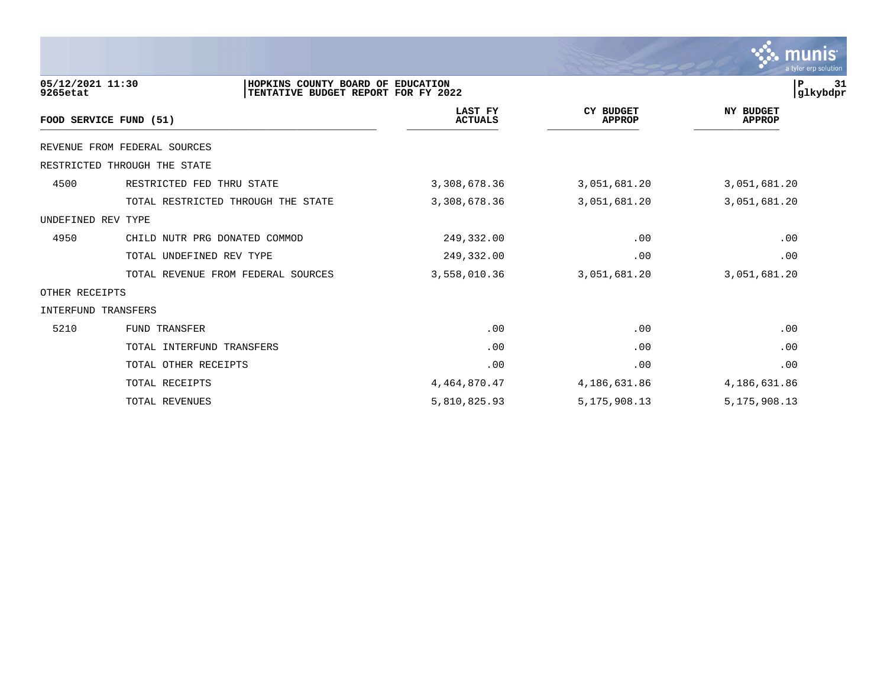|                              |                                                                          |                                  |                                   | munıs <sup>.</sup><br>a tyler erp solution |
|------------------------------|--------------------------------------------------------------------------|----------------------------------|-----------------------------------|--------------------------------------------|
| 05/12/2021 11:30<br>9265etat | HOPKINS COUNTY BOARD OF EDUCATION<br>TENTATIVE BUDGET REPORT FOR FY 2022 |                                  |                                   | P<br>31<br> glkybdpr                       |
|                              | FOOD SERVICE FUND (51)                                                   | <b>LAST FY</b><br><b>ACTUALS</b> | <b>CY BUDGET</b><br><b>APPROP</b> | <b>NY BUDGET</b><br><b>APPROP</b>          |
|                              | REVENUE FROM FEDERAL SOURCES                                             |                                  |                                   |                                            |
|                              | RESTRICTED THROUGH THE STATE                                             |                                  |                                   |                                            |
| 4500                         | RESTRICTED FED THRU STATE                                                | 3,308,678.36                     | 3,051,681.20                      | 3,051,681.20                               |
|                              | TOTAL RESTRICTED THROUGH THE STATE                                       | 3,308,678.36                     | 3,051,681.20                      | 3,051,681.20                               |
| UNDEFINED REV TYPE           |                                                                          |                                  |                                   |                                            |
| 4950                         | CHILD NUTR PRG DONATED COMMOD                                            | 249,332.00                       | .00                               | .00                                        |
|                              | TOTAL UNDEFINED REV TYPE                                                 | 249,332.00                       | .00                               | .00                                        |
|                              | TOTAL REVENUE FROM FEDERAL SOURCES                                       | 3,558,010.36                     | 3,051,681.20                      | 3,051,681.20                               |
| OTHER RECEIPTS               |                                                                          |                                  |                                   |                                            |
| INTERFUND TRANSFERS          |                                                                          |                                  |                                   |                                            |
| 5210                         | FUND TRANSFER                                                            | .00                              | .00                               | .00                                        |
|                              | TOTAL INTERFUND TRANSFERS                                                | .00                              | .00                               | .00                                        |
|                              | TOTAL OTHER RECEIPTS                                                     | .00                              | .00                               | .00                                        |
|                              | TOTAL RECEIPTS                                                           | 4, 464, 870. 47                  | 4,186,631.86                      | 4,186,631.86                               |
|                              | TOTAL REVENUES                                                           | 5,810,825.93                     | 5, 175, 908. 13                   | 5, 175, 908. 13                            |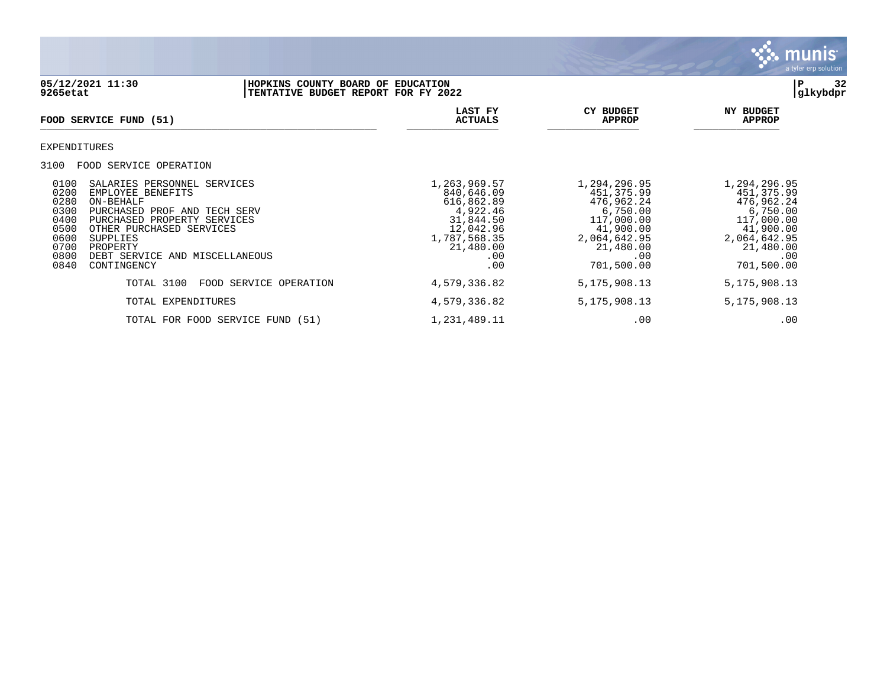

## **05/12/2021 11:30 |HOPKINS COUNTY BOARD OF EDUCATION |P 32 9265etat |TENTATIVE BUDGET REPORT FOR FY 2022 |glkybdpr**

| <b>FOOD SERVICE FUND (51)</b>                                                                                                                                                                                                                                                                                            | LAST FY<br><b>ACTUALS</b>                                                                                                 | <b>CY BUDGET</b><br><b>APPROP</b>                                                                                                 | NY BUDGET<br><b>APPROP</b>                                                                                                         |
|--------------------------------------------------------------------------------------------------------------------------------------------------------------------------------------------------------------------------------------------------------------------------------------------------------------------------|---------------------------------------------------------------------------------------------------------------------------|-----------------------------------------------------------------------------------------------------------------------------------|------------------------------------------------------------------------------------------------------------------------------------|
| EXPENDITURES                                                                                                                                                                                                                                                                                                             |                                                                                                                           |                                                                                                                                   |                                                                                                                                    |
| 3100<br>FOOD SERVICE OPERATION                                                                                                                                                                                                                                                                                           |                                                                                                                           |                                                                                                                                   |                                                                                                                                    |
| 0100<br>SALARIES PERSONNEL SERVICES<br>0200<br>EMPLOYEE BENEFITS<br>0280<br>ON-BEHALF<br>0300<br>PURCHASED PROF AND TECH SERV<br>0400<br>PURCHASED PROPERTY SERVICES<br>0500<br>OTHER PURCHASED SERVICES<br>0600<br><b>SUPPLIES</b><br>0700<br>PROPERTY<br>0800<br>DEBT SERVICE AND MISCELLANEOUS<br>0840<br>CONTINGENCY | 1,263,969.57<br>840,646.09<br>616,862.89<br>4,922.46<br>31,844.50<br>12,042.96<br>1,787,568.35<br>21,480.00<br>.00<br>.00 | 1,294,296.95<br>451,375.99<br>476,962.24<br>6,750.00<br>117,000.00<br>41,900.00<br>2,064,642.95<br>21,480.00<br>.00<br>701,500.00 | 1,294,296.95<br>451, 375.99<br>476,962.24<br>6,750.00<br>117,000.00<br>41,900.00<br>2,064,642.95<br>21,480.00<br>.00<br>701,500.00 |
| TOTAL 3100<br>FOOD SERVICE OPERATION                                                                                                                                                                                                                                                                                     | 4,579,336.82                                                                                                              | 5, 175, 908. 13                                                                                                                   | 5, 175, 908. 13                                                                                                                    |
| TOTAL EXPENDITURES                                                                                                                                                                                                                                                                                                       | 4,579,336.82                                                                                                              | 5, 175, 908. 13                                                                                                                   | 5, 175, 908. 13                                                                                                                    |
| TOTAL FOR FOOD SERVICE FUND (51)                                                                                                                                                                                                                                                                                         | 1,231,489.11                                                                                                              | .00                                                                                                                               | .00                                                                                                                                |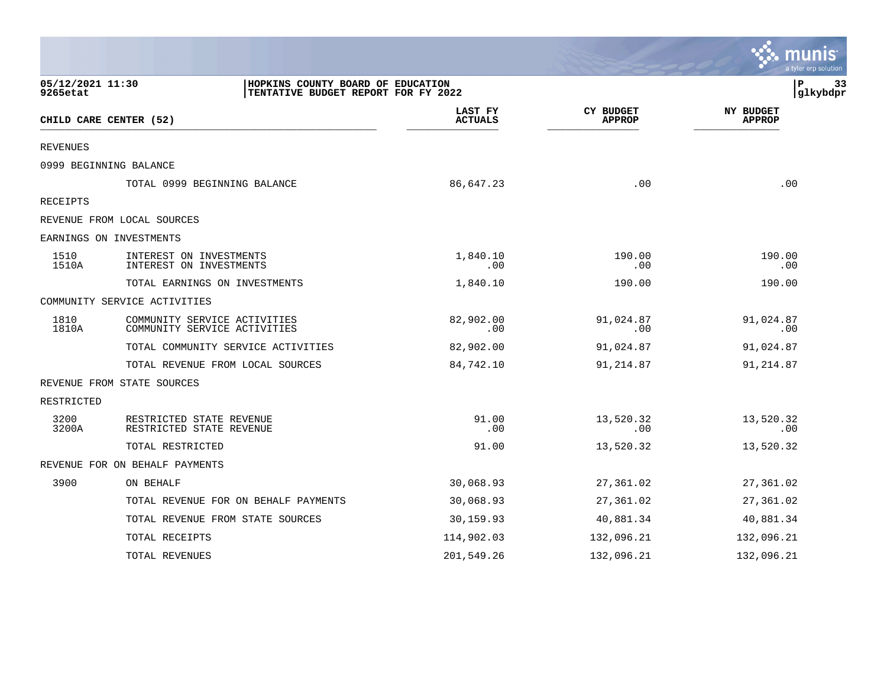|                              |                                                                          |                           |                                   | a tyler erp solution              |
|------------------------------|--------------------------------------------------------------------------|---------------------------|-----------------------------------|-----------------------------------|
| 05/12/2021 11:30<br>9265etat | HOPKINS COUNTY BOARD OF EDUCATION<br>TENTATIVE BUDGET REPORT FOR FY 2022 |                           |                                   | Р<br>33<br>glkybdpr               |
|                              | CHILD CARE CENTER (52)                                                   | LAST FY<br><b>ACTUALS</b> | <b>CY BUDGET</b><br><b>APPROP</b> | <b>NY BUDGET</b><br><b>APPROP</b> |
| <b>REVENUES</b>              |                                                                          |                           |                                   |                                   |
|                              | 0999 BEGINNING BALANCE                                                   |                           |                                   |                                   |
|                              | TOTAL 0999 BEGINNING BALANCE                                             | 86,647.23                 | .00                               | .00                               |
| RECEIPTS                     |                                                                          |                           |                                   |                                   |
|                              | REVENUE FROM LOCAL SOURCES                                               |                           |                                   |                                   |
|                              | EARNINGS ON INVESTMENTS                                                  |                           |                                   |                                   |
| 1510<br>1510A                | INTEREST ON INVESTMENTS<br>INTEREST ON INVESTMENTS                       | 1,840.10<br>.00           | 190.00<br>.00                     | 190.00<br>.00                     |
|                              | TOTAL EARNINGS ON INVESTMENTS                                            | 1,840.10                  | 190.00                            | 190.00                            |
|                              | COMMUNITY SERVICE ACTIVITIES                                             |                           |                                   |                                   |
| 1810<br>1810A                | COMMUNITY SERVICE ACTIVITIES<br>COMMUNITY SERVICE ACTIVITIES             | 82,902.00<br>.00          | 91,024.87<br>.00                  | 91,024.87<br>$.00 \,$             |
|                              | TOTAL COMMUNITY SERVICE ACTIVITIES                                       | 82,902.00                 | 91,024.87                         | 91,024.87                         |
|                              | TOTAL REVENUE FROM LOCAL SOURCES                                         | 84,742.10                 | 91,214.87                         | 91, 214.87                        |
|                              | REVENUE FROM STATE SOURCES                                               |                           |                                   |                                   |
| RESTRICTED                   |                                                                          |                           |                                   |                                   |
| 3200<br>3200A                | RESTRICTED STATE REVENUE<br>RESTRICTED STATE REVENUE                     | 91.00<br>.00              | 13,520.32<br>.00                  | 13,520.32<br>.00                  |
|                              | TOTAL RESTRICTED                                                         | 91.00                     | 13,520.32                         | 13,520.32                         |
|                              | REVENUE FOR ON BEHALF PAYMENTS                                           |                           |                                   |                                   |
| 3900                         | ON BEHALF                                                                | 30,068.93                 | 27,361.02                         | 27,361.02                         |
|                              | TOTAL REVENUE FOR ON BEHALF PAYMENTS                                     | 30,068.93                 | 27,361.02                         | 27,361.02                         |
|                              | TOTAL REVENUE FROM STATE SOURCES                                         | 30,159.93                 | 40,881.34                         | 40,881.34                         |
|                              | TOTAL RECEIPTS                                                           | 114,902.03                | 132,096.21                        | 132,096.21                        |
|                              | TOTAL REVENUES                                                           | 201,549.26                | 132,096.21                        | 132,096.21                        |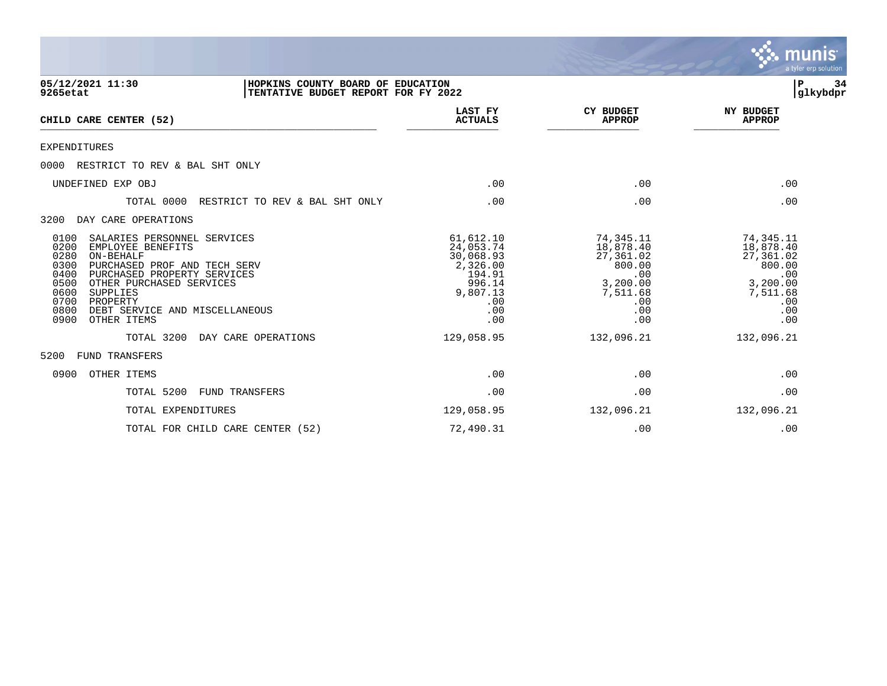|                                                                                                                                                                                                                                                                                                                   |                                                                                                      |                                                                                                   | $m$ unis<br>a tyler erp solution                                                                  |
|-------------------------------------------------------------------------------------------------------------------------------------------------------------------------------------------------------------------------------------------------------------------------------------------------------------------|------------------------------------------------------------------------------------------------------|---------------------------------------------------------------------------------------------------|---------------------------------------------------------------------------------------------------|
| 05/12/2021 11:30<br>HOPKINS COUNTY BOARD OF EDUCATION<br>TENTATIVE BUDGET REPORT FOR FY 2022<br>9265etat                                                                                                                                                                                                          |                                                                                                      |                                                                                                   | ∣₽<br>34<br> glkybdpr                                                                             |
| CHILD CARE CENTER (52)                                                                                                                                                                                                                                                                                            | LAST FY<br><b>ACTUALS</b>                                                                            | <b>CY BUDGET</b><br><b>APPROP</b>                                                                 | <b>NY BUDGET</b><br><b>APPROP</b>                                                                 |
| <b>EXPENDITURES</b>                                                                                                                                                                                                                                                                                               |                                                                                                      |                                                                                                   |                                                                                                   |
| RESTRICT TO REV & BAL SHT ONLY<br>0000                                                                                                                                                                                                                                                                            |                                                                                                      |                                                                                                   |                                                                                                   |
| UNDEFINED EXP OBJ                                                                                                                                                                                                                                                                                                 | .00                                                                                                  | .00                                                                                               | .00                                                                                               |
| TOTAL 0000<br>RESTRICT TO REV & BAL SHT ONLY                                                                                                                                                                                                                                                                      | .00                                                                                                  | .00                                                                                               | .00                                                                                               |
| DAY CARE OPERATIONS<br>3200                                                                                                                                                                                                                                                                                       |                                                                                                      |                                                                                                   |                                                                                                   |
| 0100<br>SALARIES PERSONNEL SERVICES<br>0200<br>EMPLOYEE BENEFITS<br>0280<br>ON-BEHALF<br>0300<br>PURCHASED PROF AND TECH SERV<br>0400<br>PURCHASED PROPERTY SERVICES<br>0500<br>OTHER PURCHASED SERVICES<br>0600<br>SUPPLIES<br>0700<br>PROPERTY<br>0800<br>DEBT SERVICE AND MISCELLANEOUS<br>0900<br>OTHER ITEMS | 61,612.10<br>24,053.74<br>30,068.93<br>2,326.00<br>194.91<br>996.14<br>9,807.13<br>.00<br>.00<br>.00 | 74,345.11<br>18,878.40<br>27,361.02<br>800.00<br>.00<br>3,200.00<br>7,511.68<br>.00<br>.00<br>.00 | 74,345.11<br>18,878.40<br>27,361.02<br>800.00<br>.00<br>3,200.00<br>7,511.68<br>.00<br>.00<br>.00 |
| TOTAL 3200<br>DAY CARE OPERATIONS                                                                                                                                                                                                                                                                                 | 129,058.95                                                                                           | 132,096.21                                                                                        | 132,096.21                                                                                        |
| 5200<br><b>FUND TRANSFERS</b>                                                                                                                                                                                                                                                                                     |                                                                                                      |                                                                                                   |                                                                                                   |
| 0900<br>OTHER ITEMS                                                                                                                                                                                                                                                                                               | .00                                                                                                  | .00                                                                                               | .00                                                                                               |
| TOTAL 5200<br><b>FUND TRANSFERS</b>                                                                                                                                                                                                                                                                               | .00                                                                                                  | .00                                                                                               | .00                                                                                               |

 $\mathcal{L}$ 

TOTAL EXPENDITURES 129,058.95 132,096.21 132,096.21 TOTAL FOR CHILD CARE CENTER (52)  $72,490.31$  .00 .00 .00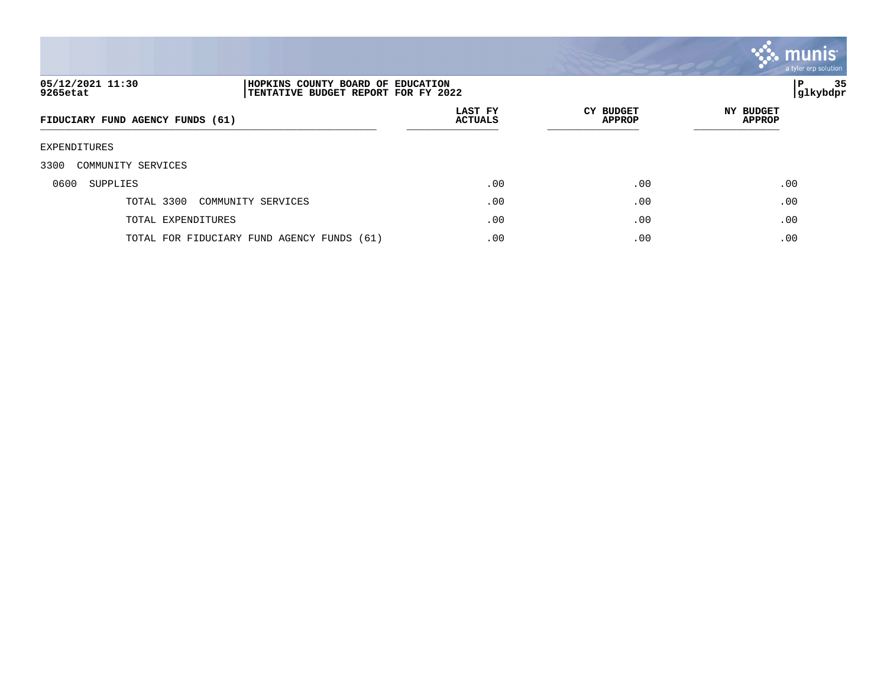

## **05/12/2021 11:30 |HOPKINS COUNTY BOARD OF EDUCATION |P 35 9265etat |TENTATIVE BUDGET REPORT FOR FY 2022 |glkybdpr**

| FIDUCIARY FUND AGENCY FUNDS (61)           | LAST FY<br><b>ACTUALS</b> | CY BUDGET<br><b>APPROP</b> | <b>NY BUDGET</b><br>APPROP |
|--------------------------------------------|---------------------------|----------------------------|----------------------------|
| EXPENDITURES                               |                           |                            |                            |
| 3300<br>COMMUNITY SERVICES                 |                           |                            |                            |
| 0600<br>SUPPLIES                           | .00                       | .00                        | .00                        |
| TOTAL 3300<br>COMMUNITY SERVICES           | .00                       | .00                        | .00                        |
| TOTAL EXPENDITURES                         | .00                       | .00                        | .00                        |
| TOTAL FOR FIDUCIARY FUND AGENCY FUNDS (61) | .00                       | .00                        | .00                        |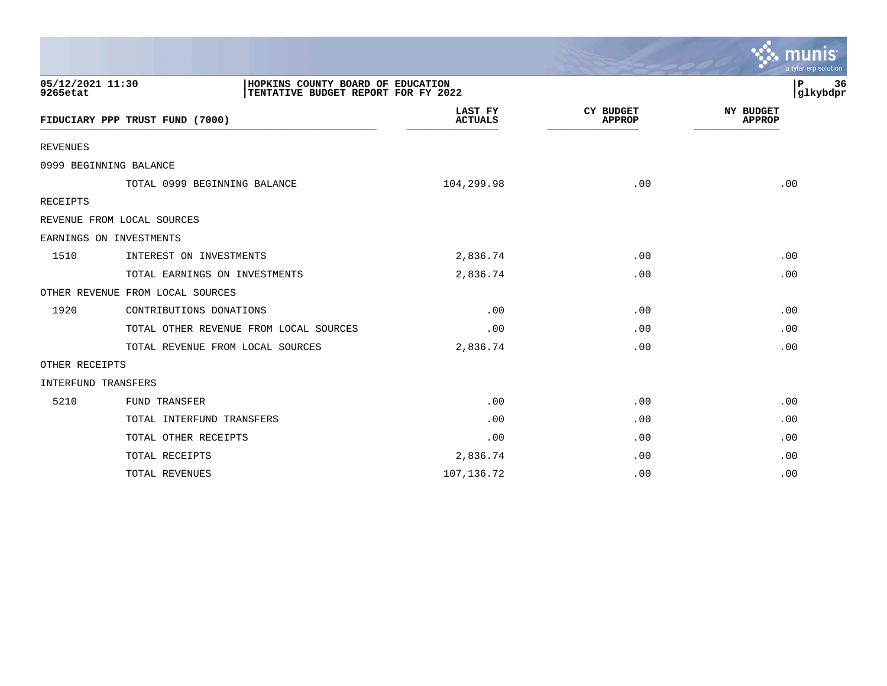|                              |                                                                          |                           |                                   | a tyler erp solution              |
|------------------------------|--------------------------------------------------------------------------|---------------------------|-----------------------------------|-----------------------------------|
| 05/12/2021 11:30<br>9265etat | HOPKINS COUNTY BOARD OF EDUCATION<br>TENTATIVE BUDGET REPORT FOR FY 2022 |                           |                                   | 36<br>P<br> glkybdpr              |
|                              | FIDUCIARY PPP TRUST FUND (7000)                                          | LAST FY<br><b>ACTUALS</b> | <b>CY BUDGET</b><br><b>APPROP</b> | <b>NY BUDGET</b><br><b>APPROP</b> |
| <b>REVENUES</b>              |                                                                          |                           |                                   |                                   |
|                              | 0999 BEGINNING BALANCE                                                   |                           |                                   |                                   |
|                              | TOTAL 0999 BEGINNING BALANCE                                             | 104,299.98                | .00                               | .00                               |
| <b>RECEIPTS</b>              |                                                                          |                           |                                   |                                   |
|                              | REVENUE FROM LOCAL SOURCES                                               |                           |                                   |                                   |
|                              | EARNINGS ON INVESTMENTS                                                  |                           |                                   |                                   |
| 1510                         | INTEREST ON INVESTMENTS                                                  | 2,836.74                  | .00                               | .00                               |
|                              | TOTAL EARNINGS ON INVESTMENTS                                            | 2,836.74                  | .00                               | .00                               |
|                              | OTHER REVENUE FROM LOCAL SOURCES                                         |                           |                                   |                                   |
| 1920                         | CONTRIBUTIONS DONATIONS                                                  | .00                       | .00                               | .00                               |
|                              | TOTAL OTHER REVENUE FROM LOCAL SOURCES                                   | .00                       | .00                               | .00                               |
|                              | TOTAL REVENUE FROM LOCAL SOURCES                                         | 2,836.74                  | .00                               | .00                               |
| OTHER RECEIPTS               |                                                                          |                           |                                   |                                   |
| INTERFUND TRANSFERS          |                                                                          |                           |                                   |                                   |
| 5210                         | FUND TRANSFER                                                            | .00                       | .00                               | .00                               |
|                              | TOTAL INTERFUND TRANSFERS                                                | .00                       | $.00 \,$                          | .00                               |
|                              | TOTAL OTHER RECEIPTS                                                     | .00                       | .00                               | .00                               |
|                              | TOTAL RECEIPTS                                                           | 2,836.74                  | .00                               | .00                               |
|                              | TOTAL REVENUES                                                           | 107,136.72                | .00                               | .00                               |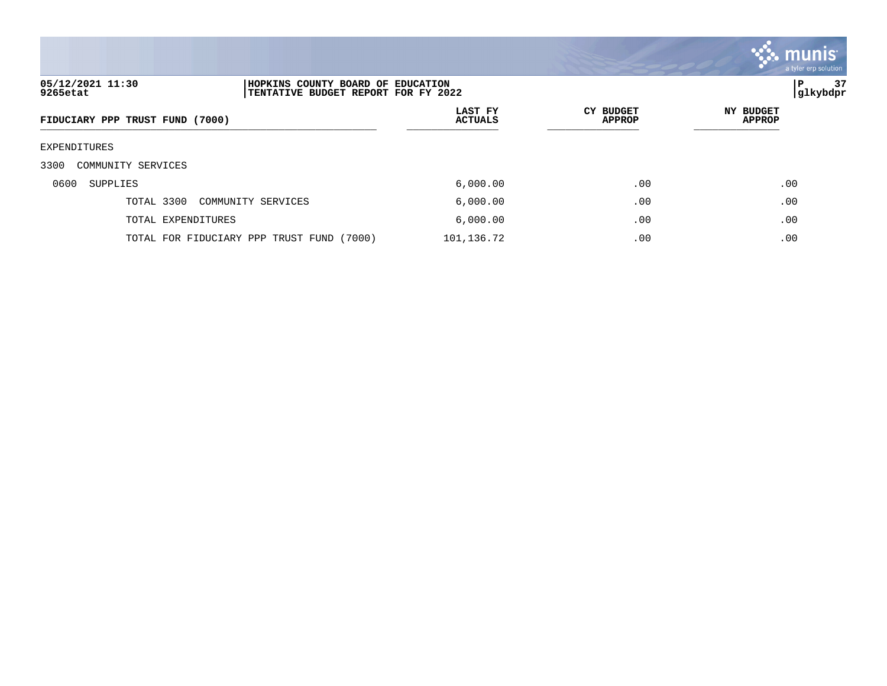

### **05/12/2021 11:30 |HOPKINS COUNTY BOARD OF EDUCATION |P 37 9265etat |TENTATIVE BUDGET REPORT FOR FY 2022 |glkybdpr**

| FIDUCIARY PPP TRUST FUND (7000)           | LAST FY<br><b>ACTUALS</b> | <b>CY BUDGET</b><br>APPROP | <b>NY BUDGET</b><br>APPROP |
|-------------------------------------------|---------------------------|----------------------------|----------------------------|
| EXPENDITURES                              |                           |                            |                            |
| 3300<br>COMMUNITY SERVICES                |                           |                            |                            |
| 0600<br>SUPPLIES                          | 6,000.00                  | .00                        | .00                        |
| TOTAL 3300<br>COMMUNITY SERVICES          | 6,000.00                  | .00                        | .00                        |
| TOTAL EXPENDITURES                        | 6,000.00                  | .00                        | .00                        |
| TOTAL FOR FIDUCIARY PPP TRUST FUND (7000) | 101,136.72                | .00                        | .00                        |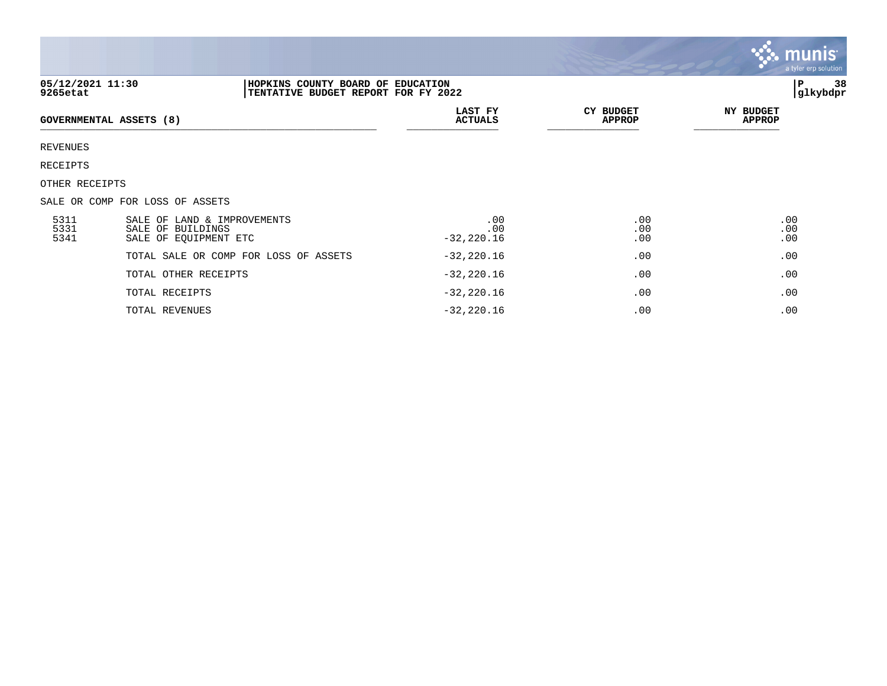|                              |                                                                           |                                                                          |                            | <b>::: munis</b><br>a tyler erp solution |
|------------------------------|---------------------------------------------------------------------------|--------------------------------------------------------------------------|----------------------------|------------------------------------------|
| 05/12/2021 11:30<br>9265etat |                                                                           | HOPKINS COUNTY BOARD OF EDUCATION<br>TENTATIVE BUDGET REPORT FOR FY 2022 |                            | P<br>38<br>glkybdpr                      |
| GOVERNMENTAL ASSETS (8)      |                                                                           | LAST FY<br><b>ACTUALS</b>                                                | <b>CY BUDGET</b><br>APPROP | <b>NY BUDGET</b><br><b>APPROP</b>        |
| REVENUES                     |                                                                           |                                                                          |                            |                                          |
| RECEIPTS                     |                                                                           |                                                                          |                            |                                          |
| OTHER RECEIPTS               |                                                                           |                                                                          |                            |                                          |
|                              | SALE OR COMP FOR LOSS OF ASSETS                                           |                                                                          |                            |                                          |
| 5311<br>5331<br>5341         | SALE OF LAND & IMPROVEMENTS<br>SALE OF BUILDINGS<br>SALE OF EQUIPMENT ETC | .00<br>.00<br>$-32, 220.16$                                              | .00<br>.00<br>.00          | .00<br>.00<br>.00                        |
|                              | TOTAL SALE OR COMP FOR LOSS OF ASSETS                                     | $-32,220.16$                                                             | .00                        | .00                                      |
|                              | TOTAL OTHER RECEIPTS                                                      | $-32,220.16$                                                             | .00                        | .00                                      |
|                              | TOTAL RECEIPTS                                                            | $-32, 220.16$                                                            | .00                        | .00                                      |
|                              |                                                                           |                                                                          |                            |                                          |

 $\mathcal{L}^{\bullet}$  .

TOTAL REVENUES .00 .00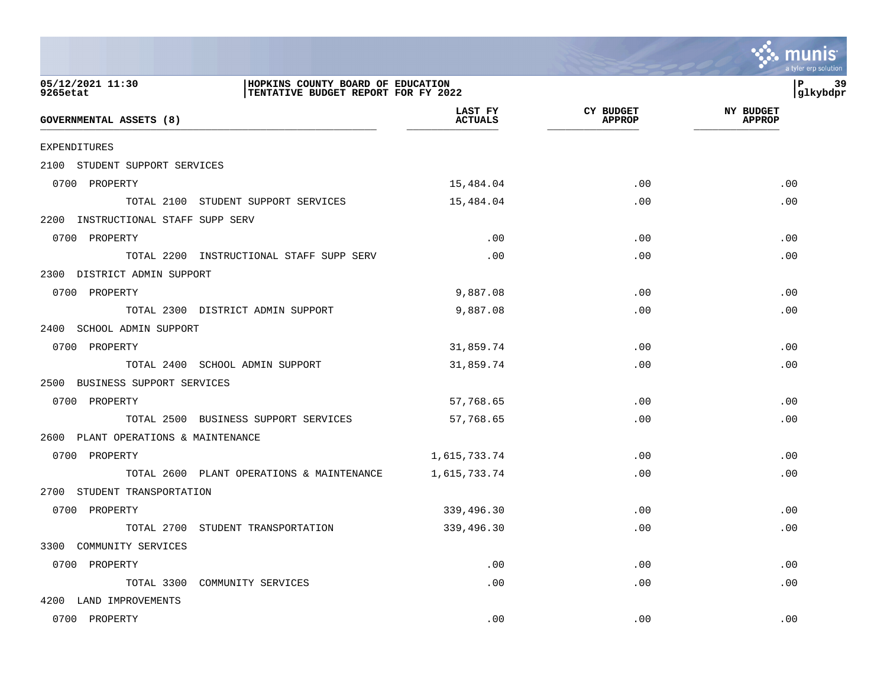

| 05/12/2021 11:30<br>9265etat        | HOPKINS COUNTY BOARD OF EDUCATION<br>TENTATIVE BUDGET REPORT FOR FY 2022 |                           |                            | 39<br>l P<br> glkybdpr            |
|-------------------------------------|--------------------------------------------------------------------------|---------------------------|----------------------------|-----------------------------------|
| GOVERNMENTAL ASSETS (8)             |                                                                          | LAST FY<br><b>ACTUALS</b> | CY BUDGET<br><b>APPROP</b> | <b>NY BUDGET</b><br><b>APPROP</b> |
| EXPENDITURES                        |                                                                          |                           |                            |                                   |
| 2100 STUDENT SUPPORT SERVICES       |                                                                          |                           |                            |                                   |
| 0700 PROPERTY                       |                                                                          | 15,484.04                 | .00                        | .00                               |
|                                     | TOTAL 2100 STUDENT SUPPORT SERVICES                                      | 15,484.04                 | .00                        | .00                               |
| 2200 INSTRUCTIONAL STAFF SUPP SERV  |                                                                          |                           |                            |                                   |
| 0700 PROPERTY                       |                                                                          | .00                       | .00                        | .00                               |
|                                     | TOTAL 2200 INSTRUCTIONAL STAFF SUPP SERV                                 | .00                       | .00                        | .00                               |
| 2300 DISTRICT ADMIN SUPPORT         |                                                                          |                           |                            |                                   |
| 0700 PROPERTY                       |                                                                          | 9,887.08                  | .00                        | .00                               |
|                                     | TOTAL 2300 DISTRICT ADMIN SUPPORT                                        | 9,887.08                  | .00                        | .00                               |
| 2400 SCHOOL ADMIN SUPPORT           |                                                                          |                           |                            |                                   |
| 0700 PROPERTY                       |                                                                          | 31,859.74                 | .00                        | .00                               |
|                                     | TOTAL 2400 SCHOOL ADMIN SUPPORT                                          | 31,859.74                 | .00                        | .00                               |
| 2500 BUSINESS SUPPORT SERVICES      |                                                                          |                           |                            |                                   |
| 0700 PROPERTY                       |                                                                          | 57,768.65                 | .00                        | .00                               |
|                                     | TOTAL 2500 BUSINESS SUPPORT SERVICES                                     | 57,768.65                 | .00                        | .00                               |
| 2600 PLANT OPERATIONS & MAINTENANCE |                                                                          |                           |                            |                                   |
| 0700 PROPERTY                       |                                                                          | 1,615,733.74              | .00                        | .00                               |
|                                     | TOTAL 2600 PLANT OPERATIONS & MAINTENANCE                                | 1,615,733.74              | .00                        | .00                               |
| 2700 STUDENT TRANSPORTATION         |                                                                          |                           |                            |                                   |
| 0700 PROPERTY                       |                                                                          | 339,496.30                | .00                        | .00                               |
|                                     | TOTAL 2700 STUDENT TRANSPORTATION                                        | 339,496.30                | .00                        | .00                               |
| 3300 COMMUNITY SERVICES             |                                                                          |                           |                            |                                   |
| 0700 PROPERTY                       |                                                                          | .00                       | .00                        | .00                               |
|                                     | TOTAL 3300 COMMUNITY SERVICES                                            | .00                       | .00                        | .00                               |
| 4200 LAND IMPROVEMENTS              |                                                                          |                           |                            |                                   |

0700 PROPERTY .00 .00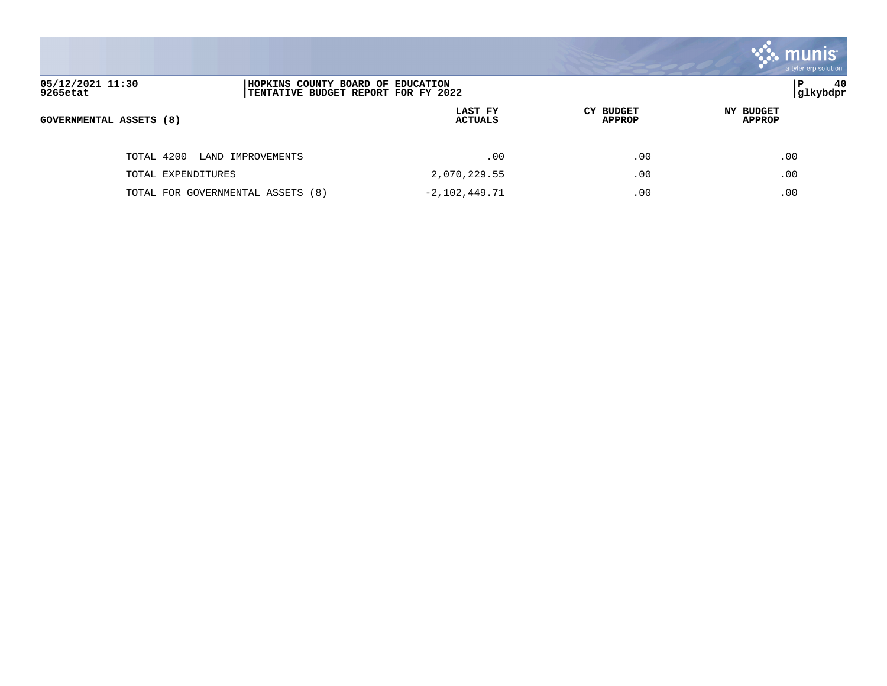|                                                                                                          |                           |                                   | $\mathbb{C}$ munis<br>a tyler erp solution |
|----------------------------------------------------------------------------------------------------------|---------------------------|-----------------------------------|--------------------------------------------|
| 05/12/2021 11:30<br>HOPKINS COUNTY BOARD OF EDUCATION<br>9265etat<br>TENTATIVE BUDGET REPORT FOR FY 2022 |                           |                                   | l P<br>40<br> glkybdpr                     |
| GOVERNMENTAL ASSETS (8)                                                                                  | LAST FY<br><b>ACTUALS</b> | <b>CY BUDGET</b><br><b>APPROP</b> | <b>NY BUDGET</b><br><b>APPROP</b>          |
| TOTAL 4200<br>LAND IMPROVEMENTS                                                                          | .00                       | .00                               | .00                                        |
| TOTAL EXPENDITURES                                                                                       | 2,070,229.55              | .00                               | .00                                        |
| TOTAL FOR GOVERNMENTAL ASSETS (8)                                                                        | $-2,102,449.71$           | .00                               | .00                                        |

and the contract of the contract of the contract of the contract of the contract of the contract of the contract of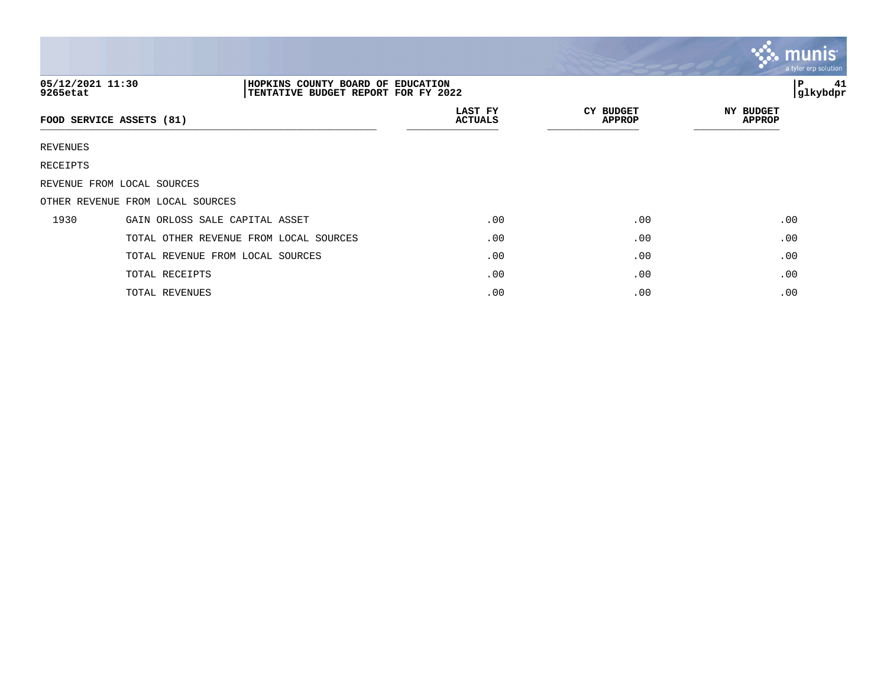|                              |                                                                          |                           |                                   | munis <sup>®</sup><br>a tyler erp solution |
|------------------------------|--------------------------------------------------------------------------|---------------------------|-----------------------------------|--------------------------------------------|
| 05/12/2021 11:30<br>9265etat | HOPKINS COUNTY BOARD OF EDUCATION<br>TENTATIVE BUDGET REPORT FOR FY 2022 |                           |                                   | 41<br> P<br> glkybdpr                      |
|                              | FOOD SERVICE ASSETS (81)                                                 | LAST FY<br><b>ACTUALS</b> | <b>CY BUDGET</b><br><b>APPROP</b> | NY BUDGET<br><b>APPROP</b>                 |
| REVENUES                     |                                                                          |                           |                                   |                                            |
| RECEIPTS                     |                                                                          |                           |                                   |                                            |
|                              | REVENUE FROM LOCAL SOURCES                                               |                           |                                   |                                            |
|                              | OTHER REVENUE FROM LOCAL SOURCES                                         |                           |                                   |                                            |
| 1930                         | GAIN ORLOSS SALE CAPITAL ASSET                                           | .00                       | .00                               | .00                                        |
|                              | TOTAL OTHER REVENUE FROM LOCAL SOURCES                                   | .00                       | .00                               | .00                                        |
|                              | TOTAL REVENUE FROM LOCAL SOURCES                                         | .00                       | .00                               | .00                                        |
|                              | TOTAL RECEIPTS                                                           | .00                       | .00                               | .00                                        |
|                              | TOTAL REVENUES                                                           | .00                       | .00                               | .00                                        |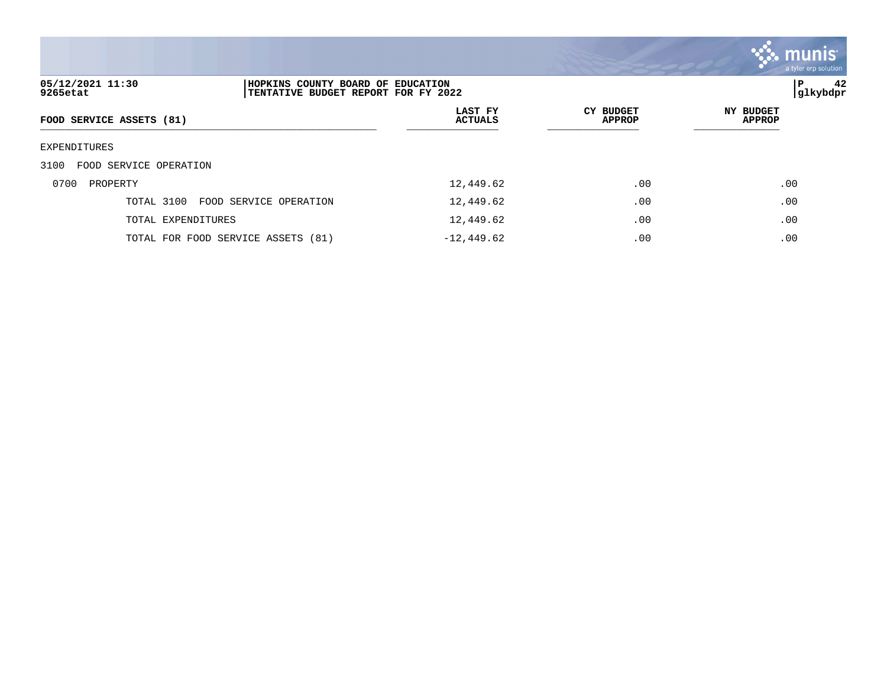

| 05/12/2021 11:30<br>9265etat   | HOPKINS COUNTY BOARD OF EDUCATION<br>TENTATIVE BUDGET REPORT FOR FY 2022 |                           |                                   | 42<br>ΙP<br> glkybdpr      |
|--------------------------------|--------------------------------------------------------------------------|---------------------------|-----------------------------------|----------------------------|
| FOOD SERVICE ASSETS (81)       |                                                                          | LAST FY<br><b>ACTUALS</b> | <b>CY BUDGET</b><br><b>APPROP</b> | NY BUDGET<br><b>APPROP</b> |
| EXPENDITURES                   |                                                                          |                           |                                   |                            |
| 3100<br>FOOD SERVICE OPERATION |                                                                          |                           |                                   |                            |
| 0700<br>PROPERTY               |                                                                          | 12,449.62                 | .00                               | .00                        |
| TOTAL 3100                     | FOOD SERVICE OPERATION                                                   | 12,449.62                 | .00                               | .00                        |
| TOTAL EXPENDITURES             |                                                                          | 12,449.62                 | .00                               | .00                        |
|                                | TOTAL FOR FOOD SERVICE ASSETS (81)                                       | $-12,449.62$              | .00                               | .00                        |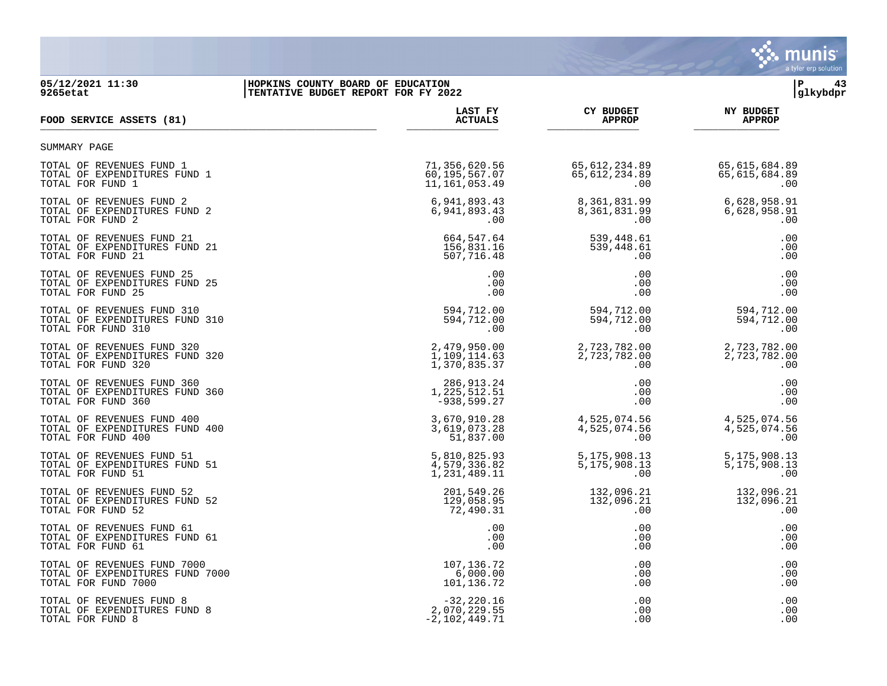

### **05/12/2021 11:30 |HOPKINS COUNTY BOARD OF EDUCATION |P 43 9265etat |TENTATIVE BUDGET REPORT FOR FY 2022 |glkybdpr**

| FOOD SERVICE ASSETS (81)        | LAST FY         | <b>CY BUDGET</b> | <b>NY BUDGET</b> |
|---------------------------------|-----------------|------------------|------------------|
|                                 | <b>ACTUALS</b>  | <b>APPROP</b>    | <b>APPROP</b>    |
| SUMMARY PAGE                    |                 |                  |                  |
| TOTAL OF REVENUES FUND 1        | 71,356,620.56   | 65,612,234.89    | 65,615,684.89    |
| TOTAL OF EXPENDITURES FUND 1    | 60,195,567.07   | 65, 612, 234.89  | 65,615,684.89    |
| TOTAL FOR FUND 1                | 11, 161, 053.49 | .00              | .00              |
| TOTAL OF REVENUES FUND 2        | 6,941,893.43    | 8,361,831.99     | 6,628,958.91     |
| TOTAL OF EXPENDITURES FUND 2    | 6,941,893.43    | 8,361,831.99     | 6,628,958.91     |
| TOTAL FOR FUND 2                | .00             | .00              | .00              |
| TOTAL OF REVENUES FUND 21       | 664,547.64      | 539,448.61       | .00              |
| TOTAL OF EXPENDITURES FUND 21   | 156,831.16      | 539,448.61       | .00              |
| TOTAL FOR FUND 21               | 507,716.48      | .00              | .00              |
| TOTAL OF REVENUES FUND 25       | .00             | .00              | .00              |
| TOTAL OF EXPENDITURES FUND 25   | .00             | .00              | .00              |
| TOTAL FOR FUND 25               | .00             | .00              | .00              |
| TOTAL OF REVENUES FUND 310      | 594,712.00      | 594,712.00       | 594,712.00       |
| TOTAL OF EXPENDITURES FUND 310  | 594,712.00      | 594,712.00       | 594,712.00       |
| TOTAL FOR FUND 310              | .00             | .00              | .00              |
| TOTAL OF REVENUES FUND 320      | 2,479,950.00    | 2,723,782.00     | 2,723,782.00     |
| TOTAL OF EXPENDITURES FUND 320  | 1,109,114.63    | 2,723,782.00     | 2,723,782.00     |
| TOTAL FOR FUND 320              | 1,370,835.37    | .00              | .00              |
| TOTAL OF REVENUES FUND 360      | 286, 913. 24    | .00              | .00              |
| TOTAL OF EXPENDITURES FUND 360  | 1,225,512.51    | .00              | .00              |
| TOTAL FOR FUND 360              | $-938,599.27$   | .00              | .00              |
| TOTAL OF REVENUES FUND 400      | 3,670,910.28    | 4,525,074.56     | 4,525,074.56     |
| TOTAL OF EXPENDITURES FUND 400  | 3,619,073.28    | 4,525,074.56     | 4,525,074.56     |
| TOTAL FOR FUND 400              | 51,837.00       | .00              | .00              |
| TOTAL OF REVENUES FUND 51       | 5,810,825.93    | 5,175,908.13     | 5,175,908.13     |
| TOTAL OF EXPENDITURES FUND 51   | 4,579,336.82    | 5,175,908.13     | 5,175,908.13     |
| TOTAL FOR FUND 51               | 1,231,489.11    | .00              | .00              |
| TOTAL OF REVENUES FUND 52       | 201,549.26      | 132,096.21       | 132,096.21       |
| TOTAL OF EXPENDITURES FUND 52   | 129,058.95      | 132,096.21       | 132,096.21       |
| TOTAL FOR FUND 52               | 72,490.31       | .00              | .00              |
| TOTAL OF REVENUES FUND 61       | .00             | .00              | .00              |
| TOTAL OF EXPENDITURES FUND 61   | .00             | .00              | .00              |
| TOTAL FOR FUND 61               | .00             | .00              | .00              |
| TOTAL OF REVENUES FUND 7000     | 107, 136. 72    | .00              | .00              |
| TOTAL OF EXPENDITURES FUND 7000 | 6,000.00        | .00              | .00              |
| TOTAL FOR FUND 7000             | 101,136.72      | .00              | .00              |
| TOTAL OF REVENUES FUND 8        | $-32,220.16$    | .00              | .00              |
| TOTAL OF EXPENDITURES FUND 8    | 2,070,229.55    | .00              | .00              |
| TOTAL FOR FUND 8                | $-2,102,449.71$ | .00              | .00              |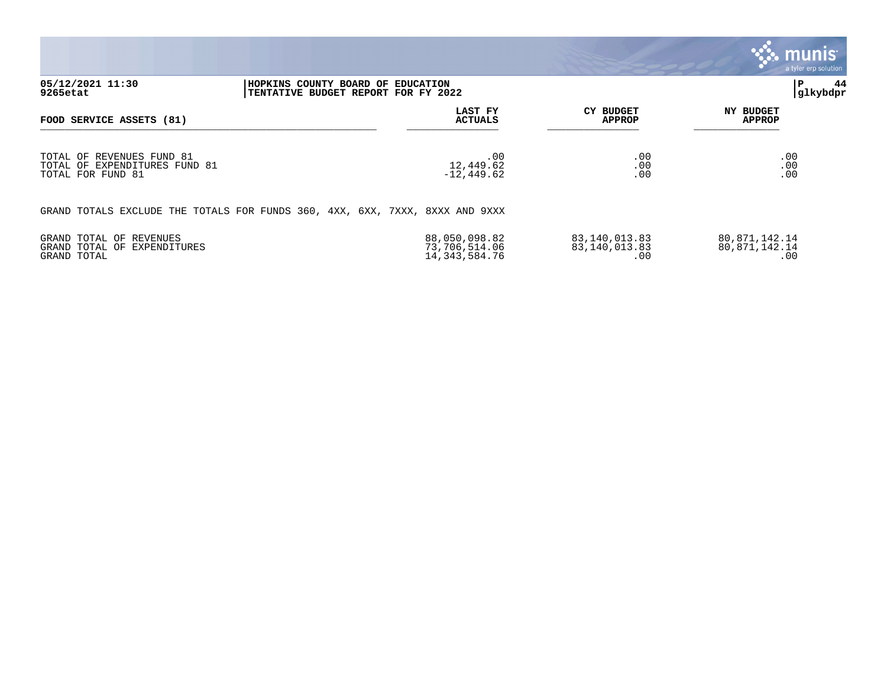|                                                                                 |                                                                              |                                                    |                                       | , munis $^{\scriptscriptstyle\mathsf{I}}$<br>a tyler erp solution |
|---------------------------------------------------------------------------------|------------------------------------------------------------------------------|----------------------------------------------------|---------------------------------------|-------------------------------------------------------------------|
| 05/12/2021 11:30<br>9265etat                                                    | HOPKINS COUNTY BOARD OF EDUCATION<br>TENTATIVE BUDGET REPORT FOR FY 2022     |                                                    |                                       | ∣P<br>44<br> glkybdpr                                             |
| FOOD SERVICE ASSETS (81)                                                        |                                                                              | LAST FY<br><b>ACTUALS</b>                          | <b>CY BUDGET</b><br><b>APPROP</b>     | <b>NY BUDGET</b><br><b>APPROP</b>                                 |
| TOTAL OF REVENUES FUND 81<br>TOTAL OF EXPENDITURES FUND 81<br>TOTAL FOR FUND 81 |                                                                              | .00<br>12,449.62<br>$-12, 449.62$                  | .00<br>.00<br>.00                     | .00<br>.00<br>.00                                                 |
|                                                                                 | GRAND TOTALS EXCLUDE THE TOTALS FOR FUNDS 360, 4XX, 6XX, 7XXX, 8XXX AND 9XXX |                                                    |                                       |                                                                   |
| GRAND TOTAL OF REVENUES<br>GRAND TOTAL OF EXPENDITURES<br>GRAND TOTAL           |                                                                              | 88,050,098.82<br>73,706,514.06<br>14, 343, 584. 76 | 83,140,013.83<br>83,140,013.83<br>.00 | 80,871,142.14<br>80,871,142.14<br>.00                             |

 $\bullet$ 

 $\sum_{\text{tion}}$